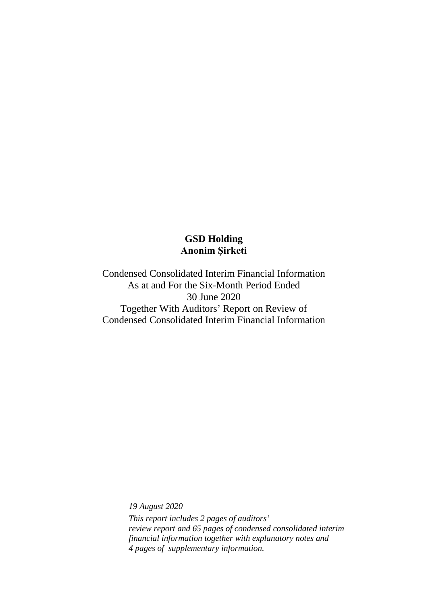Condensed Consolidated Interim Financial Information As at and For the Six-Month Period Ended 30 June 2020 Together With Auditors' Report on Review of Condensed Consolidated Interim Financial Information

*19 August 2020*

*This report includes 2 pages of auditors' review report and 65 pages of condensed consolidated interim financial information together with explanatory notes and 4 pages of supplementary information.*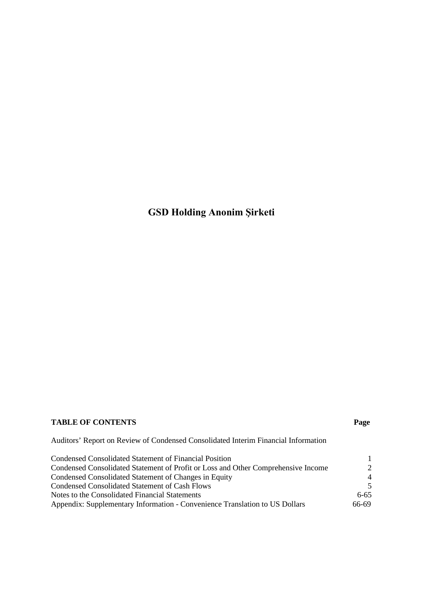### **TABLE OF CONTENTS Page**

Auditors' Report on Review of Condensed Consolidated Interim Financial Information

| Condensed Consolidated Statement of Financial Position                            |               |
|-----------------------------------------------------------------------------------|---------------|
| Condensed Consolidated Statement of Profit or Loss and Other Comprehensive Income | $\mathcal{D}$ |
| Condensed Consolidated Statement of Changes in Equity                             |               |
| Condensed Consolidated Statement of Cash Flows                                    |               |
| Notes to the Consolidated Financial Statements                                    | $6 - 65$      |
| Appendix: Supplementary Information - Convenience Translation to US Dollars       | 66-69         |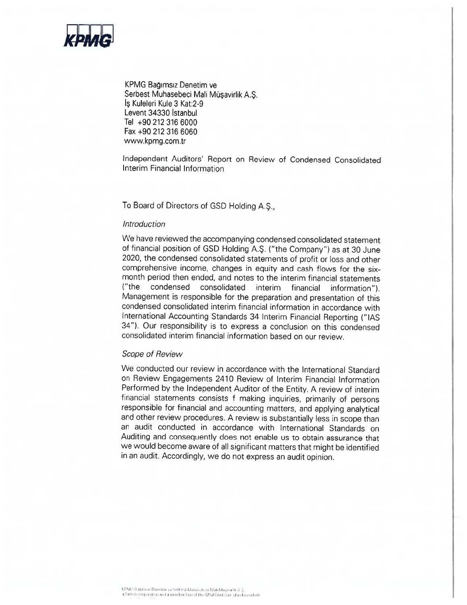

KPMG Bağımsız Denetim ve Serbest Muhasebeci Mali Müşavirlik A.Ş. Is Kuleleri Kule 3 Kat: 2-9 Levent 34330 Istanbul Tel +90 212 316 6000 Fax +90 212 316 6060 www.kpmg.com.tr

Independent Auditors' Report on Review of Condensed Consolidated Interim Financial Information

To Board of Directors of GSD Holding A.S.,

#### Introduction

We have reviewed the accompanying condensed consolidated statement of financial position of GSD Holding A.S. ("the Company") as at 30 June 2020, the condensed consolidated statements of profit or loss and other comprehensive income, changes in equity and cash flows for the sixmonth period then ended, and notes to the interim financial statements consolidated interim financial  $("the$ condensed information"). Management is responsible for the preparation and presentation of this condensed consolidated interim financial information in accordance with International Accounting Standards 34 Interim Financial Reporting ("IAS 34"). Our responsibility is to express a conclusion on this condensed consolidated interim financial information based on our review.

#### Scope of Review

We conducted our review in accordance with the International Standard on Review Engagements 2410 Review of Interim Financial Information Performed by the Independent Auditor of the Entity. A review of interim financial statements consists f making inquiries, primarily of persons responsible for financial and accounting matters, and applying analytical and other review procedures. A review is substantially less in scope than an audit conducted in accordance with International Standards on Auditing and consequently does not enable us to obtain assurance that we would become aware of all significant matters that might be identified in an audit. Accordingly, we do not express an audit opinion.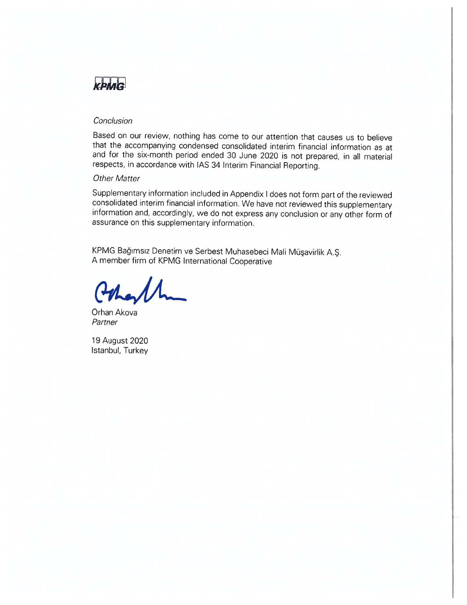

#### Conclusion

Based on our review, nothing has come to our attention that causes us to believe that the accompanying condensed consolidated interim financial information as at and for the six-month period ended 30 June 2020 is not prepared, in all material respects, in accordance with IAS 34 Interim Financial Reporting.

#### **Other Matter**

Supplementary information included in Appendix I does not form part of the reviewed consolidated interim financial information. We have not reviewed this supplementary information and, accordingly, we do not express any conclusion or any other form of assurance on this supplementary information.

KPMG Bağımsız Denetim ve Serbest Muhasebeci Mali Müşavirlik A.Ş. A member firm of KPMG International Cooperative

Orhan Akova Partner

19 August 2020 Istanbul, Turkey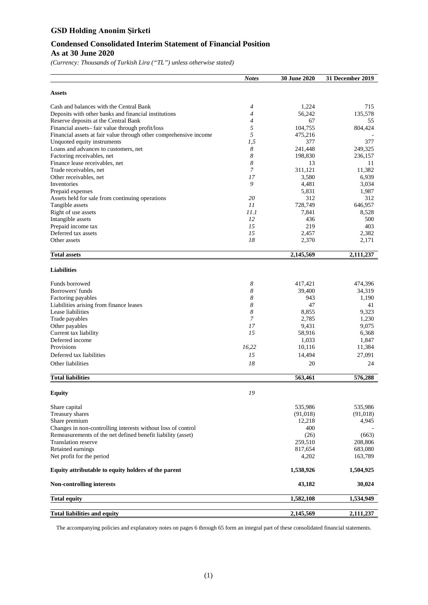#### **Condensed Consolidated Interim Statement of Financial Position As at 30 June 2020**

*(Currency: Thousands of Turkish Lira ("TL") unless otherwise stated)*

|                                                                   | <b>Notes</b>   | 30 June 2020 | 31 December 2019 |
|-------------------------------------------------------------------|----------------|--------------|------------------|
| <b>Assets</b>                                                     |                |              |                  |
| Cash and balances with the Central Bank                           | 4              | 1,224        | 715              |
| Deposits with other banks and financial institutions              | $\overline{4}$ | 56,242       | 135,578          |
| Reserve deposits at the Central Bank                              | $\overline{4}$ | 67           | 55               |
| Financial assets-fair value through profit/loss                   | 5              | 104,755      | 804,424          |
| Financial assets at fair value through other comprehensive income | 5              | 475,216      |                  |
| Unquoted equity instruments                                       | 1,5            | 377          | 377              |
| Loans and advances to customers, net                              | 8              | 241,448      | 249,325          |
| Factoring receivables, net                                        | 8              | 198,830      | 236,157          |
| Finance lease receivables, net                                    | 8              | 13           | 11               |
| Trade receivables, net                                            | 7              | 311,121      | 11,382           |
| Other receivables, net                                            | 17             | 3,580        | 6,939            |
| Inventories                                                       | 9              | 4,481        | 3,034            |
| Prepaid expenses                                                  |                | 5,831        | 1,987            |
| Assets held for sale from continuing operations                   | 20             | 312          | 312              |
| Tangible assets                                                   | 11             | 728,749      | 646,957          |
| Right of use assets                                               | 11.1           | 7,841        | 8,528            |
| Intangible assets                                                 | 12             | 436          | 500              |
| Prepaid income tax                                                | 15             | 219          | 403              |
| Deferred tax assets                                               | 15             | 2,457        | 2,382            |
| Other assets                                                      | 18             | 2,370        | 2,171            |
| <b>Total assets</b>                                               |                | 2,145,569    | 2,111,237        |
| <b>Liabilities</b>                                                |                |              |                  |
| Funds borrowed                                                    | 8              | 417,421      | 474,396          |
| Borrowers' funds                                                  | 8              | 39,400       | 34,319           |
| Factoring payables                                                | 8              | 943          | 1,190            |
| Liabilities arising from finance leases                           | 8              | 47           | 41               |
| Lease liabilities                                                 | 8              | 8,855        | 9,323            |
| Trade payables                                                    | 7              | 2,785        | 1,230            |
| Other payables                                                    | 17             | 9,431        | 9,075            |
| Current tax liability                                             | 15             | 58,916       | 6,368            |
| Deferred income                                                   |                | 1,033        | 1,847            |
| Provisions                                                        | 16,22          | 10,116       | 11,384           |
| Deferred tax liabilities                                          | 15             | 14,494       | 27,091           |
| Other liabilities                                                 | 18             | 20           | 24               |
|                                                                   |                |              |                  |
| <b>Total liabilities</b>                                          |                | 563,461      | 576,288          |
| <b>Equity</b>                                                     | 19             |              |                  |
| Share capital                                                     |                | 535,986      | 535,986          |
| Treasury shares                                                   |                | (91,018)     | (91, 018)        |
| Share premium                                                     |                | 12,218       | 4,945            |
| Changes in non-controlling interests without loss of control      |                | 400          |                  |
| Remeasurements of the net defined benefit liability (asset)       |                | (26)         | (663)            |
| <b>Translation reserve</b>                                        |                | 259,510      | 208,806          |
| Retained earnings                                                 |                | 817,654      | 683,080          |
| Net profit for the period                                         |                | 4,202        | 163,789          |
| Equity attributable to equity holders of the parent               |                | 1,538,926    | 1,504,925        |
| <b>Non-controlling interests</b>                                  |                | 43,182       | 30,024           |
| <b>Total equity</b>                                               |                | 1,582,108    | 1,534,949        |
| <b>Total liabilities and equity</b>                               |                | 2,145,569    | 2,111,237        |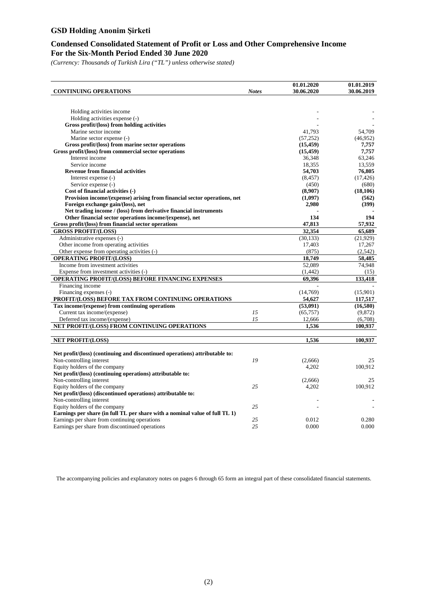#### **Condensed Consolidated Statement of Profit or Loss and Other Comprehensive Income For the Six-Month Period Ended 30 June 2020**

*(Currency: Thousands of Turkish Lira ("TL") unless otherwise stated)*

|                                                                             |              | 01.01.2020 | 01.01.2019 |
|-----------------------------------------------------------------------------|--------------|------------|------------|
| <b>CONTINUING OPERATIONS</b>                                                | <b>Notes</b> | 30.06.2020 | 30.06.2019 |
|                                                                             |              |            |            |
|                                                                             |              |            |            |
| Holding activities income                                                   |              |            |            |
| Holding activities expense (-)                                              |              |            |            |
| Gross profit/(loss) from holding activities                                 |              |            |            |
| Marine sector income                                                        |              | 41,793     | 54,709     |
| Marine sector expense (-)                                                   |              | (57, 252)  | (46,952)   |
| Gross profit/(loss) from marine sector operations                           |              | (15, 459)  | 7,757      |
| Gross profit/(loss) from commercial sector operations                       |              | (15, 459)  | 7,757      |
| Interest income                                                             |              | 36,348     | 63,246     |
| Service income                                                              |              | 18,355     | 13,559     |
| <b>Revenue from financial activities</b>                                    |              | 54,703     | 76,805     |
| Interest expense (-)                                                        |              | (8, 457)   | (17, 426)  |
| Service expense (-)                                                         |              | (450)      | (680)      |
| Cost of financial activities (-)                                            |              | (8,907)    | (18, 106)  |
| Provision income/(expense) arising from financial sector operations, net    |              | (1,097)    | (562)      |
| Foreign exchange gain/(loss), net                                           |              | 2,980      | (399)      |
| Net trading income / (loss) from derivative financial instruments           |              |            |            |
| Other financial sector operations income/(expense), net                     |              | 134        | 194        |
| Gross profit/(loss) from financial sector operations                        |              | 47,813     | 57,932     |
| <b>GROSS PROFIT/(LOSS)</b>                                                  |              | 32,354     | 65,689     |
| Administrative expenses (-)                                                 |              | (30, 133)  | (21,929)   |
| Other income from operating activities                                      |              | 17,403     | 17,267     |
| Other expense from operating activities (-)                                 |              | (875)      | (2,542)    |
| <b>OPERATING PROFIT/(LOSS)</b>                                              |              | 18,749     | 58,485     |
| Income from investment activities                                           |              | 52,089     | 74,948     |
| Expense from investment activities (-)                                      |              | (1, 442)   | (15)       |
| <b>OPERATING PROFIT/(LOSS) BEFORE FINANCING EXPENSES</b>                    |              | 69.396     | 133.418    |
| Financing income                                                            |              |            |            |
| Financing expenses (-)                                                      |              | (14,769)   | (15,901)   |
| PROFIT/(LOSS) BEFORE TAX FROM CONTINUING OPERATIONS                         |              | 54,627     | 117,517    |
| Tax income/(expense) from continuing operations                             |              | (53,091)   | (16,580)   |
| Current tax income/(expense)                                                | 15           | (65, 757)  | (9,872)    |
| Deferred tax income/(expense)                                               | 15           | 12,666     | (6,708)    |
| NET PROFIT/(LOSS) FROM CONTINUING OPERATIONS                                |              | 1,536      | 100,937    |
|                                                                             |              |            |            |
|                                                                             |              | 1,536      |            |
| <b>NET PROFIT/(LOSS)</b>                                                    |              |            | 100,937    |
| Net profit/(loss) (continuing and discontinued operations) attributable to: |              |            |            |
| Non-controlling interest                                                    | 19           | (2,666)    | 25         |
| Equity holders of the company                                               |              | 4,202      | 100,912    |
| Net profit/(loss) (continuing operations) attributable to:                  |              |            |            |
|                                                                             |              |            | 25         |
| Non-controlling interest                                                    |              | (2,666)    |            |
| Equity holders of the company                                               | 25           | 4,202      | 100,912    |
| Net profit/(loss) (discontinued operations) attributable to:                |              |            |            |
| Non-controlling interest                                                    |              |            |            |
| Equity holders of the company                                               | 25           |            |            |
| Earnings per share (in full TL per share with a nominal value of full TL 1) |              |            |            |
| Earnings per share from continuing operations                               | 25           | 0.012      | 0.280      |
| Earnings per share from discontinued operations                             | 25           | 0.000      | 0.000      |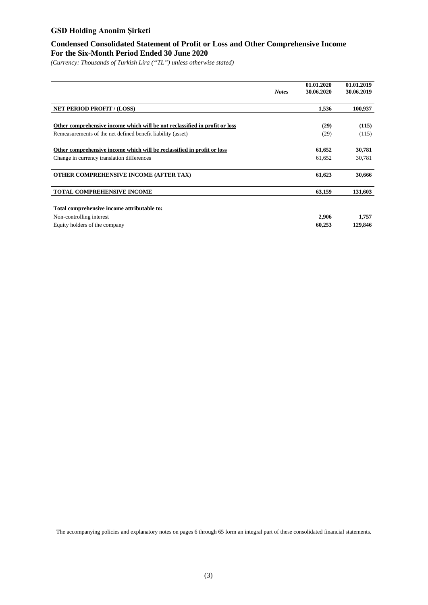#### **Condensed Consolidated Statement of Profit or Loss and Other Comprehensive Income For the Six-Month Period Ended 30 June 2020**

*(Currency: Thousands of Turkish Lira ("TL") unless otherwise stated)*

|                                                                             | <b>Notes</b> | 01.01.2020<br>30.06.2020 | 01.01.2019<br>30.06.2019 |
|-----------------------------------------------------------------------------|--------------|--------------------------|--------------------------|
|                                                                             |              |                          |                          |
| <b>NET PERIOD PROFIT / (LOSS)</b>                                           |              | 1,536                    | 100,937                  |
|                                                                             |              |                          |                          |
| Other comprehensive income which will be not reclassified in profit or loss |              | (29)                     | (115)                    |
| Remeasurements of the net defined benefit liability (asset)                 |              | (29)                     | (115)                    |
| Other comprehensive income which will be reclassified in profit or loss     |              | 61,652                   | 30,781                   |
| Change in currency translation differences                                  |              | 61,652                   | 30,781                   |
| OTHER COMPREHENSIVE INCOME (AFTER TAX)                                      |              | 61,623                   | 30,666                   |
| <b>TOTAL COMPREHENSIVE INCOME</b>                                           |              | 63,159                   | 131,603                  |
| Total comprehensive income attributable to:                                 |              |                          |                          |
| Non-controlling interest                                                    |              | 2,906                    | 1,757                    |
| Equity holders of the company                                               |              | 60.253                   | 129,846                  |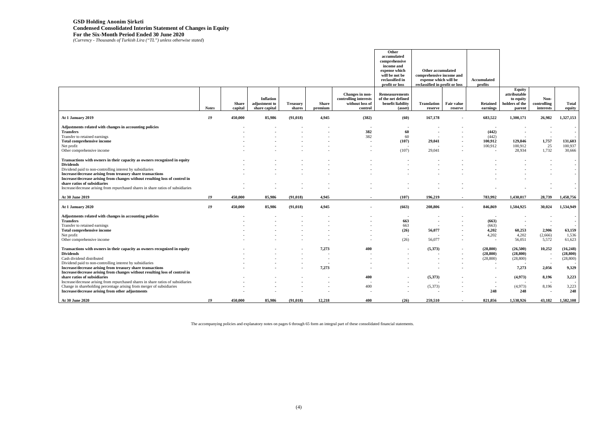### **GSD Holding Anonim Şirketi Condensed Consolidated Interim Statement of Changes in Equity For the Six-Month Period Ended 30 June 2020**

*(Currency - Thousands of Turkish Lira ("TL") unless otherwise stated*)

|                                                                                                                                                                                                                                                                                                                                                                                                                              |              |                         |                                                    |                           |                         |                                                                        | Other<br>accumulated<br>comprehensive<br>income and<br>expense which<br>will be not be<br>reclassified in<br>profit or loss | <b>Other accumulated</b><br>comprehensive income and<br>expense which will be<br>reclassified in profit or loss |                          | Accumulated<br>profits                     |                                                                        |                                                                                  |                                                                              |
|------------------------------------------------------------------------------------------------------------------------------------------------------------------------------------------------------------------------------------------------------------------------------------------------------------------------------------------------------------------------------------------------------------------------------|--------------|-------------------------|----------------------------------------------------|---------------------------|-------------------------|------------------------------------------------------------------------|-----------------------------------------------------------------------------------------------------------------------------|-----------------------------------------------------------------------------------------------------------------|--------------------------|--------------------------------------------|------------------------------------------------------------------------|----------------------------------------------------------------------------------|------------------------------------------------------------------------------|
|                                                                                                                                                                                                                                                                                                                                                                                                                              | <b>Notes</b> | <b>Share</b><br>capital | <b>Inflation</b><br>adjustment to<br>share capital | <b>Treasury</b><br>shares | <b>Share</b><br>premium | Changes in non-<br>controlling interests<br>without loss of<br>control | <b>Remeasurements</b><br>of the net defined<br>benefit liability<br>(asset)                                                 | Translation<br>reserve                                                                                          | Fair value<br>reserve    | <b>Retained</b><br>earnings                | <b>Equity</b><br>attributable<br>to equity<br>holders of the<br>parent | Non-<br>controlling<br>interests                                                 | <b>Total</b><br>equity                                                       |
| At 1 January 2019                                                                                                                                                                                                                                                                                                                                                                                                            | 19           | 450,000                 | 85,986                                             | (91, 018)                 | 4,945                   | (382)                                                                  | (60)                                                                                                                        | 167,178                                                                                                         |                          | 683,522                                    | 1,300,171                                                              | 26,982                                                                           | 1,327,153                                                                    |
| Adjustments related with changes in accounting policies<br><b>Transfers</b><br>Transfer to retained earnings<br><b>Total comprehensive income</b><br>Net profit<br>Other comprehensive income                                                                                                                                                                                                                                |              |                         |                                                    |                           |                         | 382<br>382                                                             | 60<br>60<br>(107)<br>(107)                                                                                                  | $\overline{\phantom{a}}$<br>29,041<br>29,041                                                                    |                          | (442)<br>(442)<br>100,912<br>100,912       | 129,846<br>100,912<br>28,934                                           | $\blacksquare$<br>1,757<br>25<br>1,732                                           | $\sim$<br>$\sim$<br>$\overline{\phantom{a}}$<br>131,603<br>100,937<br>30,666 |
| Transactions with owners in their capacity as owners recognized in equity<br><b>Dividends</b><br>Dividend paid to non-controlling interest by subsidiaries<br>Increase/decrease arising from treasury share transactions<br>Increase/decrease arising from changes without resulting loss of control in<br>share ratios of subsidiaries<br>Increase/decrease arising from repurchased shares in share ratios of subsidiaries |              |                         |                                                    |                           |                         |                                                                        |                                                                                                                             |                                                                                                                 |                          |                                            |                                                                        |                                                                                  | $\sim$<br>$\sim$<br>$\sim$                                                   |
| At 30 June 2019                                                                                                                                                                                                                                                                                                                                                                                                              | 19           | 450,000                 | 85,986                                             | (91, 018)                 | 4,945                   |                                                                        | (107)                                                                                                                       | 196,219                                                                                                         | $\sim$                   | 783,992                                    | 1,430,017                                                              | 28,739                                                                           | 1,458,756                                                                    |
| At 1 January 2020                                                                                                                                                                                                                                                                                                                                                                                                            | 19           | 450,000                 | 85,986                                             | (91, 018)                 | 4,945                   |                                                                        | (663)                                                                                                                       | 208,806                                                                                                         | $\overline{\phantom{a}}$ | 846,869                                    | 1,504,925                                                              | 30,024                                                                           | 1,534,949                                                                    |
| Adjustments related with changes in accounting policies<br><b>Transfers</b><br>Transfer to retained earnings<br><b>Total comprehensive income</b><br>Net profit<br>Other comprehensive income                                                                                                                                                                                                                                |              |                         |                                                    |                           |                         |                                                                        | 663<br>663<br>(26)<br>(26)                                                                                                  | 56,077<br>56,077                                                                                                |                          | (663)<br>(663)<br>4,202<br>4,202<br>$\sim$ | 60,253<br>4,202<br>56,051                                              | $\overline{\phantom{a}}$<br>2,906<br>(2,666)<br>5,572                            | $\sim$<br>$\sim$<br>63,159<br>1,536<br>61,623                                |
| Transactions with owners in their capacity as owners recognized in equity<br><b>Dividends</b><br>Cash dividend distributed<br>Dividend paid to non-controlling interest by subsidiaries<br>Increase/decrease arising from treasury share transactions<br>Increase/decrease arising from changes without resulting loss of control in<br>share ratios of subsidiaries                                                         |              |                         |                                                    |                           | 7,273<br>7,273          | 400<br>400                                                             |                                                                                                                             | (5,373)<br>(5,373)                                                                                              |                          | (28, 800)<br>(28, 800)<br>(28, 800)        | (26,500)<br>(28, 800)<br>(28, 800)<br>7,273<br>(4,973)                 | 10,252<br>$\overline{\phantom{a}}$<br>$\overline{\phantom{a}}$<br>2,056<br>8,196 | (16,248)<br>(28, 800)<br>(28, 800)<br>9,329<br>3,223                         |
| Increase/decrease arising from repurchased shares in share ratios of subsidiaries<br>Change in shareholding percentage arising from merger of subsidiaries<br>Increase/decrease arising from other adjustments                                                                                                                                                                                                               |              |                         |                                                    |                           |                         | 400                                                                    |                                                                                                                             | (5,373)                                                                                                         |                          | 248                                        | (4,973)<br>248                                                         | 8,196<br>$\overline{\phantom{a}}$                                                | 3,223<br>248                                                                 |
| At 30 June 2020                                                                                                                                                                                                                                                                                                                                                                                                              | 19           | 450,000                 | 85,986                                             | (91.018)                  | 12.218                  | 400                                                                    | (26)                                                                                                                        | 259,510                                                                                                         |                          | 821.856                                    | 1.538.926                                                              | 43.182                                                                           | 1,582,108                                                                    |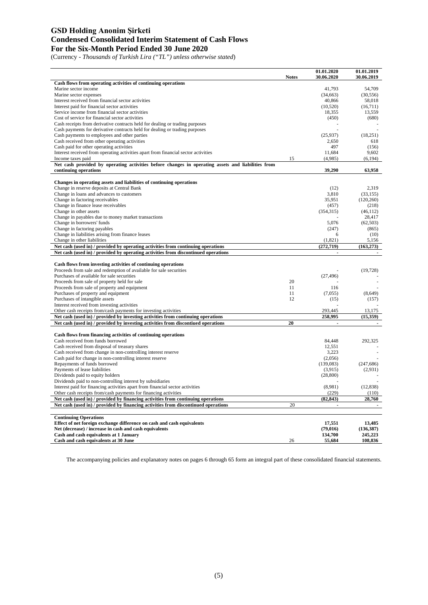#### **GSD Holding Anonim Şirketi Condensed Consolidated Interim Statement of Cash Flows For the Six-Month Period Ended 30 June 2020**

(Currency - *Thousands of Turkish Lira ("TL") unless otherwise stated*)

|                                                                                                                                                                        | <b>Notes</b> | 01.01.2020<br>30.06.2020 | 01.01.2019<br>30.06.2019 |
|------------------------------------------------------------------------------------------------------------------------------------------------------------------------|--------------|--------------------------|--------------------------|
| Cash flows from operating activities of continuing operations                                                                                                          |              |                          |                          |
| Marine sector income                                                                                                                                                   |              | 41,793                   | 54,709                   |
| Marine sector expenses                                                                                                                                                 |              | (34,663)                 | (30, 556)                |
| Interest received from financial sector activities                                                                                                                     |              | 40,866                   | 58,018                   |
| Interest paid for financial sector activities                                                                                                                          |              | (10,520)                 | (16,711)                 |
| Service income from financial sector activities                                                                                                                        |              | 18,355                   | 13,559                   |
| Cost of service for financial sector activities                                                                                                                        |              | (450)                    | (680)                    |
| Cash receipts from derivative contracts held for dealing or trading purposes                                                                                           |              |                          |                          |
| Cash payments for derivative contracts held for dealing or trading purposes                                                                                            |              |                          |                          |
| Cash payments to employees and other parties                                                                                                                           |              | (25,937)                 | (18, 251)                |
| Cash received from other operating activities<br>Cash paid for other operating activities                                                                              |              | 2,650<br>497             | 618<br>(156)             |
| Interest received from operating activities apart from financial sector activities                                                                                     |              | 11,684                   | 9,602                    |
| Income taxes paid                                                                                                                                                      | 15           | (4,985)                  | (6, 194)                 |
| Net cash provided by operating activities before changes in operating assets and liabilities from                                                                      |              |                          |                          |
| continuing operations                                                                                                                                                  |              | 39,290                   | 63,958                   |
|                                                                                                                                                                        |              |                          |                          |
| Changes in operating assets and liabilities of continuing operations                                                                                                   |              | (12)                     | 2,319                    |
| Change in reserve deposits at Central Bank<br>Change in loans and advances to customers                                                                                |              | 3,810                    | (33, 155)                |
| Change in factoring receivables                                                                                                                                        |              | 35,951                   | (120, 260)               |
| Change in finance lease receivables                                                                                                                                    |              | (457)                    | (218)                    |
| Change in other assets                                                                                                                                                 |              | (354, 315)               | (46, 112)                |
| Change in payables due to money market transactions                                                                                                                    |              |                          | 28,417                   |
| Change in borrowers' funds                                                                                                                                             |              | 5,076                    | (62, 503)                |
| Change in factoring payables                                                                                                                                           |              | (247)                    | (865)                    |
| Change in liabilities arising from finance leases                                                                                                                      |              | 6                        | (10)                     |
| Change in other liabilities                                                                                                                                            |              | (1,821)                  | 5,156                    |
| Net cash (used in) / provided by operating activities from continuing operations                                                                                       |              | (272, 719)               | (163, 273)               |
| Net cash (used in) / provided by operating activities from discontinued operations                                                                                     |              | $\blacksquare$           | $\blacksquare$           |
| Cash flows from investing activities of continuing operations                                                                                                          |              |                          |                          |
| Proceeds from sale and redemption of available for sale securities                                                                                                     |              |                          | (19, 728)                |
| Purchases of available for sale securities                                                                                                                             |              | (27, 496)                |                          |
| Proceeds from sale of property held for sale                                                                                                                           | 20           |                          |                          |
| Proceeds from sale of property and equipment                                                                                                                           | 11           | 116                      |                          |
| Purchases of property and equipment                                                                                                                                    | 11           | (7,055)                  | (8,649)                  |
| Purchases of intangible assets                                                                                                                                         | 12           | (15)                     | (157)                    |
| Interest received from investing activities                                                                                                                            |              |                          |                          |
| Other cash receipts from/cash payments for investing activities                                                                                                        |              | 293,445                  | 13,175                   |
| Net cash (used in) / provided by investing activities from continuing operations                                                                                       |              | 258,995                  | (15,359)                 |
| Net cash (used in) / provided by investing activities from discontiued operations                                                                                      | 20           | $\blacksquare$           |                          |
| Cash flows from financing activities of continuing operations                                                                                                          |              |                          |                          |
| Cash received from funds borrowed                                                                                                                                      |              | 84,448                   | 292,325                  |
| Cash received from disposal of treasury shares                                                                                                                         |              | 12,551                   |                          |
| Cash received from change in non-controlling interest reserve                                                                                                          |              | 3,223                    |                          |
| Cash paid for change in non-controlling interest reserve                                                                                                               |              | (2,056)                  |                          |
| Repayments of funds borrowed                                                                                                                                           |              | (139,083)                | (247, 686)               |
| Payments of lease liabilities                                                                                                                                          |              | (3,915)                  | (2,931)                  |
| Dividends paid to equity holders                                                                                                                                       |              | (28, 800)                |                          |
| Dividends paid to non-controlling interest by subsidiaries                                                                                                             |              |                          |                          |
| Interest paid for financing activities apart from financial sector activities                                                                                          |              | (8,981)                  | (12, 838)                |
| Other cash receipts from/cash payments for financing activities                                                                                                        |              | (229)                    | (110)                    |
| Net cash (used in) / provided by financing activities from continuing operations<br>Net cash (used in) / provided by financing activities from discontinued operations | 20           | (82, 843)                | 28,760                   |
|                                                                                                                                                                        |              |                          |                          |
| <b>Continuing Operations</b>                                                                                                                                           |              |                          |                          |
| Effect of net foreign exchange difference on cash and cash equivalents                                                                                                 |              | 17.551                   | 13,485                   |
| Net (decrease) / increase in cash and cash equivalents                                                                                                                 |              | (79, 016)                | (136, 387)               |
| Cash and cash equivalents at 1 January                                                                                                                                 |              | 134,700                  | 245,223                  |
| Cash and cash equivalents at 30 June                                                                                                                                   | 26           | 55,684                   | 108,836                  |
|                                                                                                                                                                        |              |                          |                          |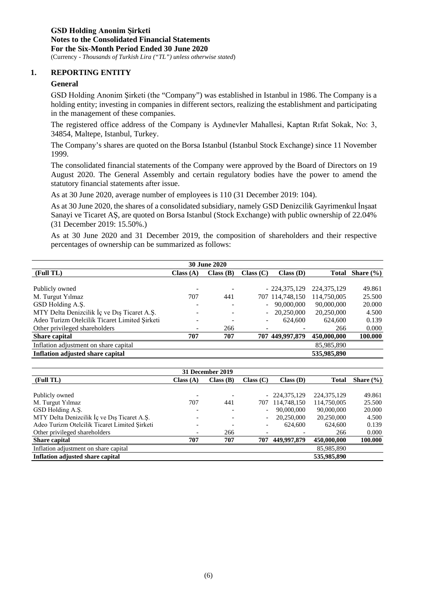#### **1. REPORTING ENTITY**

#### **General**

GSD Holding Anonim Şirketi (the "Company") was established in Istanbul in 1986. The Company is a holding entity; investing in companies in different sectors, realizing the establishment and participating in the management of these companies.

The registered office address of the Company is Aydınevler Mahallesi, Kaptan Rıfat Sokak, No: 3, 34854, Maltepe, Istanbul, Turkey.

The Company's shares are quoted on the Borsa Istanbul (Istanbul Stock Exchange) since 11 November 1999.

The consolidated financial statements of the Company were approved by the Board of Directors on 19 August 2020. The General Assembly and certain regulatory bodies have the power to amend the statutory financial statements after issue.

As at 30 June 2020, average number of employees is 110 (31 December 2019: 104).

As at 30 June 2020, the shares of a consolidated subsidiary, namely GSD Denizcilik Gayrimenkul İnşaat Sanayi ve Ticaret AŞ, are quoted on Borsa Istanbul (Stock Exchange) with public ownership of 22.04% (31 December 2019: 15.50%.)

As at 30 June 2020 and 31 December 2019, the composition of shareholders and their respective percentages of ownership can be summarized as follows:

| <b>30 June 2020</b>                           |          |          |           |                 |               |               |
|-----------------------------------------------|----------|----------|-----------|-----------------|---------------|---------------|
| (Full TL)                                     | Class(A) | Class(B) | Class (C) | Class(D)        | Total         | Share $(\% )$ |
|                                               |          |          |           |                 |               |               |
| Publicly owned                                |          |          |           | $-224,375,129$  | 224, 375, 129 | 49.861        |
| M. Turgut Yilmaz                              | 707      | 441      |           | 707 114,748,150 | 114,750,005   | 25.500        |
| GSD Holding A.S.                              |          |          |           | 90,000,000      | 90,000,000    | 20.000        |
| MTY Delta Denizcilik İç ve Dış Ticaret A.Ş.   |          |          |           | 20,250,000      | 20,250,000    | 4.500         |
| Adeo Turizm Otelcilik Ticaret Limited Sirketi |          |          |           | 624,600         | 624,600       | 0.139         |
| Other privileged shareholders                 |          | 266      |           |                 | 266           | 0.000         |
| Share capital                                 | 707      | 707      |           | 707 449,997,879 | 450,000,000   | 100.000       |
| Inflation adjustment on share capital         |          |          |           |                 | 85,985,890    |               |
| Inflation adjusted share capital              |          |          |           |                 | 535,985,890   |               |

|                                               |          | 31 December 2019 |           |                 |               |               |
|-----------------------------------------------|----------|------------------|-----------|-----------------|---------------|---------------|
| (Full TL)                                     | Class(A) | Class(B)         | Class (C) | Class(D)        | <b>Total</b>  | Share $(\% )$ |
|                                               |          |                  |           |                 |               |               |
| Publicly owned                                |          |                  |           | $-224,375,129$  | 224, 375, 129 | 49.861        |
| M. Turgut Yılmaz                              | 707      | 441              |           | 707 114,748,150 | 114,750,005   | 25.500        |
| GSD Holding A.Ş.                              |          |                  |           | 90,000,000      | 90,000,000    | 20.000        |
| MTY Delta Denizcilik İç ve Dış Ticaret A.Ş.   |          |                  |           | 20,250,000      | 20,250,000    | 4.500         |
| Adeo Turizm Otelcilik Ticaret Limited Sirketi |          |                  |           | 624,600         | 624,600       | 0.139         |
| Other privileged shareholders                 |          | 266              |           |                 | 266           | 0.000         |
| <b>Share capital</b>                          | 707      | 707              | 707       | 449,997,879     | 450,000,000   | 100.000       |
| Inflation adjustment on share capital         |          |                  |           |                 | 85,985,890    |               |
| <b>Inflation adjusted share capital</b>       |          |                  |           |                 | 535,985,890   |               |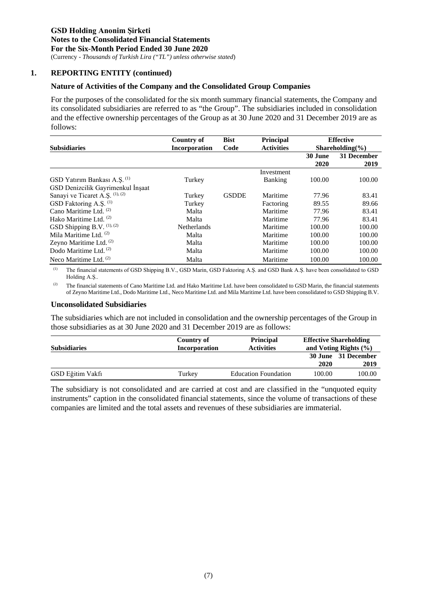(Currency - *Thousands of Turkish Lira ("TL") unless otherwise stated*)

#### **1. REPORTING ENTITY (continued)**

#### **Nature of Activities of the Company and the Consolidated Group Companies**

For the purposes of the consolidated for the six month summary financial statements, the Company and its consolidated subsidiaries are referred to as "the Group". The subsidiaries included in consolidation and the effective ownership percentages of the Group as at 30 June 2020 and 31 December 2019 are as follows:

|                                         | Country of           | <b>Bist</b>  | <b>Principal</b>  |         | <b>Effective</b>                        |
|-----------------------------------------|----------------------|--------------|-------------------|---------|-----------------------------------------|
| <b>Subsidiaries</b>                     | <b>Incorporation</b> | Code         | <b>Activities</b> |         | Shareholding $\left(\frac{0}{0}\right)$ |
|                                         |                      |              |                   | 30 June | 31 December                             |
|                                         |                      |              |                   | 2020    | 2019                                    |
|                                         |                      |              | Investment        |         |                                         |
| GSD Yatırım Bankası A.Ş. <sup>(1)</sup> | Turkey               |              | <b>Banking</b>    | 100.00  | 100.00                                  |
| GSD Denizcilik Gayrimenkul İnşaat       |                      |              |                   |         |                                         |
| Sanayi ve Ticaret A.Ş. (1), (2)         | Turkey               | <b>GSDDE</b> | Maritime          | 77.96   | 83.41                                   |
| GSD Faktoring A.S. <sup>(1)</sup>       | Turkey               |              | Factoring         | 89.55   | 89.66                                   |
| Cano Maritime Ltd. <sup>(2)</sup>       | Malta                |              | Maritime          | 77.96   | 83.41                                   |
| Hako Maritime Ltd. <sup>(2)</sup>       | Malta                |              | Maritime          | 77.96   | 83.41                                   |
| GSD Shipping B.V. (1), (2)              | <b>Netherlands</b>   |              | Maritime          | 100.00  | 100.00                                  |
| Mila Maritime Ltd. $(2)$                | Malta                |              | Maritime          | 100.00  | 100.00                                  |
| Zeyno Maritime Ltd. $(2)$               | Malta                |              | Maritime          | 100.00  | 100.00                                  |
| Dodo Maritime Ltd. <sup>(2)</sup>       | Malta                |              | Maritime          | 100.00  | 100.00                                  |
| Neco Maritime Ltd. $(2)$                | Malta                |              | Maritime          | 100.00  | 100.00                                  |

(1) The financial statements of GSD Shipping B.V., GSD Marin, GSD Faktoring A.Ş. and GSD Bank A.Ş. have been consolidated to GSD Holding A.Ş..

<sup>(2)</sup> The financial statements of Cano Maritime Ltd. and Hako Maritime Ltd. have been consolidated to GSD Marin, the financial statements of Zeyno Maritime Ltd., Dodo Maritime Ltd., Neco Maritime Ltd. and Mila Maritime Ltd. have been consolidated to GSD Shipping B.V.

#### **Unconsolidated Subsidiaries**

The subsidiaries which are not included in consolidation and the ownership percentages of the Group in those subsidiaries as at 30 June 2020 and 31 December 2019 are as follows:

| <b>Subsidiaries</b> | Country of<br>Incorporation | <b>Principal</b><br><b>Activities</b> |        | <b>Effective Shareholding</b><br>and Voting Rights $(\% )$ |
|---------------------|-----------------------------|---------------------------------------|--------|------------------------------------------------------------|
|                     |                             |                                       | 2020   | 30 June 31 December<br>2019                                |
| GSD Eğitim Vakfı    | Turkev                      | <b>Education Foundation</b>           | 100.00 | 100.00                                                     |

The subsidiary is not consolidated and are carried at cost and are classified in the "unquoted equity instruments" caption in the consolidated financial statements, since the volume of transactions of these companies are limited and the total assets and revenues of these subsidiaries are immaterial.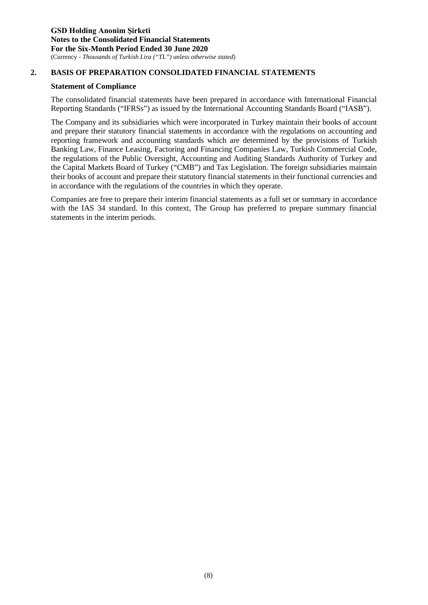#### **2. BASIS OF PREPARATION CONSOLIDATED FINANCIAL STATEMENTS**

#### **Statement of Compliance**

The consolidated financial statements have been prepared in accordance with International Financial Reporting Standards ("IFRSs") as issued by the International Accounting Standards Board ("IASB").

The Company and its subsidiaries which were incorporated in Turkey maintain their books of account and prepare their statutory financial statements in accordance with the regulations on accounting and reporting framework and accounting standards which are determined by the provisions of Turkish Banking Law, Finance Leasing, Factoring and Financing Companies Law, Turkish Commercial Code, the regulations of the Public Oversight, Accounting and Auditing Standards Authority of Turkey and the Capital Markets Board of Turkey ("CMB") and Tax Legislation. The foreign subsidiaries maintain their books of account and prepare their statutory financial statements in their functional currencies and in accordance with the regulations of the countries in which they operate.

Companies are free to prepare their interim financial statements as a full set or summary in accordance with the IAS 34 standard. In this context, The Group has preferred to prepare summary financial statements in the interim periods.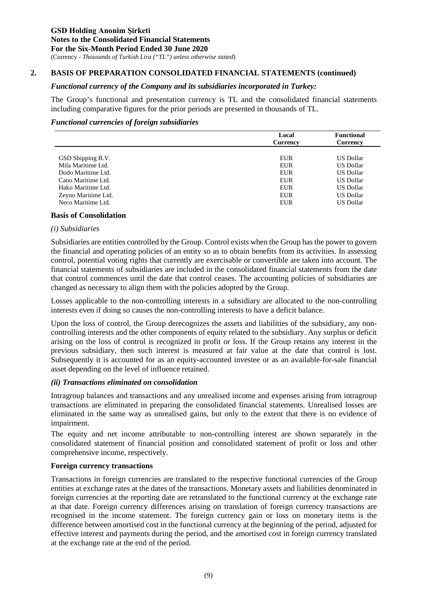#### **2. BASIS OF PREPARATION CONSOLIDATED FINANCIAL STATEMENTS (continued)**

#### *Functional currency of the Company and its subsidiaries incorporated in Turkey:*

The Group's functional and presentation currency is TL and the consolidated financial statements including comparative figures for the prior periods are presented in thousands of TL.

#### *Functional currencies of foreign subsidiaries*

|                     | Local           | <b>Functional</b> |
|---------------------|-----------------|-------------------|
|                     | <b>Currency</b> | Currency          |
|                     |                 |                   |
| GSD Shipping B.V.   | EUR             | US Dollar         |
| Mila Maritime Ltd.  | EUR             | <b>US Dollar</b>  |
| Dodo Maritime Ltd.  | EUR             | <b>US Dollar</b>  |
| Cano Maritime Ltd.  | EUR             | <b>US Dollar</b>  |
| Hako Maritime Ltd.  | EUR             | US Dollar         |
| Zeyno Maritime Ltd. | EUR             | <b>US Dollar</b>  |
| Neco Maritime Ltd.  | <b>EUR</b>      | <b>US Dollar</b>  |
|                     |                 |                   |

#### **Basis of Consolidation**

#### *(i) Subsidiaries*

Subsidiaries are entities controlled by the Group. Control exists when the Group has the power to govern the financial and operating policies of an entity so as to obtain benefits from its activities. In assessing control, potential voting rights that currently are exercisable or convertible are taken into account. The financial statements of subsidiaries are included in the consolidated financial statements from the date that control commences until the date that control ceases. The accounting policies of subsidiaries are changed as necessary to align them with the policies adopted by the Group.

Losses applicable to the non-controlling interests in a subsidiary are allocated to the non-controlling interests even if doing so causes the non-controlling interests to have a deficit balance.

Upon the loss of control, the Group derecognizes the assets and liabilities of the subsidiary, any noncontrolling interests and the other components of equity related to the subsidiary. Any surplus or deficit arising on the loss of control is recognized in profit or loss. If the Group retains any interest in the previous subsidiary, then such interest is measured at fair value at the date that control is lost. Subsequently it is accounted for as an equity-accounted investee or as an available-for-sale financial asset depending on the level of influence retained.

#### *(ii) Transactions eliminated on consolidation*

Intragroup balances and transactions and any unrealised income and expenses arising from intragroup transactions are eliminated in preparing the consolidated financial statements. Unrealised losses are eliminated in the same way as unrealised gains, but only to the extent that there is no evidence of impairment.

The equity and net income attributable to non-controlling interest are shown separately in the consolidated statement of financial position and consolidated statement of profit or loss and other comprehensive income, respectively.

#### **Foreign currency transactions**

Transactions in foreign currencies are translated to the respective functional currencies of the Group entities at exchange rates at the dates of the transactions. Monetary assets and liabilities denominated in foreign currencies at the reporting date are retranslated to the functional currency at the exchange rate at that date. Foreign currency differences arising on translation of foreign currency transactions are recognised in the income statement. The foreign currency gain or loss on monetary items is the difference between amortised cost in the functional currency at the beginning of the period, adjusted for effective interest and payments during the period, and the amortised cost in foreign currency translated at the exchange rate at the end of the period.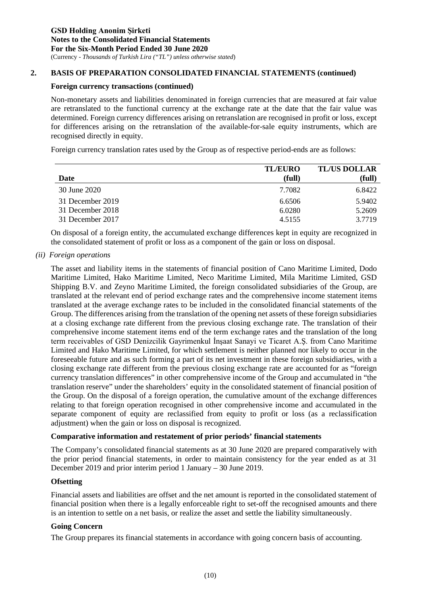#### **2. BASIS OF PREPARATION CONSOLIDATED FINANCIAL STATEMENTS (continued)**

#### **Foreign currency transactions (continued)**

Non-monetary assets and liabilities denominated in foreign currencies that are measured at fair value are retranslated to the functional currency at the exchange rate at the date that the fair value was determined. Foreign currency differences arising on retranslation are recognised in profit or loss, except for differences arising on the retranslation of the available-for-sale equity instruments, which are recognised directly in equity.

Foreign currency translation rates used by the Group as of respective period-ends are as follows:

|                  | <b>TL/EURO</b> | <b>TL/US DOLLAR</b> |
|------------------|----------------|---------------------|
| Date             | (full)         | (full)              |
| 30 June 2020     | 7.7082         | 6.8422              |
| 31 December 2019 | 6.6506         | 5.9402              |
| 31 December 2018 | 6.0280         | 5.2609              |
| 31 December 2017 | 4.5155         | 3.7719              |

On disposal of a foreign entity, the accumulated exchange differences kept in equity are recognized in the consolidated statement of profit or loss as a component of the gain or loss on disposal.

*(ii) Foreign operations*

The asset and liability items in the statements of financial position of Cano Maritime Limited, Dodo Maritime Limited, Hako Maritime Limited, Neco Maritime Limited, Mila Maritime Limited, GSD Shipping B.V. and Zeyno Maritime Limited, the foreign consolidated subsidiaries of the Group, are translated at the relevant end of period exchange rates and the comprehensive income statement items translated at the average exchange rates to be included in the consolidated financial statements of the Group. The differences arising from the translation of the opening net assets of these foreign subsidiaries at a closing exchange rate different from the previous closing exchange rate. The translation of their comprehensive income statement items end of the term exchange rates and the translation of the long term receivables of GSD Denizcilik Gayrimenkul İnşaat Sanayi ve Ticaret A.Ş. from Cano Maritime Limited and Hako Maritime Limited, for which settlement is neither planned nor likely to occur in the foreseeable future and as such forming a part of its net investment in these foreign subsidiaries, with a closing exchange rate different from the previous closing exchange rate are accounted for as "foreign currency translation differences" in other comprehensive income of the Group and accumulated in "the translation reserve" under the shareholders' equity in the consolidated statement of financial position of the Group. On the disposal of a foreign operation, the cumulative amount of the exchange differences relating to that foreign operation recognised in other comprehensive income and accumulated in the separate component of equity are reclassified from equity to profit or loss (as a reclassification adjustment) when the gain or loss on disposal is recognized.

#### **Comparative information and restatement of prior periods' financial statements**

The Company's consolidated financial statements as at 30 June 2020 are prepared comparatively with the prior period financial statements, in order to maintain consistency for the year ended as at 31 December 2019 and prior interim period 1 January – 30 June 2019.

#### **Ofsetting**

Financial assets and liabilities are offset and the net amount is reported in the consolidated statement of financial position when there is a legally enforceable right to set-off the recognised amounts and there is an intention to settle on a net basis, or realize the asset and settle the liability simultaneously.

#### **Going Concern**

The Group prepares its financial statements in accordance with going concern basis of accounting.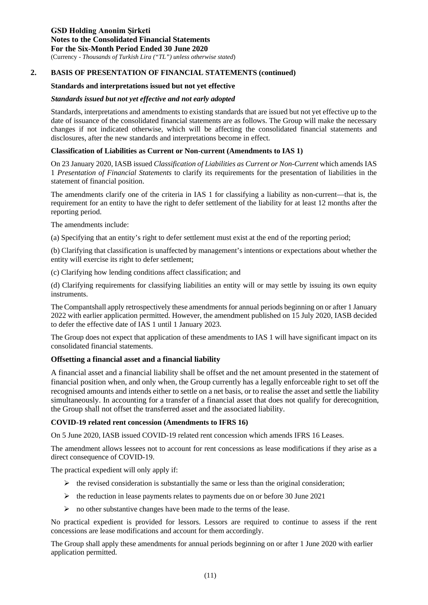#### **Standards and interpretations issued but not yet effective**

#### *Standards issued but not yet effective and not early adopted*

Standards, interpretations and amendments to existing standards that are issued but not yet effective up to the date of issuance of the consolidated financial statements are as follows. The Group will make the necessary changes if not indicated otherwise, which will be affecting the consolidated financial statements and disclosures, after the new standards and interpretations become in effect.

#### **Classification of Liabilities as Current or Non-current (Amendments to IAS 1)**

On 23 January 2020, IASB issued *Classification of Liabilities as Current or Non-Current* which amends IAS 1 *Presentation of Financial Statements* to clarify its requirements for the presentation of liabilities in the statement of financial position.

The amendments clarify one of the criteria in IAS 1 for classifying a liability as non-current—that is, the requirement for an entity to have the right to defer settlement of the liability for at least 12 months after the reporting period.

The amendments include:

(a) Specifying that an entity's right to defer settlement must exist at the end of the reporting period;

(b) Clarifying that classification is unaffected by management's intentions or expectations about whether the entity will exercise its right to defer settlement;

(c) Clarifying how lending conditions affect classification; and

(d) Clarifying requirements for classifying liabilities an entity will or may settle by issuing its own equity instruments.

The Compantshall apply retrospectively these amendments for annual periods beginning on or after 1 January 2022 with earlier application permitted. However, the amendment published on 15 July 2020, IASB decided to defer the effective date of IAS 1 until 1 January 2023.

The Group does not expect that application of these amendments to IAS 1 will have significant impact on its consolidated financial statements.

#### **Offsetting a financial asset and a financial liability**

A financial asset and a financial liability shall be offset and the net amount presented in the statement of financial position when, and only when, the Group currently has a legally enforceable right to set off the recognised amounts and intends either to settle on a net basis, or to realise the asset and settle the liability simultaneously. In accounting for a transfer of a financial asset that does not qualify for derecognition, the Group shall not offset the transferred asset and the associated liability.

#### **COVID-19 related rent concession (Amendments to IFRS 16)**

On 5 June 2020, IASB issued COVID-19 related rent concession which amends IFRS 16 Leases.

The amendment allows lessees not to account for rent concessions as lease modifications if they arise as a direct consequence of COVID-19.

The practical expedient will only apply if:

- $\triangleright$  the revised consideration is substantially the same or less than the original consideration;
- $\triangleright$  the reduction in lease payments relates to payments due on or before 30 June 2021
- $\triangleright$  no other substantive changes have been made to the terms of the lease.

No practical expedient is provided for lessors. Lessors are required to continue to assess if the rent concessions are lease modifications and account for them accordingly.

The Group shall apply these amendments for annual periods beginning on or after 1 June 2020 with earlier application permitted.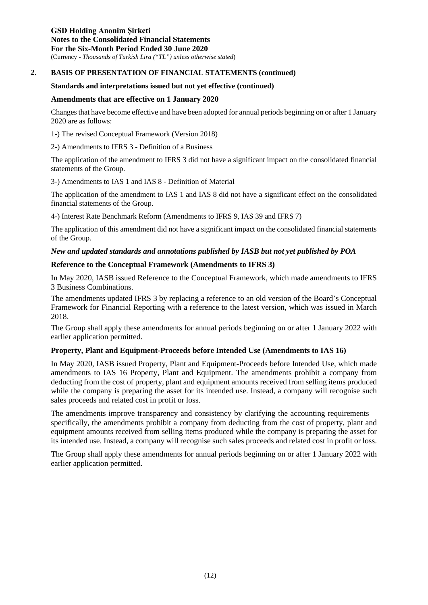**GSD Holding Anonim Şirketi Notes to the Consolidated Financial Statements For the Six-Month Period Ended 30 June 2020** (Currency - *Thousands of Turkish Lira ("TL") unless otherwise stated*)

#### **2. BASIS OF PRESENTATION OF FINANCIAL STATEMENTS (continued)**

#### **Standards and interpretations issued but not yet effective (continued)**

#### **Amendments that are effective on 1 January 2020**

Changes that have become effective and have been adopted for annual periods beginning on or after 1 January 2020 are as follows:

1-) The revised Conceptual Framework (Version 2018)

2-) Amendments to IFRS 3 - Definition of a Business

The application of the amendment to IFRS 3 did not have a significant impact on the consolidated financial statements of the Group.

3-) Amendments to IAS 1 and IAS 8 - Definition of Material

The application of the amendment to IAS 1 and IAS 8 did not have a significant effect on the consolidated financial statements of the Group.

4-) Interest Rate Benchmark Reform (Amendments to IFRS 9, IAS 39 and IFRS 7)

The application of this amendment did not have a significant impact on the consolidated financial statements of the Group.

#### *New and updated standards and annotations published by IASB but not yet published by POA*

#### **Reference to the Conceptual Framework (Amendments to IFRS 3)**

In May 2020, IASB issued Reference to the Conceptual Framework, which made amendments to IFRS 3 Business Combinations.

The amendments updated IFRS 3 by replacing a reference to an old version of the Board's Conceptual Framework for Financial Reporting with a reference to the latest version, which was issued in March 2018.

The Group shall apply these amendments for annual periods beginning on or after 1 January 2022 with earlier application permitted.

#### **Property, Plant and Equipment-Proceeds before Intended Use (Amendments to IAS 16)**

In May 2020, IASB issued Property, Plant and Equipment-Proceeds before Intended Use, which made amendments to IAS 16 Property, Plant and Equipment. The amendments prohibit a company from deducting from the cost of property, plant and equipment amounts received from selling items produced while the company is preparing the asset for its intended use. Instead, a company will recognise such sales proceeds and related cost in profit or loss.

The amendments improve transparency and consistency by clarifying the accounting requirements specifically, the amendments prohibit a company from deducting from the cost of property, plant and equipment amounts received from selling items produced while the company is preparing the asset for its intended use. Instead, a company will recognise such sales proceeds and related cost in profit or loss.

The Group shall apply these amendments for annual periods beginning on or after 1 January 2022 with earlier application permitted.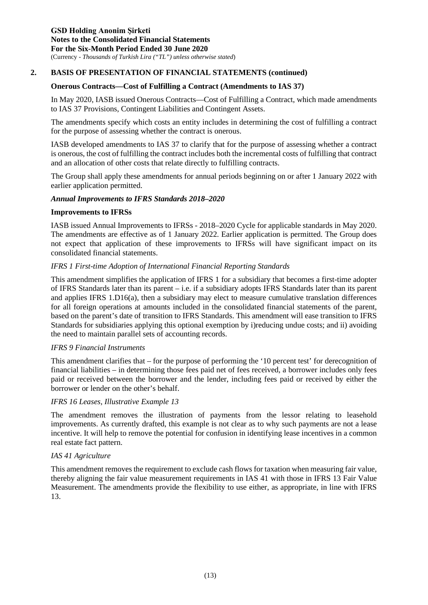#### **Onerous Contracts—Cost of Fulfilling a Contract (Amendments to IAS 37)**

In May 2020, IASB issued Onerous Contracts—Cost of Fulfilling a Contract, which made amendments to IAS 37 Provisions, Contingent Liabilities and Contingent Assets.

The amendments specify which costs an entity includes in determining the cost of fulfilling a contract for the purpose of assessing whether the contract is onerous.

IASB developed amendments to IAS 37 to clarify that for the purpose of assessing whether a contract is onerous, the cost of fulfilling the contract includes both the incremental costs of fulfilling that contract and an allocation of other costs that relate directly to fulfilling contracts.

The Group shall apply these amendments for annual periods beginning on or after 1 January 2022 with earlier application permitted.

#### *Annual Improvements to IFRS Standards 2018–2020*

#### **Improvements to IFRSs**

IASB issued Annual Improvements to IFRSs - 2018–2020 Cycle for applicable standards in May 2020. The amendments are effective as of 1 January 2022. Earlier application is permitted. The Group does not expect that application of these improvements to IFRSs will have significant impact on its consolidated financial statements.

#### *IFRS 1 First-time Adoption of International Financial Reporting Standards*

This amendment simplifies the application of IFRS 1 for a subsidiary that becomes a first-time adopter of IFRS Standards later than its parent – i.e. if a subsidiary adopts IFRS Standards later than its parent and applies IFRS 1.D16(a), then a subsidiary may elect to measure cumulative translation differences for all foreign operations at amounts included in the consolidated financial statements of the parent, based on the parent's date of transition to IFRS Standards. This amendment will ease transition to IFRS Standards for subsidiaries applying this optional exemption by i)reducing undue costs; and ii) avoiding the need to maintain parallel sets of accounting records.

#### *IFRS 9 Financial Instruments*

This amendment clarifies that – for the purpose of performing the '10 percent test' for derecognition of financial liabilities – in determining those fees paid net of fees received, a borrower includes only fees paid or received between the borrower and the lender, including fees paid or received by either the borrower or lender on the other's behalf.

#### *IFRS 16 Leases, Illustrative Example 13*

The amendment removes the illustration of payments from the lessor relating to leasehold improvements. As currently drafted, this example is not clear as to why such payments are not a lease incentive. It will help to remove the potential for confusion in identifying lease incentives in a common real estate fact pattern.

#### *IAS 41 Agriculture*

This amendment removes the requirement to exclude cash flows for taxation when measuring fair value, thereby aligning the fair value measurement requirements in IAS 41 with those in IFRS 13 Fair Value Measurement. The amendments provide the flexibility to use either, as appropriate, in line with IFRS 13.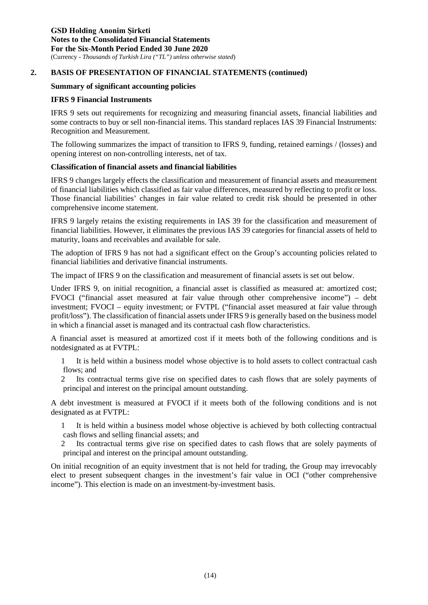#### **Summary of significant accounting policies**

#### **IFRS 9 Financial Instruments**

IFRS 9 sets out requirements for recognizing and measuring financial assets, financial liabilities and some contracts to buy or sell non-financial items. This standard replaces IAS 39 Financial Instruments: Recognition and Measurement.

The following summarizes the impact of transition to IFRS 9, funding, retained earnings / (losses) and opening interest on non-controlling interests, net of tax.

#### **Classification of financial assets and financial liabilities**

IFRS 9 changes largely effects the classification and measurement of financial assets and measurement of financial liabilities which classified as fair value differences, measured by reflecting to profit or loss. Those financial liabilities' changes in fair value related to credit risk should be presented in other comprehensive income statement.

IFRS 9 largely retains the existing requirements in IAS 39 for the classification and measurement of financial liabilities. However, it eliminates the previous IAS 39 categories for financial assets of held to maturity, loans and receivables and available for sale.

The adoption of IFRS 9 has not had a significant effect on the Group's accounting policies related to financial liabilities and derivative financial instruments.

The impact of IFRS 9 on the classification and measurement of financial assets is set out below.

Under IFRS 9, on initial recognition, a financial asset is classified as measured at: amortized cost; FVOCI ("financial asset measured at fair value through other comprehensive income") – debt investment; FVOCI – equity investment; or FVTPL ("financial asset measured at fair value through profit/loss"). The classification of financial assets under IFRS 9 is generally based on the business model in which a financial asset is managed and its contractual cash flow characteristics.

A financial asset is measured at amortized cost if it meets both of the following conditions and is notdesignated as at FVTPL:

1 It is held within a business model whose objective is to hold assets to collect contractual cash flows; and

2 Its contractual terms give rise on specified dates to cash flows that are solely payments of principal and interest on the principal amount outstanding.

A debt investment is measured at FVOCI if it meets both of the following conditions and is not designated as at FVTPL:

1 It is held within a business model whose objective is achieved by both collecting contractual cash flows and selling financial assets; and

2 Its contractual terms give rise on specified dates to cash flows that are solely payments of principal and interest on the principal amount outstanding.

On initial recognition of an equity investment that is not held for trading, the Group may irrevocably elect to present subsequent changes in the investment's fair value in OCI ("other comprehensive income"). This election is made on an investment-by-investment basis.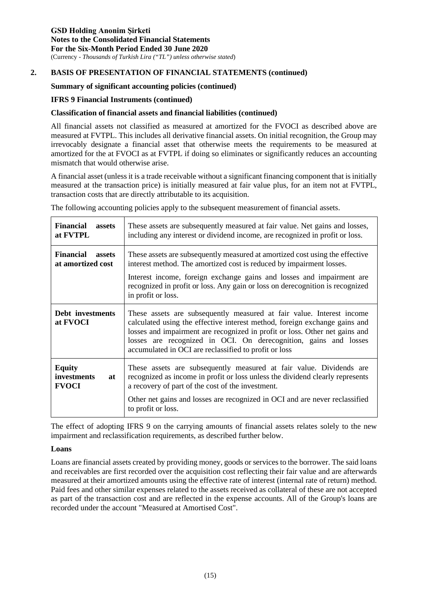#### **Summary of significant accounting policies (continued)**

#### **IFRS 9 Financial Instruments (continued)**

#### **Classification of financial assets and financial liabilities (continued)**

All financial assets not classified as measured at amortized for the FVOCI as described above are measured at FVTPL. This includes all derivative financial assets. On initial recognition, the Group may irrevocably designate a financial asset that otherwise meets the requirements to be measured at amortized for the at FVOCI as at FVTPL if doing so eliminates or significantly reduces an accounting mismatch that would otherwise arise.

A financial asset (unless it is a trade receivable without a significant financing component that is initially measured at the transaction price) is initially measured at fair value plus, for an item not at FVTPL, transaction costs that are directly attributable to its acquisition.

The following accounting policies apply to the subsequent measurement of financial assets.

| <b>Financial</b><br>assets<br>at FVTPL                 | These assets are subsequently measured at fair value. Net gains and losses,<br>including any interest or dividend income, are recognized in profit or loss.                                                                                                                                                                                                     |
|--------------------------------------------------------|-----------------------------------------------------------------------------------------------------------------------------------------------------------------------------------------------------------------------------------------------------------------------------------------------------------------------------------------------------------------|
| <b>Financial</b><br><b>assets</b><br>at amortized cost | These assets are subsequently measured at amortized cost using the effective<br>interest method. The amortized cost is reduced by impairment losses.                                                                                                                                                                                                            |
|                                                        | Interest income, foreign exchange gains and losses and impairment are<br>recognized in profit or loss. Any gain or loss on derecognition is recognized<br>in profit or loss.                                                                                                                                                                                    |
| Debt investments<br>at FVOCI                           | These assets are subsequently measured at fair value. Interest income<br>calculated using the effective interest method, foreign exchange gains and<br>losses and impairment are recognized in profit or loss. Other net gains and<br>losses are recognized in OCI. On derecognition, gains and losses<br>accumulated in OCI are reclassified to profit or loss |
| <b>Equity</b><br>investments<br>at<br><b>FVOCI</b>     | These assets are subsequently measured at fair value. Dividends are<br>recognized as income in profit or loss unless the dividend clearly represents<br>a recovery of part of the cost of the investment.                                                                                                                                                       |
|                                                        | Other net gains and losses are recognized in OCI and are never reclassified<br>to profit or loss.                                                                                                                                                                                                                                                               |

The effect of adopting IFRS 9 on the carrying amounts of financial assets relates solely to the new impairment and reclassification requirements, as described further below.

#### **Loans**

Loans are financial assets created by providing money, goods or services to the borrower. The said loans and receivables are first recorded over the acquisition cost reflecting their fair value and are afterwards measured at their amortized amounts using the effective rate of interest (internal rate of return) method. Paid fees and other similar expenses related to the assets received as collateral of these are not accepted as part of the transaction cost and are reflected in the expense accounts. All of the Group's loans are recorded under the account "Measured at Amortised Cost".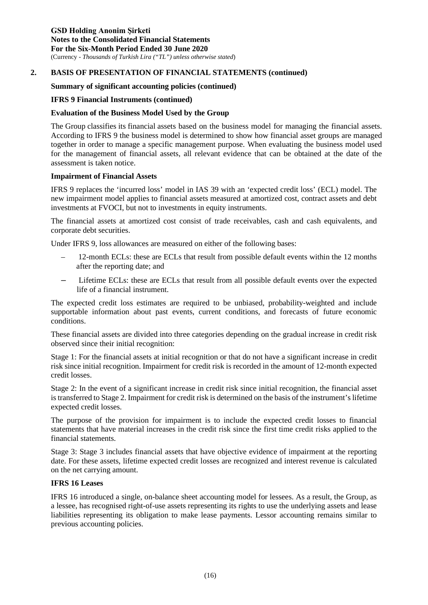#### **Summary of significant accounting policies (continued)**

#### **IFRS 9 Financial Instruments (continued)**

#### **Evaluation of the Business Model Used by the Group**

The Group classifies its financial assets based on the business model for managing the financial assets. According to IFRS 9 the business model is determined to show how financial asset groups are managed together in order to manage a specific management purpose. When evaluating the business model used for the management of financial assets, all relevant evidence that can be obtained at the date of the assessment is taken notice.

#### **Impairment of Financial Assets**

IFRS 9 replaces the 'incurred loss' model in IAS 39 with an 'expected credit loss' (ECL) model. The new impairment model applies to financial assets measured at amortized cost, contract assets and debt investments at FVOCI, but not to investments in equity instruments.

The financial assets at amortized cost consist of trade receivables, cash and cash equivalents, and corporate debt securities.

Under IFRS 9, loss allowances are measured on either of the following bases:

- 12-month ECLs: these are ECLs that result from possible default events within the 12 months after the reporting date; and
- Lifetime ECLs: these are ECLs that result from all possible default events over the expected life of a financial instrument.

The expected credit loss estimates are required to be unbiased, probability-weighted and include supportable information about past events, current conditions, and forecasts of future economic conditions.

These financial assets are divided into three categories depending on the gradual increase in credit risk observed since their initial recognition:

Stage 1: For the financial assets at initial recognition or that do not have a significant increase in credit risk since initial recognition. Impairment for credit risk is recorded in the amount of 12-month expected credit losses.

Stage 2: In the event of a significant increase in credit risk since initial recognition, the financial asset is transferred to Stage 2. Impairment for credit risk is determined on the basis of the instrument's lifetime expected credit losses.

The purpose of the provision for impairment is to include the expected credit losses to financial statements that have material increases in the credit risk since the first time credit risks applied to the financial statements.

Stage 3: Stage 3 includes financial assets that have objective evidence of impairment at the reporting date. For these assets, lifetime expected credit losses are recognized and interest revenue is calculated on the net carrying amount.

#### **IFRS 16 Leases**

IFRS 16 introduced a single, on-balance sheet accounting model for lessees. As a result, the Group, as a lessee, has recognised right-of-use assets representing its rights to use the underlying assets and lease liabilities representing its obligation to make lease payments. Lessor accounting remains similar to previous accounting policies.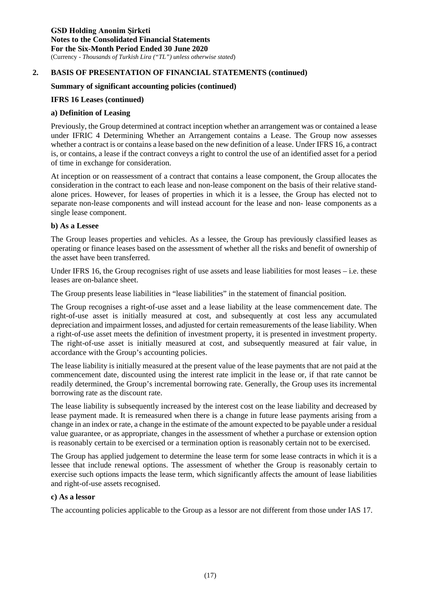#### **Summary of significant accounting policies (continued)**

#### **IFRS 16 Leases (continued)**

#### **a) Definition of Leasing**

Previously, the Group determined at contract inception whether an arrangement was or contained a lease under IFRIC 4 Determining Whether an Arrangement contains a Lease. The Group now assesses whether a contract is or contains a lease based on the new definition of a lease. Under IFRS 16, a contract is, or contains, a lease if the contract conveys a right to control the use of an identified asset for a period of time in exchange for consideration.

At inception or on reassessment of a contract that contains a lease component, the Group allocates the consideration in the contract to each lease and non-lease component on the basis of their relative standalone prices. However, for leases of properties in which it is a lessee, the Group has elected not to separate non-lease components and will instead account for the lease and non- lease components as a single lease component.

#### **b) As a Lessee**

The Group leases properties and vehicles. As a lessee, the Group has previously classified leases as operating or finance leases based on the assessment of whether all the risks and benefit of ownership of the asset have been transferred.

Under IFRS 16, the Group recognises right of use assets and lease liabilities for most leases – i.e. these leases are on-balance sheet.

The Group presents lease liabilities in "lease liabilities" in the statement of financial position.

The Group recognises a right-of-use asset and a lease liability at the lease commencement date. The right-of-use asset is initially measured at cost, and subsequently at cost less any accumulated depreciation and impairment losses, and adjusted for certain remeasurements of the lease liability. When a right-of-use asset meets the definition of investment property, it is presented in investment property. The right-of-use asset is initially measured at cost, and subsequently measured at fair value, in accordance with the Group's accounting policies.

The lease liability is initially measured at the present value of the lease payments that are not paid at the commencement date, discounted using the interest rate implicit in the lease or, if that rate cannot be readily determined, the Group's incremental borrowing rate. Generally, the Group uses its incremental borrowing rate as the discount rate.

The lease liability is subsequently increased by the interest cost on the lease liability and decreased by lease payment made. It is remeasured when there is a change in future lease payments arising from a change in an index or rate, a change in the estimate of the amount expected to be payable under a residual value guarantee, or as appropriate, changes in the assessment of whether a purchase or extension option is reasonably certain to be exercised or a termination option is reasonably certain not to be exercised.

The Group has applied judgement to determine the lease term for some lease contracts in which it is a lessee that include renewal options. The assessment of whether the Group is reasonably certain to exercise such options impacts the lease term, which significantly affects the amount of lease liabilities and right-of-use assets recognised.

#### **c) As a lessor**

The accounting policies applicable to the Group as a lessor are not different from those under IAS 17.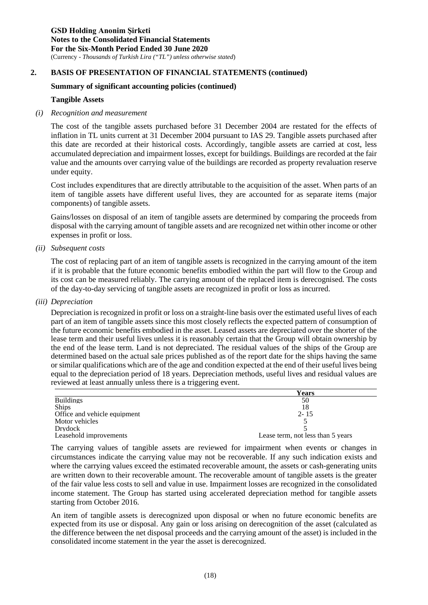#### **Summary of significant accounting policies (continued)**

#### **Tangible Assets**

#### *(i) Recognition and measurement*

The cost of the tangible assets purchased before 31 December 2004 are restated for the effects of inflation in TL units current at 31 December 2004 pursuant to IAS 29. Tangible assets purchased after this date are recorded at their historical costs. Accordingly, tangible assets are carried at cost, less accumulated depreciation and impairment losses, except for buildings. Buildings are recorded at the fair value and the amounts over carrying value of the buildings are recorded as property revaluation reserve under equity.

Cost includes expenditures that are directly attributable to the acquisition of the asset. When parts of an item of tangible assets have different useful lives, they are accounted for as separate items (major components) of tangible assets.

Gains/losses on disposal of an item of tangible assets are determined by comparing the proceeds from disposal with the carrying amount of tangible assets and are recognized net within other income or other expenses in profit or loss.

#### *(ii) Subsequent costs*

The cost of replacing part of an item of tangible assets is recognized in the carrying amount of the item if it is probable that the future economic benefits embodied within the part will flow to the Group and its cost can be measured reliably. The carrying amount of the replaced item is derecognised. The costs of the day-to-day servicing of tangible assets are recognized in profit or loss as incurred.

#### *(iii) Depreciation*

Depreciation is recognized in profit or loss on a straight-line basis over the estimated useful lives of each part of an item of tangible assets since this most closely reflects the expected pattern of consumption of the future economic benefits embodied in the asset. Leased assets are depreciated over the shorter of the lease term and their useful lives unless it is reasonably certain that the Group will obtain ownership by the end of the lease term. Land is not depreciated. The residual values of the ships of the Group are determined based on the actual sale prices published as of the report date for the ships having the same or similar qualifications which are of the age and condition expected at the end of their useful lives being equal to the depreciation period of 18 years. Depreciation methods, useful lives and residual values are reviewed at least annually unless there is a triggering event.

|                              | Years                             |
|------------------------------|-----------------------------------|
| <b>Buildings</b>             | 50                                |
| <b>Ships</b>                 | 18                                |
| Office and vehicle equipment | $2 - 15$                          |
| Motor vehicles               |                                   |
| Drydock                      |                                   |
| Leasehold improvements       | Lease term, not less than 5 years |

The carrying values of tangible assets are reviewed for impairment when events or changes in circumstances indicate the carrying value may not be recoverable. If any such indication exists and where the carrying values exceed the estimated recoverable amount, the assets or cash-generating units are written down to their recoverable amount. The recoverable amount of tangible assets is the greater of the fair value less costs to sell and value in use. Impairment losses are recognized in the consolidated income statement. The Group has started using accelerated depreciation method for tangible assets starting from October 2016.

An item of tangible assets is derecognized upon disposal or when no future economic benefits are expected from its use or disposal. Any gain or loss arising on derecognition of the asset (calculated as the difference between the net disposal proceeds and the carrying amount of the asset) is included in the consolidated income statement in the year the asset is derecognized.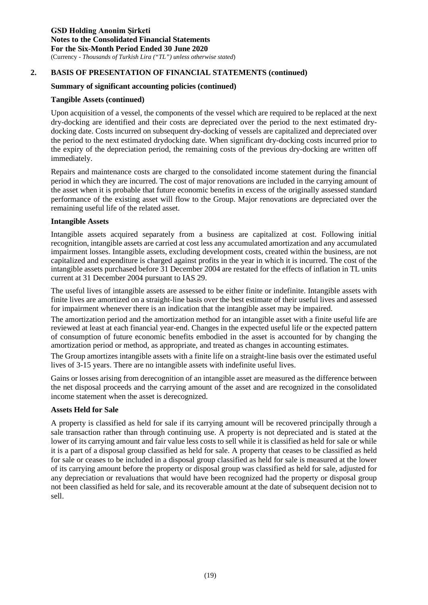#### **Summary of significant accounting policies (continued)**

#### **Tangible Assets (continued)**

Upon acquisition of a vessel, the components of the vessel which are required to be replaced at the next dry-docking are identified and their costs are depreciated over the period to the next estimated drydocking date. Costs incurred on subsequent dry-docking of vessels are capitalized and depreciated over the period to the next estimated drydocking date. When significant dry-docking costs incurred prior to the expiry of the depreciation period, the remaining costs of the previous dry-docking are written off immediately.

Repairs and maintenance costs are charged to the consolidated income statement during the financial period in which they are incurred. The cost of major renovations are included in the carrying amount of the asset when it is probable that future economic benefits in excess of the originally assessed standard performance of the existing asset will flow to the Group. Major renovations are depreciated over the remaining useful life of the related asset.

#### **Intangible Assets**

Intangible assets acquired separately from a business are capitalized at cost. Following initial recognition, intangible assets are carried at cost less any accumulated amortization and any accumulated impairment losses. Intangible assets, excluding development costs, created within the business, are not capitalized and expenditure is charged against profits in the year in which it is incurred. The cost of the intangible assets purchased before 31 December 2004 are restated for the effects of inflation in TL units current at 31 December 2004 pursuant to IAS 29.

The useful lives of intangible assets are assessed to be either finite or indefinite. Intangible assets with finite lives are amortized on a straight-line basis over the best estimate of their useful lives and assessed for impairment whenever there is an indication that the intangible asset may be impaired.

The amortization period and the amortization method for an intangible asset with a finite useful life are reviewed at least at each financial year-end. Changes in the expected useful life or the expected pattern of consumption of future economic benefits embodied in the asset is accounted for by changing the amortization period or method, as appropriate, and treated as changes in accounting estimates.

The Group amortizes intangible assets with a finite life on a straight-line basis over the estimated useful lives of 3-15 years. There are no intangible assets with indefinite useful lives.

Gains or losses arising from derecognition of an intangible asset are measured as the difference between the net disposal proceeds and the carrying amount of the asset and are recognized in the consolidated income statement when the asset is derecognized.

#### **Assets Held for Sale**

A property is classified as held for sale if its carrying amount will be recovered principally through a sale transaction rather than through continuing use. A property is not depreciated and is stated at the lower of its carrying amount and fair value less costs to sell while it is classified as held for sale or while it is a part of a disposal group classified as held for sale. A property that ceases to be classified as held for sale or ceases to be included in a disposal group classified as held for sale is measured at the lower of its carrying amount before the property or disposal group was classified as held for sale, adjusted for any depreciation or revaluations that would have been recognized had the property or disposal group not been classified as held for sale, and its recoverable amount at the date of subsequent decision not to sell.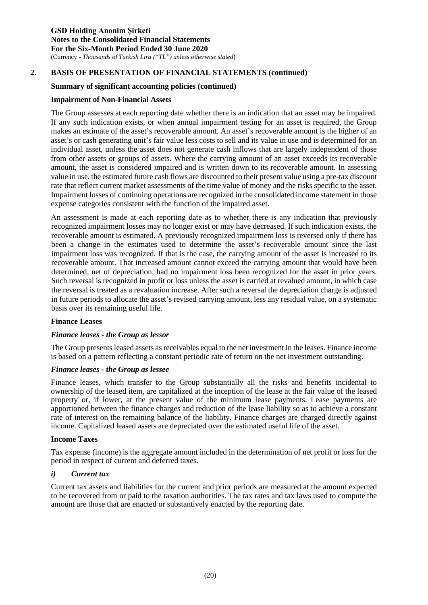#### **Summary of significant accounting policies (continued)**

#### **Impairment of Non-Financial Assets**

The Group assesses at each reporting date whether there is an indication that an asset may be impaired. If any such indication exists, or when annual impairment testing for an asset is required, the Group makes an estimate of the asset's recoverable amount. An asset's recoverable amount is the higher of an asset's or cash generating unit's fair value less costs to sell and its value in use and is determined for an individual asset, unless the asset does not generate cash inflows that are largely independent of those from other assets or groups of assets. Where the carrying amount of an asset exceeds its recoverable amount, the asset is considered impaired and is written down to its recoverable amount. In assessing value in use, the estimated future cash flows are discounted to their present value using a pre-tax discount rate that reflect current market assessments of the time value of money and the risks specific to the asset. Impairment losses of continuing operations are recognized in the consolidated income statement in those expense categories consistent with the function of the impaired asset.

An assessment is made at each reporting date as to whether there is any indication that previously recognized impairment losses may no longer exist or may have decreased. If such indication exists, the recoverable amount is estimated. A previously recognized impairment loss is reversed only if there has been a change in the estimates used to determine the asset's recoverable amount since the last impairment loss was recognized. If that is the case, the carrying amount of the asset is increased to its recoverable amount. That increased amount cannot exceed the carrying amount that would have been determined, net of depreciation, had no impairment loss been recognized for the asset in prior years. Such reversal is recognized in profit or loss unless the asset is carried at revalued amount, in which case the reversal is treated as a revaluation increase. After such a reversal the depreciation charge is adjusted in future periods to allocate the asset's revised carrying amount, less any residual value, on a systematic basis over its remaining useful life.

#### **Finance Leases**

#### *Finance leases - the Group as lessor*

The Group presents leased assets as receivables equal to the net investment in the leases. Finance income is based on a pattern reflecting a constant periodic rate of return on the net investment outstanding.

#### *Finance leases - the Group as lessee*

Finance leases, which transfer to the Group substantially all the risks and benefits incidental to ownership of the leased item, are capitalized at the inception of the lease at the fair value of the leased property or, if lower, at the present value of the minimum lease payments. Lease payments are apportioned between the finance charges and reduction of the lease liability so as to achieve a constant rate of interest on the remaining balance of the liability. Finance charges are charged directly against income. Capitalized leased assets are depreciated over the estimated useful life of the asset.

#### **Income Taxes**

Tax expense (income) is the aggregate amount included in the determination of net profit or loss for the period in respect of current and deferred taxes.

#### *i) Current tax*

Current tax assets and liabilities for the current and prior periods are measured at the amount expected to be recovered from or paid to the taxation authorities. The tax rates and tax laws used to compute the amount are those that are enacted or substantively enacted by the reporting date.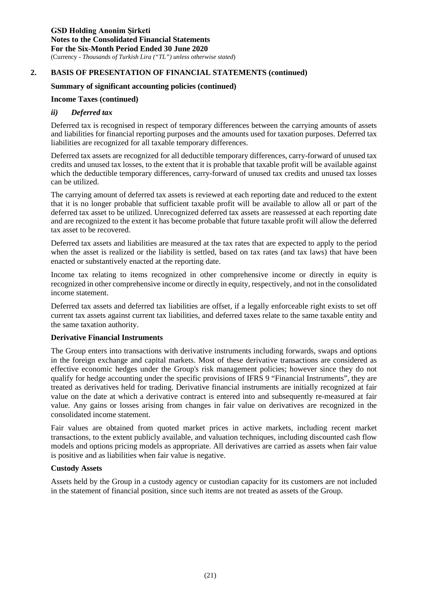#### **Summary of significant accounting policies (continued)**

#### **Income Taxes (continued)**

#### *ii) Deferred tax*

Deferred tax is recognised in respect of temporary differences between the carrying amounts of assets and liabilities for financial reporting purposes and the amounts used for taxation purposes. Deferred tax liabilities are recognized for all taxable temporary differences.

Deferred tax assets are recognized for all deductible temporary differences, carry-forward of unused tax credits and unused tax losses, to the extent that it is probable that taxable profit will be available against which the deductible temporary differences, carry-forward of unused tax credits and unused tax losses can be utilized.

The carrying amount of deferred tax assets is reviewed at each reporting date and reduced to the extent that it is no longer probable that sufficient taxable profit will be available to allow all or part of the deferred tax asset to be utilized. Unrecognized deferred tax assets are reassessed at each reporting date and are recognized to the extent it has become probable that future taxable profit will allow the deferred tax asset to be recovered.

Deferred tax assets and liabilities are measured at the tax rates that are expected to apply to the period when the asset is realized or the liability is settled, based on tax rates (and tax laws) that have been enacted or substantively enacted at the reporting date.

Income tax relating to items recognized in other comprehensive income or directly in equity is recognized in other comprehensive income or directly in equity, respectively, and not in the consolidated income statement.

Deferred tax assets and deferred tax liabilities are offset, if a legally enforceable right exists to set off current tax assets against current tax liabilities, and deferred taxes relate to the same taxable entity and the same taxation authority.

#### **Derivative Financial Instruments**

The Group enters into transactions with derivative instruments including forwards, swaps and options in the foreign exchange and capital markets. Most of these derivative transactions are considered as effective economic hedges under the Group's risk management policies; however since they do not qualify for hedge accounting under the specific provisions of IFRS 9 "Financial Instruments", they are treated as derivatives held for trading. Derivative financial instruments are initially recognized at fair value on the date at which a derivative contract is entered into and subsequently re-measured at fair value. Any gains or losses arising from changes in fair value on derivatives are recognized in the consolidated income statement.

Fair values are obtained from quoted market prices in active markets, including recent market transactions, to the extent publicly available, and valuation techniques, including discounted cash flow models and options pricing models as appropriate. All derivatives are carried as assets when fair value is positive and as liabilities when fair value is negative.

#### **Custody Assets**

Assets held by the Group in a custody agency or custodian capacity for its customers are not included in the statement of financial position, since such items are not treated as assets of the Group.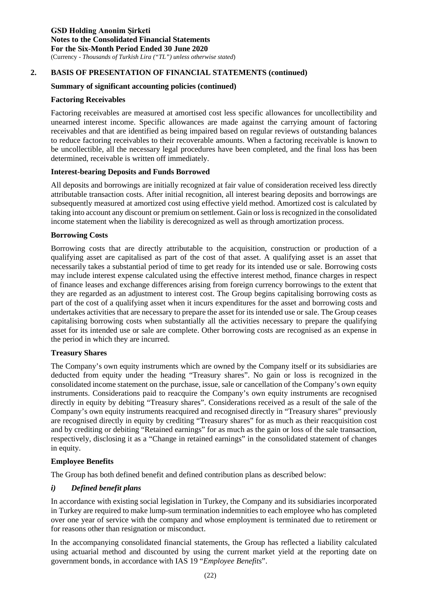#### **Summary of significant accounting policies (continued)**

#### **Factoring Receivables**

Factoring receivables are measured at amortised cost less specific allowances for uncollectibility and unearned interest income. Specific allowances are made against the carrying amount of factoring receivables and that are identified as being impaired based on regular reviews of outstanding balances to reduce factoring receivables to their recoverable amounts. When a factoring receivable is known to be uncollectible, all the necessary legal procedures have been completed, and the final loss has been determined, receivable is written off immediately.

#### **Interest-bearing Deposits and Funds Borrowed**

All deposits and borrowings are initially recognized at fair value of consideration received less directly attributable transaction costs. After initial recognition, all interest bearing deposits and borrowings are subsequently measured at amortized cost using effective yield method. Amortized cost is calculated by taking into account any discount or premium on settlement. Gain or loss is recognized in the consolidated income statement when the liability is derecognized as well as through amortization process.

#### **Borrowing Costs**

Borrowing costs that are directly attributable to the acquisition, construction or production of a qualifying asset are capitalised as part of the cost of that asset. A qualifying asset is an asset that necessarily takes a substantial period of time to get ready for its intended use or sale. Borrowing costs may include interest expense calculated using the effective interest method, finance charges in respect of finance leases and exchange differences arising from foreign currency borrowings to the extent that they are regarded as an adjustment to interest cost. The Group begins capitalising borrowing costs as part of the cost of a qualifying asset when it incurs expenditures for the asset and borrowing costs and undertakes activities that are necessary to prepare the asset for its intended use or sale. The Group ceases capitalising borrowing costs when substantially all the activities necessary to prepare the qualifying asset for its intended use or sale are complete. Other borrowing costs are recognised as an expense in the period in which they are incurred.

#### **Treasury Shares**

The Company's own equity instruments which are owned by the Company itself or its subsidiaries are deducted from equity under the heading "Treasury shares". No gain or loss is recognized in the consolidated income statement on the purchase, issue, sale or cancellation of the Company's own equity instruments. Considerations paid to reacquire the Company's own equity instruments are recognised directly in equity by debiting "Treasury shares". Considerations received as a result of the sale of the Company's own equity instruments reacquired and recognised directly in "Treasury shares" previously are recognised directly in equity by crediting "Treasury shares" for as much as their reacquisition cost and by crediting or debiting "Retained earnings" for as much as the gain or loss of the sale transaction, respectively, disclosing it as a "Change in retained earnings" in the consolidated statement of changes in equity.

#### **Employee Benefits**

The Group has both defined benefit and defined contribution plans as described below:

#### *i) Defined benefit plans*

In accordance with existing social legislation in Turkey, the Company and its subsidiaries incorporated in Turkey are required to make lump-sum termination indemnities to each employee who has completed over one year of service with the company and whose employment is terminated due to retirement or for reasons other than resignation or misconduct.

In the accompanying consolidated financial statements, the Group has reflected a liability calculated using actuarial method and discounted by using the current market yield at the reporting date on government bonds, in accordance with IAS 19 "*Employee Benefits*".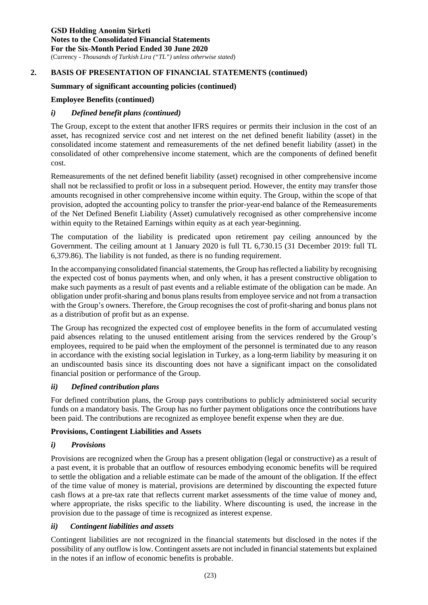#### **Summary of significant accounting policies (continued)**

#### **Employee Benefits (continued)**

#### *i) Defined benefit plans (continued)*

The Group, except to the extent that another IFRS requires or permits their inclusion in the cost of an asset, has recognized service cost and net interest on the net defined benefit liability (asset) in the consolidated income statement and remeasurements of the net defined benefit liability (asset) in the consolidated of other comprehensive income statement, which are the components of defined benefit cost.

Remeasurements of the net defined benefit liability (asset) recognised in other comprehensive income shall not be reclassified to profit or loss in a subsequent period. However, the entity may transfer those amounts recognised in other comprehensive income within equity. The Group, within the scope of that provision, adopted the accounting policy to transfer the prior-year-end balance of the Remeasurements of the Net Defined Benefit Liability (Asset) cumulatively recognised as other comprehensive income within equity to the Retained Earnings within equity as at each year-beginning.

The computation of the liability is predicated upon retirement pay ceiling announced by the Government. The ceiling amount at 1 January 2020 is full TL 6,730.15 (31 December 2019: full TL 6,379.86). The liability is not funded, as there is no funding requirement.

In the accompanying consolidated financial statements, the Group has reflected a liability by recognising the expected cost of bonus payments when, and only when, it has a present constructive obligation to make such payments as a result of past events and a reliable estimate of the obligation can be made. An obligation under profit-sharing and bonus plans results from employee service and not from a transaction with the Group's owners. Therefore, the Group recognises the cost of profit-sharing and bonus plans not as a distribution of profit but as an expense.

The Group has recognized the expected cost of employee benefits in the form of accumulated vesting paid absences relating to the unused entitlement arising from the services rendered by the Group's employees, required to be paid when the employment of the personnel is terminated due to any reason in accordance with the existing social legislation in Turkey, as a long-term liability by measuring it on an undiscounted basis since its discounting does not have a significant impact on the consolidated financial position or performance of the Group.

#### *ii) Defined contribution plans*

For defined contribution plans, the Group pays contributions to publicly administered social security funds on a mandatory basis. The Group has no further payment obligations once the contributions have been paid. The contributions are recognized as employee benefit expense when they are due.

#### **Provisions, Contingent Liabilities and Assets**

#### *i) Provisions*

Provisions are recognized when the Group has a present obligation (legal or constructive) as a result of a past event, it is probable that an outflow of resources embodying economic benefits will be required to settle the obligation and a reliable estimate can be made of the amount of the obligation. If the effect of the time value of money is material, provisions are determined by discounting the expected future cash flows at a pre-tax rate that reflects current market assessments of the time value of money and, where appropriate, the risks specific to the liability. Where discounting is used, the increase in the provision due to the passage of time is recognized as interest expense.

#### *ii) Contingent liabilities and assets*

Contingent liabilities are not recognized in the financial statements but disclosed in the notes if the possibility of any outflow is low. Contingent assets are not included in financial statements but explained in the notes if an inflow of economic benefits is probable.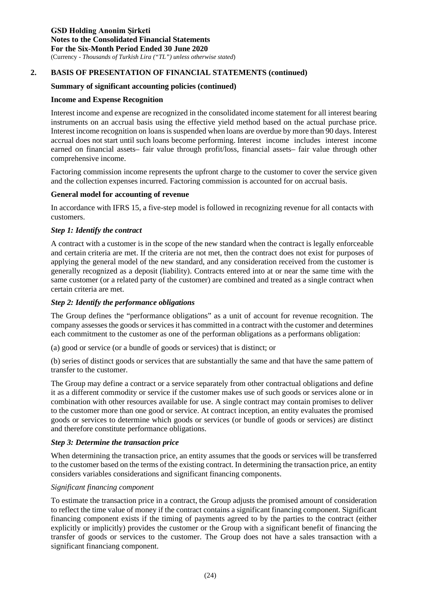#### **Summary of significant accounting policies (continued)**

#### **Income and Expense Recognition**

Interest income and expense are recognized in the consolidated income statement for all interest bearing instruments on an accrual basis using the effective yield method based on the actual purchase price. Interest income recognition on loans is suspended when loans are overdue by more than 90 days. Interest accrual does not start until such loans become performing. Interest income includes interest income earned on financial assets– fair value through profit/loss, financial assets– fair value through other comprehensive income.

Factoring commission income represents the upfront charge to the customer to cover the service given and the collection expenses incurred. Factoring commission is accounted for on accrual basis.

#### **General model for accounting of revenue**

In accordance with IFRS 15, a five-step model is followed in recognizing revenue for all contacts with customers.

#### *Step 1: Identify the contract*

A contract with a customer is in the scope of the new standard when the contract is legally enforceable and certain criteria are met. If the criteria are not met, then the contract does not exist for purposes of applying the general model of the new standard, and any consideration received from the customer is generally recognized as a deposit (liability). Contracts entered into at or near the same time with the same customer (or a related party of the customer) are combined and treated as a single contract when certain criteria are met.

#### *Step 2: Identify the performance obligations*

The Group defines the "performance obligations" as a unit of account for revenue recognition. The company assesses the goods or services it has committed in a contract with the customer and determines each commitment to the customer as one of the performan obligations as a performans obligation:

(a) good or service (or a bundle of goods or services) that is distinct; or

(b) series of distinct goods or services that are substantially the same and that have the same pattern of transfer to the customer.

The Group may define a contract or a service separately from other contractual obligations and define it as a different commodity or service if the customer makes use of such goods or services alone or in combination with other resources available for use. A single contract may contain promises to deliver to the customer more than one good or service. At contract inception, an entity evaluates the promised goods or services to determine which goods or services (or bundle of goods or services) are distinct and therefore constitute performance obligations.

#### *Step 3: Determine the transaction price*

When determining the transaction price, an entity assumes that the goods or services will be transferred to the customer based on the terms of the existing contract. In determining the transaction price, an entity considers variables considerations and significant financing components.

#### *Significant financing component*

To estimate the transaction price in a contract, the Group adjusts the promised amount of consideration to reflect the time value of money if the contract contains a significant financing component. Significant financing component exists if the timing of payments agreed to by the parties to the contract (either explicitly or implicitly) provides the customer or the Group with a significant benefit of financing the transfer of goods or services to the customer. The Group does not have a sales transaction with a significant financiang component.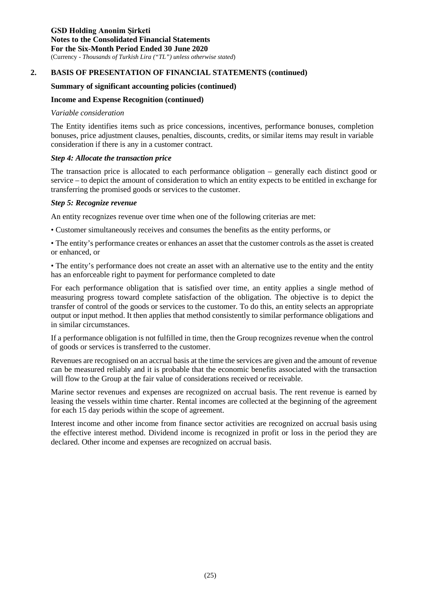#### **Summary of significant accounting policies (continued)**

#### **Income and Expense Recognition (continued)**

#### *Variable consideration*

The Entity identifies items such as price concessions, incentives, performance bonuses, completion bonuses, price adjustment clauses, penalties, discounts, credits, or similar items may result in variable consideration if there is any in a customer contract.

#### *Step 4: Allocate the transaction price*

The transaction price is allocated to each performance obligation – generally each distinct good or service – to depict the amount of consideration to which an entity expects to be entitled in exchange for transferring the promised goods or services to the customer.

#### *Step 5: Recognize revenue*

An entity recognizes revenue over time when one of the following criterias are met:

• Customer simultaneously receives and consumes the benefits as the entity performs, or

• The entity's performance creates or enhances an asset that the customer controls as the asset is created or enhanced, or

• The entity's performance does not create an asset with an alternative use to the entity and the entity has an enforceable right to payment for performance completed to date

For each performance obligation that is satisfied over time, an entity applies a single method of measuring progress toward complete satisfaction of the obligation. The objective is to depict the transfer of control of the goods or services to the customer. To do this, an entity selects an appropriate output or input method. It then applies that method consistently to similar performance obligations and in similar circumstances.

If a performance obligation is not fulfilled in time, then the Group recognizes revenue when the control of goods or services is transferred to the customer.

Revenues are recognised on an accrual basis at the time the services are given and the amount of revenue can be measured reliably and it is probable that the economic benefits associated with the transaction will flow to the Group at the fair value of considerations received or receivable.

Marine sector revenues and expenses are recognized on accrual basis. The rent revenue is earned by leasing the vessels within time charter. Rental incomes are collected at the beginning of the agreement for each 15 day periods within the scope of agreement.

Interest income and other income from finance sector activities are recognized on accrual basis using the effective interest method. Dividend income is recognized in profit or loss in the period they are declared. Other income and expenses are recognized on accrual basis.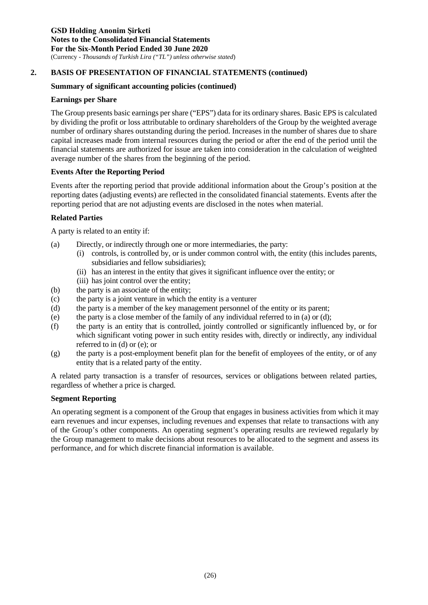#### **Summary of significant accounting policies (continued)**

#### **Earnings per Share**

The Group presents basic earnings per share ("EPS") data for its ordinary shares. Basic EPS is calculated by dividing the profit or loss attributable to ordinary shareholders of the Group by the weighted average number of ordinary shares outstanding during the period. Increases in the number of shares due to share capital increases made from internal resources during the period or after the end of the period until the financial statements are authorized for issue are taken into consideration in the calculation of weighted average number of the shares from the beginning of the period.

#### **Events After the Reporting Period**

Events after the reporting period that provide additional information about the Group's position at the reporting dates (adjusting events) are reflected in the consolidated financial statements. Events after the reporting period that are not adjusting events are disclosed in the notes when material.

#### **Related Parties**

A party is related to an entity if:

- (a) Directly, or indirectly through one or more intermediaries, the party:
	- (i) controls, is controlled by, or is under common control with, the entity (this includes parents, subsidiaries and fellow subsidiaries);
	- (ii) has an interest in the entity that gives it significant influence over the entity; or
	- (iii) has joint control over the entity;
- (b) the party is an associate of the entity;
- (c) the party is a joint venture in which the entity is a venturer
- (d) the party is a member of the key management personnel of the entity or its parent;
- (e) the party is a close member of the family of any individual referred to in (a) or (d);
- (f) the party is an entity that is controlled, jointly controlled or significantly influenced by, or for which significant voting power in such entity resides with, directly or indirectly, any individual referred to in (d) or (e); or
- (g) the party is a post-employment benefit plan for the benefit of employees of the entity, or of any entity that is a related party of the entity.

A related party transaction is a transfer of resources, services or obligations between related parties, regardless of whether a price is charged.

#### **Segment Reporting**

An operating segment is a component of the Group that engages in business activities from which it may earn revenues and incur expenses, including revenues and expenses that relate to transactions with any of the Group's other components. An operating segment's operating results are reviewed regularly by the Group management to make decisions about resources to be allocated to the segment and assess its performance, and for which discrete financial information is available.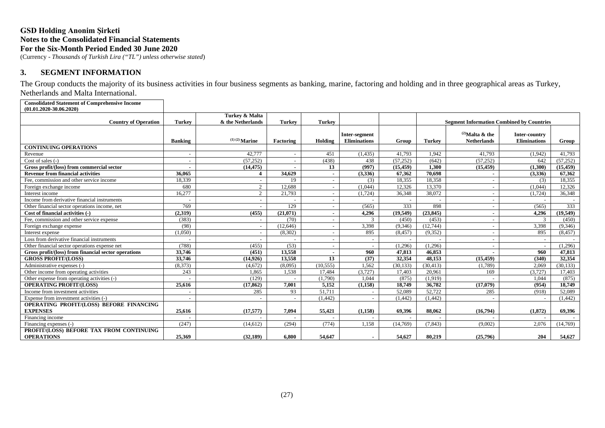(Currency - *Thousands of Turkish Lira ("TL") unless otherwise stated*)

#### **3. SEGMENT INFORMATION**

The Group conducts the majority of its business activities in four business segments as banking, marine, factoring and holding and in three geographical areas as Turkey, Netherlands and Malta International.

**Consolidated Statement of Comprehensive Income (01.01.2020-30.06.2020)**

| <b>Country of Operation</b>                                   | <b>Turkey</b>            | Turkey & Malta<br>& the Netherlands | <b>Turkey</b>            | <b>Turkey</b>            |                                      |           |               | <b>Segment Information Combined by Countries</b> |                                      |           |
|---------------------------------------------------------------|--------------------------|-------------------------------------|--------------------------|--------------------------|--------------------------------------|-----------|---------------|--------------------------------------------------|--------------------------------------|-----------|
|                                                               | <b>Banking</b>           | $(1)(2)$ Marine                     | Factoring                | Holding                  | Inter-segment<br><b>Eliminations</b> | Group     | <b>Turkey</b> | $^{(2)}$ Malta & the<br><b>Netherlands</b>       | Inter-country<br><b>Eliminations</b> | Group     |
| <b>CONTINUING OPERATIONS</b>                                  |                          |                                     |                          |                          |                                      |           |               |                                                  |                                      |           |
| Revenue                                                       | $\overline{\phantom{a}}$ | 42,777                              | $\overline{\phantom{a}}$ | 451                      | (1, 435)                             | 41,793    | 1,942         | 41,793                                           | (1,942)                              | 41,793    |
| Cost of sales $(-)$                                           | $\overline{\phantom{0}}$ | (57, 252)                           | $\overline{\phantom{a}}$ | (438)                    | 438                                  | (57, 252) | (642)         | (57, 252)                                        | 642                                  | (57, 252) |
| Gross profit/(loss) from commercial sector                    |                          | (14, 475)                           |                          | 13                       | (997)                                | (15, 459) | 1.300         | (15, 459)                                        | (1,300)                              | (15, 459) |
| <b>Revenue from financial activities</b>                      | 36.065                   | 4                                   | 34.629                   | $\blacksquare$           | (3,336)                              | 67.362    | 70.698        |                                                  | (3,336)                              | 67,362    |
| Fee, commission and other service income                      | 18.339                   | $\overline{\phantom{a}}$            | 19                       | $\overline{\phantom{a}}$ | (3)                                  | 18.355    | 18.358        |                                                  | (3)                                  | 18.355    |
| Foreign exchange income                                       | 680                      | $\overline{2}$                      | 12.688                   |                          | (1,044)                              | 12.326    | 13,370        |                                                  | (1.044)                              | 12,326    |
| Interest income                                               | 16,277                   | $\overline{2}$                      | 21,793                   |                          | (1,724)                              | 36,348    | 38,072        |                                                  | (1,724)                              | 36,348    |
| Income from derivative financial instruments                  |                          | $\overline{\phantom{a}}$            |                          |                          |                                      |           |               |                                                  |                                      |           |
| Other financial sector operations income, net                 | 769                      |                                     | 129                      |                          | (565)                                | 333       | 898           |                                                  | (565)                                | 333       |
| Cost of financial activities (-)                              | (2,319)                  | (455)                               | (21.071)                 |                          | 4.296                                | (19.549)  | (23.845)      |                                                  | 4.296                                | (19.549)  |
| Fee, commission and other service expense                     | (383)                    |                                     | (70)                     |                          | $\mathcal{R}$                        | (450)     | (453)         |                                                  | $\mathcal{R}$                        | (450)     |
| Foreign exchange expense                                      | (98)                     | $\sim$                              | (12,646)                 |                          | 3,398                                | (9,346)   | (12,744)      |                                                  | 3,398                                | (9,346)   |
| Interest expense                                              | (1,050)                  | $\sim$                              | (8,302)                  |                          | 895                                  | (8, 457)  | (9,352)       |                                                  | 895                                  | (8, 457)  |
| Loss from derivative financial instruments                    |                          | $\sim$                              |                          | $\overline{\phantom{a}}$ |                                      |           |               |                                                  |                                      |           |
| Other financial sector operations expense net                 | (788)                    | (455)                               | (53)                     |                          |                                      | (1,296)   | (1,296)       |                                                  |                                      | (1,296)   |
| Gross profit/(loss) from financial sector operations          | 33,746                   | (451)                               | 13.558                   |                          | 960                                  | 47.813    | 46,853        |                                                  | 960                                  | 47.813    |
| <b>GROSS PROFIT/(LOSS)</b>                                    | 33,746                   | (14, 926)                           | 13,558                   | 13                       | (37)                                 | 32,354    | 48,153        | (15, 459)                                        | (340)                                | 32.354    |
| Administrative expenses (-)                                   | (8,373)                  | (4,672)                             | (8,095)                  | (10, 555)                | 1,562                                | (30, 133) | (30, 413)     | (1,789)                                          | 2,069                                | (30, 133) |
| Other income from operating activities                        | 243                      | 1.865                               | 1,538                    | 17,484                   | (3,727)                              | 17,403    | 20,961        | 169                                              | (3,727)                              | 17,403    |
| Other expense from operating activities (-)                   |                          | (129)                               |                          | (1,790)                  | 1.044                                | (875)     | (1,919)       |                                                  | 1.044                                | (875)     |
| <b>OPERATING PROFIT/(LOSS)</b>                                | 25,616                   | (17.862)                            | 7.001                    | 5,152                    | (1,158)                              | 18.749    | 36,782        | (17.079)                                         | (954)                                | 18.749    |
| Income from investment activities                             |                          | 285                                 | 93                       | 51.711                   |                                      | 52,089    | 52,722        | 285                                              | (918)                                | 52.089    |
| Expense from investment activities (-)                        |                          |                                     |                          | (1, 442)                 |                                      | (1,442)   | (1,442)       |                                                  |                                      | (1,442)   |
| OPERATING PROFIT/(LOSS) BEFORE FINANCING<br><b>EXPENSES</b>   | 25,616                   | (17, 577)                           | 7,094                    | 55,421                   | (1, 158)                             | 69.396    | 88.062        | (16,794)                                         | (1,872)                              | 69,396    |
| Financing income                                              |                          |                                     |                          |                          |                                      |           |               |                                                  |                                      |           |
| Financing expenses (-)                                        | (247)                    | (14,612)                            | (294)                    | (774)                    | 1,158                                | (14,769)  | (7, 843)      | (9.002)                                          | 2.076                                | (14,769)  |
| PROFIT/(LOSS) BEFORE TAX FROM CONTINUING<br><b>OPERATIONS</b> | 25.369                   | (32, 189)                           | 6.800                    | 54,647                   |                                      | 54,627    | 80.219        | (25,796)                                         | 204                                  | 54,627    |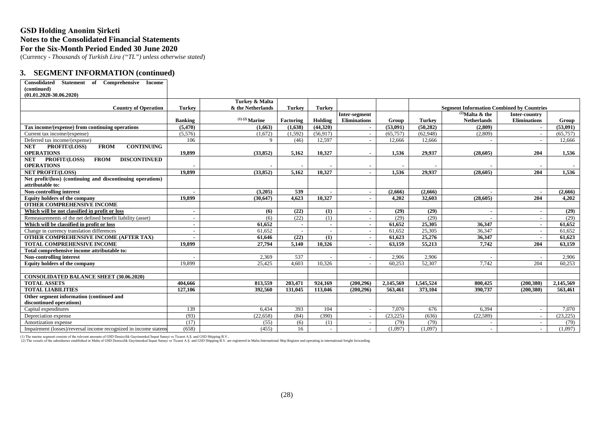(Currency - *Thousands of Turkish Lira ("TL") unless otherwise stated*)

#### **3. SEGMENT INFORMATION (continued)**

| Statement of Comprehensive<br>Consolidated<br><b>Income</b>       |                |                                            |               |               |                          |           |               |                                                  |                          |           |
|-------------------------------------------------------------------|----------------|--------------------------------------------|---------------|---------------|--------------------------|-----------|---------------|--------------------------------------------------|--------------------------|-----------|
| (continued)                                                       |                |                                            |               |               |                          |           |               |                                                  |                          |           |
| $(01.01.2020 - 30.06.2020)$                                       |                |                                            |               |               |                          |           |               |                                                  |                          |           |
|                                                                   |                | Turkey & Malta                             |               |               |                          |           |               |                                                  |                          |           |
| <b>Country of Operation</b>                                       | <b>Turkey</b>  | & the Netherlands                          | <b>Turkey</b> | <b>Turkey</b> |                          |           |               | <b>Segment Information Combined by Countries</b> |                          |           |
|                                                                   |                |                                            |               |               | Inter-segment            |           |               | $^{(2)}$ Malta & the                             | Inter-country            |           |
|                                                                   | <b>Banking</b> | $^{\left(1\right)\,\left(2\right)}$ Marine | Factoring     | Holding       | <b>Eliminations</b>      | Group     | <b>Turkey</b> | <b>Netherlands</b>                               | <b>Eliminations</b>      | Group     |
| Tax income/(expense) from continuing operations                   | (5, 470)       | (1,663)                                    | (1,638)       | (44,320)      |                          | (53,091)  | (50, 282)     | (2,809)                                          |                          | (53,091)  |
| Current tax income/(expense)                                      | (5,576)        | (1,672)                                    | (1,592)       | (56, 917)     |                          | (65, 757) | (62, 948)     | (2,809)                                          |                          | (65, 757) |
| Deferred tax income/(expense)                                     | 106            | 9                                          | (46)          | 12,597        |                          | 12.666    | 12,666        |                                                  |                          | 12,666    |
| PROFIT/(LOSS)<br><b>FROM</b><br><b>CONTINUING</b><br><b>NET</b>   |                |                                            |               |               |                          |           |               |                                                  |                          |           |
| <b>OPERATIONS</b>                                                 | 19,899         | (33.852)                                   | 5.162         | 10.327        |                          | 1,536     | 29.937        | (28.605)                                         | 204                      | 1.536     |
| PROFIT/(LOSS)<br><b>DISCONTINUED</b><br><b>NET</b><br><b>FROM</b> |                |                                            |               |               |                          |           |               |                                                  |                          |           |
| <b>OPERATIONS</b>                                                 |                |                                            |               |               |                          |           |               |                                                  |                          |           |
| <b>NET PROFIT/(LOSS)</b>                                          | 19,899         | (33, 852)                                  | 5,162         | 10,327        |                          | 1,536     | 29,937        | (28, 605)                                        | 204                      | 1,536     |
| Net profit/(loss) (continuing and discontinuing operations)       |                |                                            |               |               |                          |           |               |                                                  |                          |           |
| attributable to:                                                  |                |                                            |               |               |                          |           |               |                                                  |                          |           |
| Non-controlling interest                                          |                | (3,205)                                    | 539           |               | $\overline{\phantom{a}}$ | (2,666)   | (2,666)       |                                                  | $\blacksquare$           | (2,666)   |
| <b>Equity holders of the company</b>                              | 19,899         | (30, 647)                                  | 4.623         | 10.327        |                          | 4,202     | 32,603        | (28, 605)                                        | 204                      | 4,202     |
| <b>OTHER COMPREHENSIVE INCOME</b>                                 |                |                                            |               |               |                          |           |               |                                                  |                          |           |
| Which will be not classified in profit or loss                    | $\blacksquare$ | (6)                                        | (22)          | (1)           |                          | (29)      | (29)          | $\blacksquare$                                   | $\blacksquare$           | (29)      |
| Remeasurements of the net defined benefit liability (asset)       | $\sim$         | (6)                                        | (22)          | (1)           |                          | (29)      | (29)          |                                                  |                          | (29)      |
| Which will be classified in profit or loss                        |                | 61,652                                     |               |               |                          | 61.652    | 25,305        | 36.347                                           |                          | 61.652    |
| Change in currency translation differences                        |                | 61.652                                     |               |               |                          | 61.652    | 25,305        | 36.347                                           |                          | 61,652    |
| <b>OTHER COMPREHENSIVE INCOME (AFTER TAX)</b>                     |                | 61.646                                     | (22)          | (1)           |                          | 61.623    | 25,276        | 36.347                                           |                          | 61.623    |
| <b>TOTAL COMPREHENSIVE INCOME</b>                                 | 19,899         | 27.794                                     | 5.140         | 10.326        |                          | 63.159    | 55,213        | 7.742                                            | 204                      | 63.159    |
| Total comprehensive income attributable to:                       |                |                                            |               |               |                          |           |               |                                                  |                          |           |
| Non-controlling interest                                          |                | 2,369                                      | 537           |               |                          | 2,906     | 2,906         |                                                  |                          | 2,906     |
| Equity holders of the company                                     | 19.899         | 25,425                                     | 4.603         | 10.326        |                          | 60.253    | 52,307        | 7.742                                            | 204                      | 60.253    |
|                                                                   |                |                                            |               |               |                          |           |               |                                                  |                          |           |
| <b>CONSOLIDATED BALANCE SHEET (30.06.2020)</b>                    |                |                                            |               |               |                          |           |               |                                                  |                          |           |
| <b>TOTAL ASSETS</b>                                               | 404.666        | 813.559                                    | 203.471       | 924,169       | (200.296)                | 2.145.569 | 1.545.524     | 800.425                                          | (200.380)                | 2,145,569 |
| <b>TOTAL LIABILITIES</b>                                          | 127,106        | 392,560                                    | 131,045       | 113,046       | (200, 296)               | 563,461   | 373,104       | 390,737                                          | (200, 380)               | 563,461   |
| Other segment information (continued and                          |                |                                            |               |               |                          |           |               |                                                  |                          |           |
| discontinued operations)                                          |                |                                            |               |               |                          |           |               |                                                  |                          |           |
| Capital expenditures                                              | 139            | 6,434                                      | 393           | 104           |                          | 7,070     | 676           | 6.394                                            |                          | 7.070     |
| Depreciation expense                                              | (93)           | (22, 658)                                  | (84)          | (390)         |                          | (23, 225) | (636)         | (22, 589)                                        |                          | (23, 225) |
| Amortization expense                                              | (17)           | (55)                                       | (6)           | (1)           |                          | (79)      | (79)          |                                                  |                          | (79)      |
| Impairment (losses)/reversal income recognized in income statem   | (658)          | (455)                                      | 16            | $\sim$        | $\sim$                   | (1.097)   | (1.097)       |                                                  | $\overline{\phantom{a}}$ | (1,097)   |

(1) The marine segment consists of the relevant amounts of GSD Denizcilik Gayrimenkul Insaat Sanayi ve Ticaret A.S. and GSD Shipping B.V. are registered in Mala International Ship Register and operating in international fr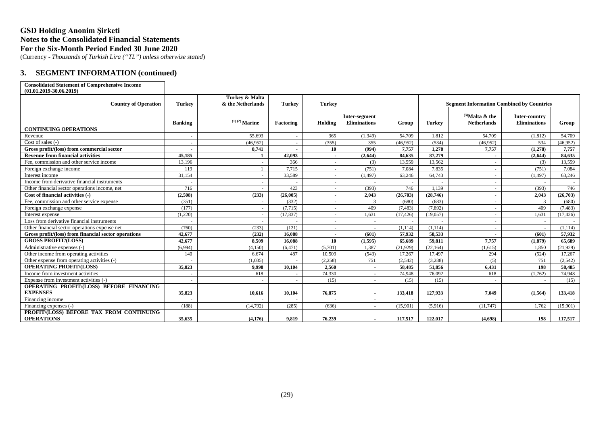(Currency - *Thousands of Turkish Lira ("TL") unless otherwise stated*)

#### **3. SEGMENT INFORMATION (continued)**

#### **Consolidated Statement of Comprehensive Income (01.01.2019-30.06.2019)**

| (VI.VI.4VI)"JU.VU.4VI)                               |                | Turkey & Malta    |               |               |                                      |           |               |                                                  |                                      |           |
|------------------------------------------------------|----------------|-------------------|---------------|---------------|--------------------------------------|-----------|---------------|--------------------------------------------------|--------------------------------------|-----------|
| <b>Country of Operation</b>                          | <b>Turkey</b>  | & the Netherlands | <b>Turkey</b> | <b>Turkey</b> |                                      |           |               | <b>Segment Information Combined by Countries</b> |                                      |           |
|                                                      | <b>Banking</b> | $(1)(2)$ Marine   | Factoring     | Holding       | Inter-segment<br><b>Eliminations</b> | Group     | <b>Turkey</b> | $^{(3)}$ Malta & the<br><b>Netherlands</b>       | Inter-country<br><b>Eliminations</b> | Group     |
| <b>CONTINUING OPERATIONS</b>                         |                |                   |               |               |                                      |           |               |                                                  |                                      |           |
| Revenue                                              |                | 55.693            |               | 365           | (1,349)                              | 54,709    | 1,812         | 54,709                                           | (1,812)                              | 54,709    |
| Cost of sales (-)                                    |                | (46,952)          |               | (355)         | 355                                  | (46,952)  | (534)         | (46,952)                                         | 534                                  | (46,952)  |
| Gross profit/(loss) from commercial sector           |                | 8,741             |               | 10            | (994)                                | 7.757     | 1,278         | 7,757                                            | (1,278)                              | 7,757     |
| <b>Revenue from financial activities</b>             | 45.185         | 1                 | 42.093        | $\sim$        | (2,644)                              | 84,635    | 87,279        |                                                  | (2.644)                              | 84.635    |
| Fee, commission and other service income             | 13.196         | $\sim$            | 366           | $\sim$        | (3)                                  | 13.559    | 13,562        |                                                  | (3)                                  | 13.559    |
| Foreign exchange income                              | 119            |                   | 7,715         | $\sim$        | (751)                                | 7,084     | 7,835         | ٠                                                | (751)                                | 7,084     |
| Interest income                                      | 31.154         | $\sim$            | 33,589        | $\sim$        | (1, 497)                             | 63,246    | 64,743        | $\sim$                                           | (1.497)                              | 63.246    |
| Income from derivative financial instruments         |                | $\sim$            |               | $\sim$        |                                      |           |               | $\sim$                                           |                                      |           |
| Other financial sector operations income, net        | 716            | $\sim$            | 423           | $\sim$        | (393)                                | 746       | 1.139         | $\sim$                                           | (393)                                | 746       |
| Cost of financial activities (-)                     | (2.508)        | (233)             | (26.005)      | $\sim$        | 2.043                                | (26.703)  | (28,746)      | $\overline{\phantom{a}}$                         | 2.043                                | (26, 703) |
| Fee, commission and other service expense            | (351)          | $\sim$            | (332)         | $\sim$        | 3                                    | (680)     | (683)         | $\sim$                                           | 3                                    | (680)     |
| Foreign exchange expense                             | (177)          | $\sim$            | (7, 715)      | $\sim$        | 409                                  | (7, 483)  | (7, 892)      | $\sim$                                           | 409                                  | (7, 483)  |
| Interest expense                                     | (1.220)        | $\sim$            | (17.837)      | $\sim$        | 1.631                                | (17, 426) | (19.057)      |                                                  | 1.631                                | (17, 426) |
| Loss from derivative financial instruments           |                |                   |               | $\sim$        | $\sim$                               |           |               | ٠                                                |                                      |           |
| Other financial sector operations expense net        | (760)          | (233)             | (121)         | $\sim$        |                                      | (1, 114)  | (1, 114)      |                                                  |                                      | (1, 114)  |
| Gross profit/(loss) from financial sector operations | 42,677         | (232)             | 16.088        | $\sim$        | (601)                                | 57.932    | 58.533        |                                                  | (601)                                | 57.932    |
| <b>GROSS PROFIT/(LOSS)</b>                           | 42,677         | 8.509             | 16,088        | 10            | (1,595)                              | 65,689    | 59.811        | 7,757                                            | (1.879)                              | 65.689    |
| Administrative expenses (-)                          | (6.994)        | (4,150)           | (6, 471)      | (5,701)       | 1,387                                | (21,929)  | (22, 164)     | (1,615)                                          | 1.850                                | (21, 929) |
| Other income from operating activities               | 140            | 6.674             | 487           | 10,509        | (543)                                | 17,267    | 17,497        | 294                                              | (524)                                | 17,267    |
| Other expense from operating activities (-)          |                | (1,035)           |               | (2, 258)      | 751                                  | (2,542)   | (3,288)       | (5)                                              | 751                                  | (2, 542)  |
| <b>OPERATING PROFIT/(LOSS)</b>                       | 35,823         | 9.998             | 10,104        | 2.560         | $\sim$                               | 58,485    | 51,856        | 6,431                                            | 198                                  | 58,485    |
| Income from investment activities                    |                | 618               |               | 74,330        | $\sim$                               | 74,948    | 76,092        | 618                                              | (1,762)                              | 74,948    |
| Expense from investment activities (-)               |                |                   |               | (15)          |                                      | (15)      | (15)          |                                                  |                                      | (15)      |
| OPERATING PROFIT/(LOSS) BEFORE FINANCING             |                |                   |               |               |                                      |           |               |                                                  |                                      |           |
| <b>EXPENSES</b>                                      | 35,823         | 10,616            | 10,104        | 76,875        | $\sim$                               | 133,418   | 127,933       | 7,049                                            | (1,564)                              | 133,418   |
| Financing income                                     |                |                   |               |               |                                      |           |               |                                                  |                                      |           |
| Financing expenses (-)                               | (188)          | (14,792)          | (285)         | (636)         | $\sim$                               | (15,901)  | (5,916)       | (11,747)                                         | 1,762                                | (15,901)  |
| PROFIT/(LOSS) BEFORE TAX FROM CONTINUING             |                |                   |               |               |                                      |           |               |                                                  |                                      |           |
| <b>OPERATIONS</b>                                    | 35,635         | (4,176)           | 9,819         | 76,239        |                                      | 117,517   | 122,017       | (4,698)                                          | 198                                  | 117,517   |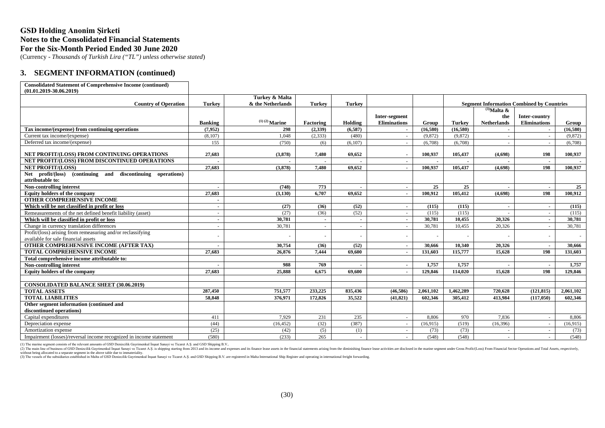(Currency - *Thousands of Turkish Lira ("TL") unless otherwise stated*)

#### **3. SEGMENT INFORMATION (continued)**

#### **Consolidated Statement of Comprehensive Income (continued) (01.01.2019-30.06.2019)**

| (01,01,2019-30,00,2019)                                               |                |                                     |               |                |                     |           |           |                                                  |                     |           |
|-----------------------------------------------------------------------|----------------|-------------------------------------|---------------|----------------|---------------------|-----------|-----------|--------------------------------------------------|---------------------|-----------|
| <b>Country of Operation</b>                                           | <b>Turkey</b>  | Turkey & Malta<br>& the Netherlands | <b>Turkey</b> | <b>Turkey</b>  |                     |           |           | <b>Segment Information Combined by Countries</b> |                     |           |
|                                                                       |                |                                     |               |                |                     |           |           | $^{(3)}$ Malta &                                 |                     |           |
|                                                                       |                |                                     |               |                | Inter-segment       |           |           | the                                              | Inter-country       |           |
|                                                                       | <b>Banking</b> | $(1)(2)$ Marine                     | Factoring     | Holding        | <b>Eliminations</b> | Group     | Turkey    | <b>Netherlands</b>                               | <b>Eliminations</b> | Group     |
| Tax income/(expense) from continuing operations                       | (7.952)        | 298                                 | (2.339)       | (6.587)        |                     | (16,580)  | (16,580)  |                                                  |                     | (16.580)  |
| Current tax income/(expense)                                          | (8.107)        | 1.048                               | (2.333)       | (480)          |                     | (9,872)   | (9.872)   | $\sim$                                           |                     | (9,872)   |
| Deferred tax income/(expense)                                         | 155            | (750)                               | (6)           | (6,107)        |                     | (6.708)   | (6,708)   | $\sim$                                           |                     | (6.708)   |
|                                                                       |                |                                     |               |                |                     |           |           |                                                  |                     |           |
| NET PROFIT/(LOSS) FROM CONTINUING OPERATIONS                          | 27,683         | (3,878)                             | 7,480         | 69,652         |                     | 100,937   | 105,437   | (4,698)                                          | 198                 | 100,937   |
| NET PROFIT/(LOSS) FROM DISCONTINUED OPERATIONS                        |                |                                     |               |                |                     |           |           |                                                  |                     |           |
| <b>NET PROFIT/(LOSS)</b>                                              | 27,683         | (3.878)                             | 7.480         | 69.652         |                     | 100.937   | 105,437   | (4.698)                                          | 198                 | 100.937   |
| profit/(loss) (continuing and discontinuing operations)<br><b>Net</b> |                |                                     |               |                |                     |           |           |                                                  |                     |           |
| attributable to:                                                      |                |                                     |               |                |                     |           |           |                                                  |                     |           |
| <b>Non-controlling interest</b>                                       |                | (748)                               | 773           |                |                     | 25        | 25        |                                                  |                     | 25        |
| <b>Equity holders of the company</b>                                  | 27,683         | (3.130)                             | 6.707         | 69.652         |                     | 100.912   | 105.412   | (4.698)                                          | 198                 | 100.912   |
| <b>OTHER COMPREHENSIVE INCOME</b>                                     |                |                                     |               |                |                     |           |           |                                                  |                     |           |
| Which will be not classified in profit or loss                        | $\sim$         | (27)                                | (36)          | (52)           | $\sim$              | (115)     | (115)     | $\blacksquare$                                   | $\blacksquare$      | (115)     |
| Remeasurements of the net defined benefit liability (asset)           | $\sim$         | (27)                                | (36)          | (52)           | $\sim$              | (115)     | (115)     | $\sim$                                           | $\sim$              | (115)     |
| Which will be classified in profit or loss                            | $\sim$         | 30,781                              | $\sim$        | $\blacksquare$ | $\sim$              | 30,781    | 10.455    | 20.326                                           | $\sim$              | 30.781    |
| Change in currency translation differences                            | $\sim$         | 30,781                              | $\sim$        | $\sim$         |                     | 30,781    | 10,455    | 20,326                                           | $\sim$              | 30,781    |
| Profit/(loss) arising from remeasuring and/or reclassifying           | ٠              |                                     | $\sim$        |                |                     |           |           |                                                  |                     |           |
| available for sale financial assets                                   |                |                                     |               |                |                     |           |           |                                                  |                     |           |
| <b>OTHER COMPREHENSIVE INCOME (AFTER TAX)</b>                         |                | 30.754                              | (36)          | (52)           |                     | 30.666    | 10.340    | 20.326                                           |                     | 30.666    |
| <b>TOTAL COMPREHENSIVE INCOME</b>                                     | 27,683         | 26,876                              | 7.444         | 69,600         |                     | 131.603   | 115,777   | 15,628                                           | 198                 | 131,603   |
| Total comprehensive income attributable to:                           |                |                                     |               |                |                     |           |           |                                                  |                     |           |
| Non-controlling interest                                              |                | 988                                 | 769           |                |                     | 1,757     | 1,757     |                                                  |                     | 1,757     |
| Equity holders of the company                                         | 27,683         | 25,888                              | 6,675         | 69.600         |                     | 129,846   | 114,020   | 15,628                                           | 198                 | 129,846   |
|                                                                       |                |                                     |               |                |                     |           |           |                                                  |                     |           |
| <b>CONSOLIDATED BALANCE SHEET (30.06.2019)</b>                        |                |                                     |               |                |                     |           |           |                                                  |                     |           |
| <b>TOTAL ASSETS</b>                                                   | 287,450        | 751.577                             | 233,225       | 835,436        | (46, 586)           | 2.061.102 | 1.462,289 | 720,628                                          | (121.815)           | 2.061.102 |
| <b>TOTAL LIABILITIES</b>                                              | 58,848         | 376.971                             | 172,826       | 35,522         | (41.821)            | 602,346   | 305,412   | 413.984                                          | (117.050)           | 602.346   |
| Other segment information (continued and                              |                |                                     |               |                |                     |           |           |                                                  |                     |           |
| discontinued operations)                                              |                |                                     |               |                |                     |           |           |                                                  |                     |           |
| Capital expenditures                                                  | 411            | 7.929                               | 231           | 235            |                     | 8.806     | 970       | 7.836                                            |                     | 8.806     |
| Depreciation expense                                                  | (44)           | (16, 452)                           | (32)          | (387)          |                     | (16,915)  | (519)     | (16, 396)                                        | $\sim$              | (16,915)  |
| Amortization expense                                                  | (25)           | (42)                                | (5)           | (1)            |                     | (73)      | (73)      |                                                  |                     | (73)      |
| Impairment (losses)/reversal income recognized in income statement    | (580)          | (233)                               | 265           |                |                     | (548)     | (548)     | ÷.                                               |                     | (548)     |

(1) The marine segment consists of the relevant amounts of GSD Denizcilik Gayrimenkul İnşaat Sanayi ve Ticaret A.Ş. and GSD Shipping B.V..

(2) The main line of business of GSD Denizcilik Gayrimenkul Insaat Sanayi ve Ticaret A.S. is shipping starting from 2013 and its income and expenses and its finance lease assets in the financial statements arising from the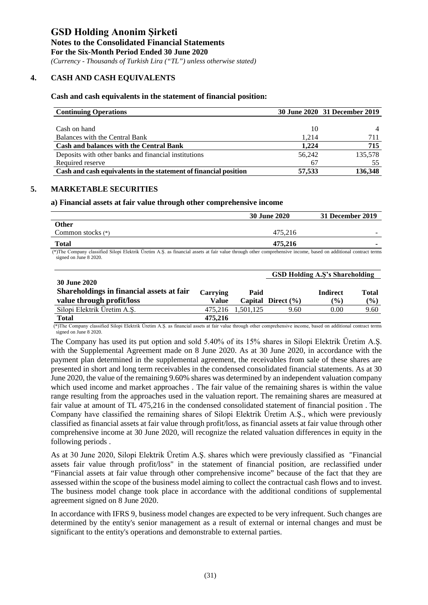*(Currency - Thousands of Turkish Lira ("TL") unless otherwise stated)*

#### **4. CASH AND CASH EQUIVALENTS**

#### **Cash and cash equivalents in the statement of financial position:**

| <b>Continuing Operations</b>                                     |        | 30 June 2020 31 December 2019 |
|------------------------------------------------------------------|--------|-------------------------------|
|                                                                  |        |                               |
| Cash on hand                                                     | 10     |                               |
| Balances with the Central Bank                                   | 1.214  | 711                           |
| <b>Cash and balances with the Central Bank</b>                   | 1.224  | 715                           |
| Deposits with other banks and financial institutions             | 56,242 | 135,578                       |
| Required reserve                                                 | 67     | 55                            |
| Cash and cash equivalents in the statement of financial position | 57,533 | 136,348                       |

#### **5. MARKETABLE SECURITIES**

#### **a) Financial assets at fair value through other comprehensive income**

|                                                                                                                                                                | <b>30 June 2020</b> | 31 December 2019 |
|----------------------------------------------------------------------------------------------------------------------------------------------------------------|---------------------|------------------|
| <b>Other</b>                                                                                                                                                   |                     |                  |
| Common stocks $(*)$                                                                                                                                            | 475.216             |                  |
| <b>Total</b>                                                                                                                                                   | 475.216             |                  |
| (*)The Company classified Silopi Elektrik Üretim A.S. as financial assets at fair value through other comprehensive income, based on additional contract terms |                     |                  |

(\*)The Company classified Silopi Elektrik Üretim A.Ş. as financial assets at fair value through other comprehensive income, based on additional contract terms signed on June 8 2020.

|                                           |          |                   |                        | <b>GSD Holding A.S's Shareholding</b> |              |
|-------------------------------------------|----------|-------------------|------------------------|---------------------------------------|--------------|
| <b>30 June 2020</b>                       |          |                   |                        |                                       |              |
| Shareholdings in financial assets at fair | Carrying | Paid              |                        | <b>Indirect</b>                       | <b>Total</b> |
| value through profit/loss                 | Value    |                   | Capital Direct $(\% )$ | $($ %)                                | (%)          |
| Silopi Elektrik Üretim A.Ş.               |          | 475.216 1.501.125 | 9.60                   | 0.00                                  | 9.60         |
| <b>Total</b>                              | 475,216  |                   |                        |                                       |              |

 (\*)The Company classified Silopi Elektrik Üretim A.Ş. as financial assets at fair value through other comprehensive income, based on additional contract terms signed on June 8 2020.

The Company has used its put option and sold 5.40% of its 15% shares in Silopi Elektrik Üretim A.Ş. with the Supplemental Agreement made on 8 June 2020. As at 30 June 2020, in accordance with the payment plan determined in the supplemental agreement, the receivables from sale of these shares are presented in short and long term receivables in the condensed consolidated financial statements. As at 30 June 2020, the value of the remaining 9.60% shares was determined by an independent valuation company which used income and market approaches . The fair value of the remaining shares is within the value range resulting from the approaches used in the valuation report. The remaining shares are measured at fair value at amount of TL 475,216 in the condensed consolidated statement of financial position . The Company have classified the remaining shares of Silopi Elektrik Üretim A.Ş., which were previously classified as financial assets at fair value through profit/loss, as financial assets at fair value through other comprehensive income at 30 June 2020, will recognize the related valuation differences in equity in the following periods .

As at 30 June 2020, Silopi Elektrik Üretim A.Ş. shares which were previously classified as "Financial assets fair value through profit/loss" in the statement of financial position, are reclassified under "Financial assets at fair value through other comprehensive income" because of the fact that they are assessed within the scope of the business model aiming to collect the contractual cash flows and to invest. The business model change took place in accordance with the additional conditions of supplemental agreement signed on 8 June 2020.

In accordance with IFRS 9, business model changes are expected to be very infrequent. Such changes are determined by the entity's senior management as a result of external or internal changes and must be significant to the entity's operations and demonstrable to external parties.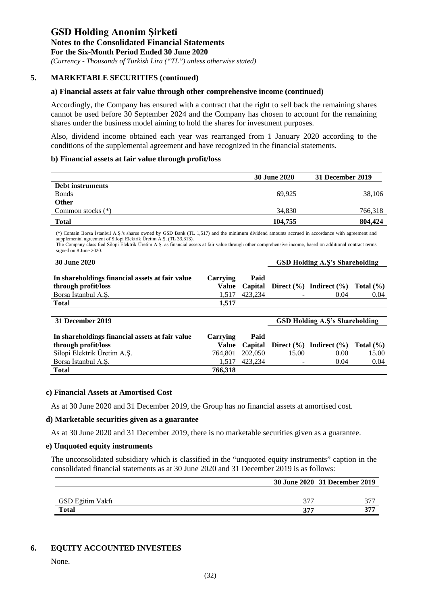*(Currency - Thousands of Turkish Lira ("TL") unless otherwise stated)*

#### **5. MARKETABLE SECURITIES (continued)**

#### **a) Financial assets at fair value through other comprehensive income (continued)**

Accordingly, the Company has ensured with a contract that the right to sell back the remaining shares cannot be used before 30 September 2024 and the Company has chosen to account for the remaining shares under the business model aiming to hold the shares for investment purposes.

Also, dividend income obtained each year was rearranged from 1 January 2020 according to the conditions of the supplemental agreement and have recognized in the financial statements.

#### **b) Financial assets at fair value through profit/loss**

|                     | <b>30 June 2020</b> | 31 December 2019 |
|---------------------|---------------------|------------------|
| Debt instruments    |                     |                  |
| <b>Bonds</b>        | 69.925              | 38,106           |
| Other               |                     |                  |
| Common stocks $(*)$ | 34,830              | 766,318          |
| <b>Total</b>        | 104,755             | 804,424          |

 (\*) Contain Borsa İstanbul A.Ş.'s shares owned by GSD Bank (TL 1,517) and the minimum dividend amounts accrued in accordance with agreement and supplemental agreement of Silopi Elektrik Üretim A.Ş. (TL 33,313).

The Company classified Silopi Elektrik Üretim A.Ş. as financial assets at fair value through other comprehensive income, based on additional contract terms signed on 8 June 2020.

| <b>30 June 2020</b>                                                    |                          |         | <b>GSD Holding A.S's Shareholding</b>                    |      |
|------------------------------------------------------------------------|--------------------------|---------|----------------------------------------------------------|------|
| In shareholdings financial assets at fair value<br>through profit/loss | Carrying                 | Paid    | Value Capital Direct $(\%)$ Indirect $(\%)$ Total $(\%)$ |      |
| Borsa İstanbul A.Ş.                                                    | 1.517                    | 423.234 | 0.04                                                     | 0.04 |
| <b>Total</b>                                                           | 1.517                    |         |                                                          |      |
|                                                                        |                          |         |                                                          |      |
| 31 December 2019                                                       |                          |         | <b>GSD Holding A.S's Shareholding</b>                    |      |
| In shareholdings financial assets at fair value                        | $\boldsymbol{C}$ arrvina | Poid    |                                                          |      |

| In shareholdings financial assets at fair value | <b>Carrying</b> | Paid            |        |                                                          |       |
|-------------------------------------------------|-----------------|-----------------|--------|----------------------------------------------------------|-------|
| through profit/loss                             |                 |                 |        | Value Capital Direct $(\%)$ Indirect $(\%)$ Total $(\%)$ |       |
| Silopi Elektrik Üretim A.Ş.                     |                 | 764.801 202,050 | 15.00  | 0.00                                                     | 15.00 |
| Borsa Istanbul A.S.                             |                 | 1.517 423.234   | $\sim$ | 0.04                                                     | 0.04  |
| <b>Total</b>                                    | 766,318         |                 |        |                                                          |       |

#### **c) Financial Assets at Amortised Cost**

As at 30 June 2020 and 31 December 2019, the Group has no financial assets at amortised cost.

#### **d) Marketable securities given as a guarantee**

As at 30 June 2020 and 31 December 2019, there is no marketable securities given as a guarantee.

#### **e) Unquoted equity instruments**

The unconsolidated subsidiary which is classified in the "unquoted equity instruments" caption in the consolidated financial statements as at 30 June 2020 and 31 December 2019 is as follows:

|                  |     | 30 June 2020 31 December 2019 |
|------------------|-----|-------------------------------|
|                  |     |                               |
| GSD Eğitim Vakfı | 377 | 277                           |
| <b>Total</b>     | 377 | 377                           |

#### **6. EQUITY ACCOUNTED INVESTEES**

None.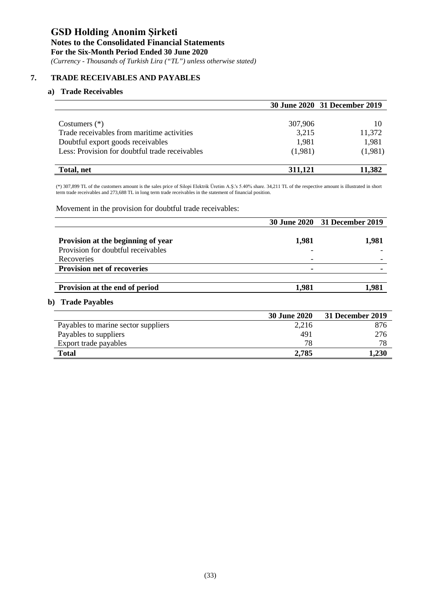#### **Notes to the Consolidated Financial Statements**

**For the Six-Month Period Ended 30 June 2020**

*(Currency - Thousands of Turkish Lira ("TL") unless otherwise stated)*

### **7. TRADE RECEIVABLES AND PAYABLES**

#### **a) Trade Receivables**

|                                                |         | 30 June 2020 31 December 2019 |
|------------------------------------------------|---------|-------------------------------|
|                                                |         |                               |
| Costumers $(*)$                                | 307,906 |                               |
| Trade receivables from maritime activities     | 3,215   | 11,372                        |
| Doubtful export goods receivables              | 1,981   | 1,981                         |
| Less: Provision for doubtful trade receivables | (1,981) | (1,981)                       |
| Total, net                                     | 311,121 | 11,382                        |

(\*) 307,899 TL of the customers amount is the sales price of Silopi Elektrik Üretim A.Ş.'s 5.40% share. 34,211 TL of the respective amount is illustrated in short term trade receivables and 273,688 TL in long term trade receivables in the statement of financial position.

Movement in the provision for doubtful trade receivables:

|                                     |                     | 30 June 2020 31 December 2019 |
|-------------------------------------|---------------------|-------------------------------|
| Provision at the beginning of year  | 1,981               | 1,981                         |
| Provision for doubtful receivables  |                     |                               |
| Recoveries                          |                     |                               |
| <b>Provision net of recoveries</b>  |                     |                               |
| Provision at the end of period      | 1,981               | 1,981                         |
| b) Trade Payables                   |                     |                               |
|                                     | <b>30 June 2020</b> | 31 December 2019              |
| Payables to marine sector suppliers | 2,216               | 876                           |
| Payables to suppliers               | 491                 | 276                           |
| Export trade payables               | 78                  | 78                            |
| <b>Total</b>                        | 2,785               | 1,230                         |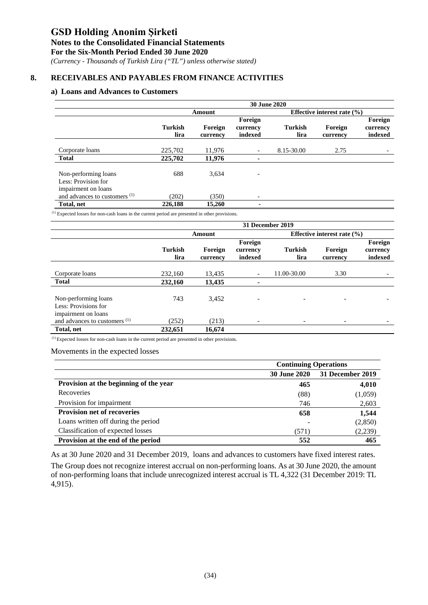#### **Notes to the Consolidated Financial Statements**

**For the Six-Month Period Ended 30 June 2020**

*(Currency - Thousands of Turkish Lira ("TL") unless otherwise stated)*

### **8. RECEIVABLES AND PAYABLES FROM FINANCE ACTIVITIES**

### **a) Loans and Advances to Customers**

|                                                                    |                        |                     | <b>30 June 2020</b>            |                        |                                 |                                |
|--------------------------------------------------------------------|------------------------|---------------------|--------------------------------|------------------------|---------------------------------|--------------------------------|
|                                                                    |                        | Amount              |                                |                        | Effective interest rate $(\% )$ |                                |
|                                                                    | <b>Turkish</b><br>lira | Foreign<br>currency | Foreign<br>currency<br>indexed | <b>Turkish</b><br>lira | Foreign<br>currency             | Foreign<br>currency<br>indexed |
| Corporate loans                                                    | 225,702                | 11,976              |                                | 8.15-30.00             | 2.75                            |                                |
| <b>Total</b>                                                       | 225,702                | 11,976              |                                |                        |                                 |                                |
| Non-performing loans<br>Less: Provision for<br>impairment on loans | 688                    | 3,634               |                                |                        |                                 |                                |
| and advances to customers $(1)$                                    | (202)                  | (350)               |                                |                        |                                 |                                |
| Total, net                                                         | 226.188                | 15,260              |                                |                        |                                 |                                |

(1) Expected losses for non-cash loans in the current period are presented in other provisions.

|                                                                                | 31 December 2019       |                     |                                |                          |                                 |                                |  |
|--------------------------------------------------------------------------------|------------------------|---------------------|--------------------------------|--------------------------|---------------------------------|--------------------------------|--|
|                                                                                |                        | Amount              |                                |                          | Effective interest rate $(\% )$ |                                |  |
|                                                                                | <b>Turkish</b><br>lira | Foreign<br>currency | Foreign<br>currency<br>indexed | <b>Turkish</b><br>lira   | Foreign<br>currency             | Foreign<br>currency<br>indexed |  |
| Corporate loans                                                                | 232,160                | 13,435              | $\overline{\phantom{0}}$       | 11.00-30.00              | 3.30                            |                                |  |
| <b>Total</b>                                                                   | 232,160                | 13,435              | ۰                              |                          |                                 |                                |  |
| Non-performing loans                                                           | 743                    | 3,452               |                                | $\overline{\phantom{0}}$ |                                 |                                |  |
| Less: Provisions for<br>impairment on loans<br>and advances to customers $(1)$ | (252)                  | (213)               | $\overline{\phantom{a}}$       |                          |                                 |                                |  |
| Total, net                                                                     | 232,651                | 16.674              |                                |                          |                                 |                                |  |

(1) Expected losses for non-cash loans in the current period are presented in other provisions.

Movements in the expected losses

|                                        | <b>Continuing Operations</b> |                  |  |
|----------------------------------------|------------------------------|------------------|--|
|                                        | <b>30 June 2020</b>          | 31 December 2019 |  |
| Provision at the beginning of the year | 465                          | 4,010            |  |
| Recoveries                             | (88)                         | (1,059)          |  |
| Provision for impairment               | 746                          | 2,603            |  |
| <b>Provision net of recoveries</b>     | 658                          | 1,544            |  |
| Loans written off during the period    |                              | (2,850)          |  |
| Classification of expected losses      | (571)                        | (2,239)          |  |
| Provision at the end of the period     | 552                          | 465              |  |

As at 30 June 2020 and 31 December 2019, loans and advances to customers have fixed interest rates. The Group does not recognize interest accrual on non-performing loans. As at 30 June 2020, the amount of non-performing loans that include unrecognized interest accrual is TL 4,322 (31 December 2019: TL 4,915).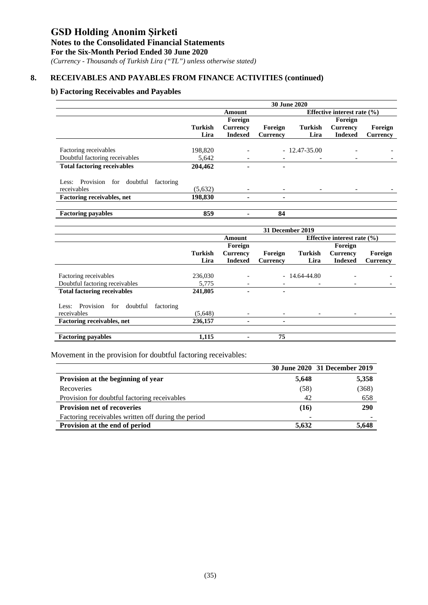## **Notes to the Consolidated Financial Statements**

**For the Six-Month Period Ended 30 June 2020**

*(Currency - Thousands of Turkish Lira ("TL") unless otherwise stated)*

### **8. RECEIVABLES AND PAYABLES FROM FINANCE ACTIVITIES (continued)**

### **b) Factoring Receivables and Payables**

|                                                                | 30 June 2020   |                          |                 |                  |                                 |                 |  |
|----------------------------------------------------------------|----------------|--------------------------|-----------------|------------------|---------------------------------|-----------------|--|
|                                                                |                | Amount                   |                 |                  | Effective interest rate $(\% )$ |                 |  |
|                                                                |                | Foreign                  |                 |                  | Foreign                         |                 |  |
|                                                                | <b>Turkish</b> | <b>Currency</b>          | Foreign         | <b>Turkish</b>   | <b>Currency</b>                 | Foreign         |  |
|                                                                | Lira           | <b>Indexed</b>           | <b>Currency</b> | Lira             | <b>Indexed</b>                  | <b>Currency</b> |  |
|                                                                |                |                          |                 |                  |                                 |                 |  |
| Factoring receivables                                          | 198,820        |                          |                 | $-12.47 - 35.00$ |                                 |                 |  |
| Doubtful factoring receivables                                 | 5,642          | $\sim$                   |                 |                  |                                 |                 |  |
| <b>Total factoring receivables</b>                             | 204,462        |                          |                 |                  |                                 |                 |  |
| Less: Provision for doubtful<br>factoring                      |                |                          |                 |                  |                                 |                 |  |
| receivables                                                    | (5,632)        |                          |                 |                  |                                 |                 |  |
| Factoring receivables, net                                     | 198,830        |                          |                 |                  |                                 |                 |  |
|                                                                |                | $\blacksquare$           |                 |                  |                                 |                 |  |
| <b>Factoring payables</b>                                      | 859            | Ξ.                       | 84              |                  |                                 |                 |  |
|                                                                |                |                          |                 |                  |                                 |                 |  |
|                                                                |                |                          |                 |                  |                                 |                 |  |
|                                                                |                |                          |                 | 31 December 2019 |                                 |                 |  |
|                                                                |                | Amount                   |                 |                  | Effective interest rate $(\% )$ |                 |  |
|                                                                |                | Foreign                  |                 |                  | Foreign                         |                 |  |
|                                                                | <b>Turkish</b> | <b>Currency</b>          | Foreign         | <b>Turkish</b>   | <b>Currency</b>                 | Foreign         |  |
|                                                                | Lira           | <b>Indexed</b>           | <b>Currency</b> | Lira             | <b>Indexed</b>                  | <b>Currency</b> |  |
|                                                                |                |                          |                 |                  |                                 |                 |  |
| Factoring receivables                                          | 236,030        |                          |                 | $-14.64 - 44.80$ |                                 |                 |  |
| Doubtful factoring receivables                                 | 5,775          |                          |                 |                  |                                 |                 |  |
| <b>Total factoring receivables</b>                             | 241,805        |                          |                 |                  |                                 |                 |  |
|                                                                |                |                          |                 |                  |                                 |                 |  |
| Provision for<br>doubtful<br>factoring<br>Less:<br>receivables | (5,648)        | $\overline{\phantom{a}}$ |                 |                  | $\overline{\phantom{a}}$        |                 |  |
| Factoring receivables, net                                     | 236,157        |                          |                 |                  |                                 |                 |  |
|                                                                |                |                          | 75              |                  |                                 |                 |  |

Movement in the provision for doubtful factoring receivables:

|                                                     |       | 30 June 2020 31 December 2019 |
|-----------------------------------------------------|-------|-------------------------------|
| Provision at the beginning of year                  | 5,648 | 5,358                         |
| Recoveries                                          | (58)  | (368)                         |
| Provision for doubtful factoring receivables        | 42    | 658                           |
| <b>Provision net of recoveries</b>                  | (16)  | <b>290</b>                    |
| Factoring receivables written off during the period |       |                               |
| Provision at the end of period                      | 5.632 | 5,648                         |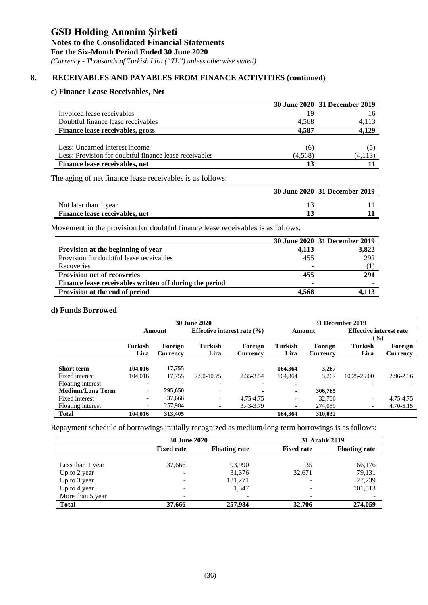*(Currency - Thousands of Turkish Lira ("TL") unless otherwise stated)*

### **8. RECEIVABLES AND PAYABLES FROM FINANCE ACTIVITIES (continued)**

### **c) Finance Lease Receivables, Net**

|                                                        |         | 30 June 2020 31 December 2019 |
|--------------------------------------------------------|---------|-------------------------------|
| Invoiced lease receivables                             | 19      | 16                            |
| Doubtful finance lease receivables                     | 4,568   | 4,113                         |
| Finance lease receivables, gross                       | 4.587   | 4,129                         |
|                                                        |         |                               |
| Less: Unearned interest income                         | (6)     |                               |
| Less: Provision for doubtful finance lease receivables | (4,568) | (4,113)                       |
| Finance lease receivables, net                         |         |                               |

The aging of net finance lease receivables is as follows:

|                                | 30 June 2020 31 December 2019 |
|--------------------------------|-------------------------------|
| Not later than 1 year          |                               |
| Finance lease receivables, net |                               |

Movement in the provision for doubtful finance lease receivables is as follows:

|                                                         |       | 30 June 2020 31 December 2019 |
|---------------------------------------------------------|-------|-------------------------------|
| Provision at the beginning of year                      | 4,113 | 3,822                         |
| Provision for doubtful lease receivables                | 455   | 292                           |
| Recoveries                                              | -     |                               |
| <b>Provision net of recoveries</b>                      | 455   | 291                           |
| Finance lease receivables written off during the period | -     |                               |
| Provision at the end of period                          | 4.568 |                               |

#### **d) Funds Borrowed**

|                         | <b>30 June 2020</b>      |                 |                                 |           | 31 December 2019 |                 |                                |                 |
|-------------------------|--------------------------|-----------------|---------------------------------|-----------|------------------|-----------------|--------------------------------|-----------------|
|                         |                          | Amount          | Effective interest rate $(\% )$ |           | Amount           |                 | <b>Effective interest rate</b> |                 |
|                         |                          |                 |                                 |           |                  |                 | $\frac{6}{2}$                  |                 |
|                         | <b>Turkish</b>           | Foreign         | Turkish                         | Foreign   | <b>Turkish</b>   | Foreign         | Turkish                        | Foreign         |
|                         | Lira                     | <b>Currency</b> | Lira                            | Currency  | Lira             | <b>Currency</b> | Lira                           | <b>Currency</b> |
|                         |                          |                 |                                 |           |                  |                 |                                |                 |
| <b>Short term</b>       | 104.016                  | 17,755          | ٠                               | ۰         | 164.364          | 3,267           |                                |                 |
| Fixed interest          | 104,016                  | 17,755          | 7.90-10.75                      | 2.35-3.54 | 164.364          | 3,267           | 10.25-25.00                    | 2.96-2.96       |
| Floating interest       | ٠                        |                 | ٠                               |           | ۰                |                 | $\overline{\phantom{a}}$       |                 |
| <b>Medium/Long Term</b> | $\overline{\phantom{a}}$ | 295,650         | ٠                               |           |                  | 306,765         |                                |                 |
| Fixed interest          | ٠                        | 37,666          | $\sim$                          | 4.75-4.75 | ۰.               | 32,706          | $\sim$                         | 4.75-4.75       |
| Floating interest       | $\overline{\phantom{a}}$ | 257,984         | ٠                               | 3.43-3.79 |                  | 274,059         | ٠                              | 4.70-5.15       |
| <b>Total</b>            | 104.016                  | 313,405         |                                 |           | 164.364          | 310,032         |                                |                 |

Repayment schedule of borrowings initially recognized as medium/long term borrowings is as follows:

|                  | <b>30 June 2020</b>      |                      | <b>31 Aralık 2019</b>    |                      |
|------------------|--------------------------|----------------------|--------------------------|----------------------|
|                  | <b>Fixed rate</b>        | <b>Floating rate</b> | <b>Fixed rate</b>        | <b>Floating rate</b> |
|                  |                          |                      |                          |                      |
| Less than 1 year | 37,666                   | 93,990               | 35                       | 66,176               |
| Up to 2 year     |                          | 31,376               | 32,671                   | 79,131               |
| Up to 3 year     |                          | 131,271              | -                        | 27,239               |
| Up to 4 year     | $\overline{\phantom{a}}$ | 1.347                | $\overline{\phantom{a}}$ | 101,513              |
| More than 5 year |                          |                      | -                        |                      |
| <b>Total</b>     | 37,666                   | 257,984              | 32,706                   | 274,059              |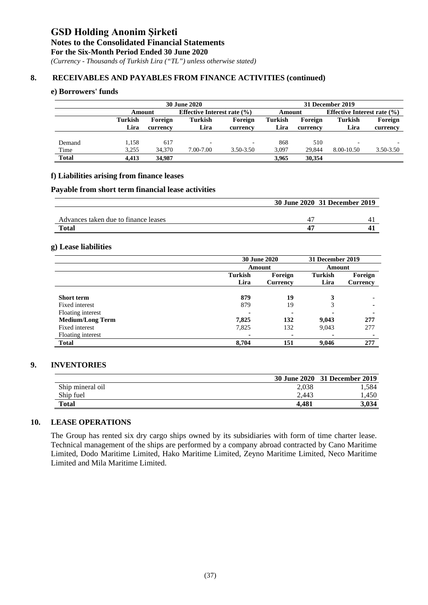*(Currency - Thousands of Turkish Lira ("TL") unless otherwise stated)*

#### **8. RECEIVABLES AND PAYABLES FROM FINANCE ACTIVITIES (continued)**

#### **e) Borrowers' funds**

|              |                | <b>30 June 2020</b> |                |                                 |         |          | 31 December 2019 |                                 |  |
|--------------|----------------|---------------------|----------------|---------------------------------|---------|----------|------------------|---------------------------------|--|
|              |                | Amount              |                | Effective Interest rate $(\% )$ |         | Amount   |                  | Effective Interest rate $(\% )$ |  |
|              | <b>Turkish</b> | Foreign             | <b>Turkish</b> | Foreign                         | Turkish | Foreign  | <b>Turkish</b>   | Foreign                         |  |
|              | Lira           | currency            | Lira           | currency                        | Lira    | currency | Lira             | currency                        |  |
|              |                |                     |                |                                 |         |          |                  |                                 |  |
| Demand       | 1,158          | 617                 |                | $\overline{\phantom{a}}$        | 868     | 510      |                  |                                 |  |
| Time         | 3.255          | 34,370              | 7.00-7.00      | $3.50 - 3.50$                   | 3.097   | 29.844   | 8.00-10.50       | 3.50-3.50                       |  |
| <b>Total</b> | 4.413          | 34,987              |                |                                 | 3.965   | 30.354   |                  |                                 |  |

#### **f) Liabilities arising from finance leases**

#### **Payable from short term financial lease activities**

|                                      | 30 June 2020 31 December 2019 |
|--------------------------------------|-------------------------------|
|                                      |                               |
| Advances taken due to finance leases |                               |
| Total                                |                               |

#### **g) Lease liabilities**

|                         | <b>30 June 2020</b> |                          | 31 December 2019 |                          |
|-------------------------|---------------------|--------------------------|------------------|--------------------------|
|                         |                     | Amount                   | Amount           |                          |
|                         | <b>Turkish</b>      | Foreign                  | <b>Turkish</b>   | Foreign                  |
|                         | Lira                | <b>Currency</b>          | Lira             | Currency                 |
|                         |                     |                          |                  |                          |
| <b>Short term</b>       | 879                 | 19                       | 3                | $\overline{\phantom{0}}$ |
| Fixed interest          | 879                 | 19                       | 3                | $\blacksquare$           |
| Floating interest       |                     | $\overline{\phantom{0}}$ |                  | ٠                        |
| <b>Medium/Long Term</b> | 7,825               | 132                      | 9,043            | 277                      |
| Fixed interest          | 7,825               | 132                      | 9,043            | 277                      |
| Floating interest       |                     | $\blacksquare$           | ۰                | $\blacksquare$           |
| <b>Total</b>            | 8,704               | 151                      | 9.046            | 277                      |

#### **9. INVENTORIES**

|                  |       | 30 June 2020 31 December 2019 |
|------------------|-------|-------------------------------|
| Ship mineral oil | 2,038 | . . 584                       |
| Ship fuel        | 2.443 | .450                          |
| Total            | 4.481 | 3.034                         |

### **10. LEASE OPERATIONS**

The Group has rented six dry cargo ships owned by its subsidiaries with form of time charter lease. Technical management of the ships are performed by a company abroad contracted by Cano Maritime Limited, Dodo Maritime Limited, Hako Maritime Limited, Zeyno Maritime Limited, Neco Maritime Limited and Mila Maritime Limited.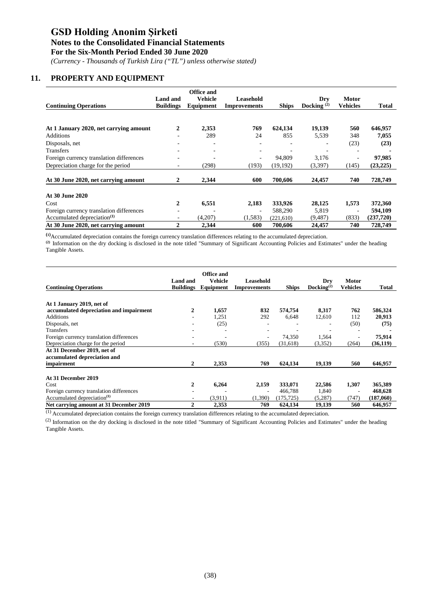#### **Notes to the Consolidated Financial Statements**

**For the Six-Month Period Ended 30 June 2020**

*(Currency - Thousands of Turkish Lira ("TL") unless otherwise stated)*

### **11. PROPERTY AND EQUIPMENT**

|                                          |                  | Office and               |                     |              |               |                          |           |
|------------------------------------------|------------------|--------------------------|---------------------|--------------|---------------|--------------------------|-----------|
|                                          | Land and         | Vehicle                  | Leasehold           |              | Dry           | Motor                    |           |
| <b>Continuing Operations</b>             | <b>Buildings</b> | Equipment                | <b>Improvements</b> | <b>Ships</b> | Docking $(2)$ | <b>Vehicles</b>          | Total     |
|                                          |                  |                          |                     |              |               |                          |           |
| At 1 January 2020, net carrying amount   | $\overline{2}$   | 2,353                    | 769                 | 624,134      | 19,139        | 560                      | 646,957   |
| <b>Additions</b>                         |                  | 289                      | 24                  | 855          | 5,539         | 348                      | 7,055     |
| Disposals, net                           |                  | $\overline{\phantom{0}}$ |                     |              |               | (23)                     | (23)      |
| Transfers                                |                  | $\overline{\phantom{0}}$ |                     |              |               |                          |           |
| Foreign currency translation differences |                  | ٠                        |                     | 94,809       | 3,176         | $\overline{\phantom{a}}$ | 97,985    |
| Depreciation charge for the period       | ۰                | (298)                    | (193)               | (19,192)     | (3,397)       | (145)                    | (23, 225) |
| At 30 June 2020, net carrying amount     | $\mathbf{2}$     | 2,344                    | 600                 | 700,606      | 24,457        | 740                      | 728,749   |
|                                          |                  |                          |                     |              |               |                          |           |
| At 30 June 2020                          |                  |                          |                     |              |               |                          |           |
| Cost                                     | $\overline{2}$   | 6,551                    | 2,183               | 333,926      | 28,125        | 1,573                    | 372,360   |
| Foreign currency translation differences |                  |                          |                     | 588,290      | 5.819         | ٠                        | 594,109   |
| Accumulated depreciation <sup>(1)</sup>  |                  | (4,207)                  | (1,583)             | (221,610)    | (9, 487)      | (833)                    | (237,720) |
| At 30 June 2020, net carrying amount     | $\overline{2}$   | 2,344                    | 600                 | 700,606      | 24,457        | 740                      | 728,749   |

**(1)** Accumulated depreciation contains the foreign currency translation differences relating to the accumulated depreciation.

<sup>(2)</sup> Information on the dry docking is disclosed in the note titled "Summary of Significant Accounting Policies and Estimates" under the heading Tangible Assets.

|                                          | Land and         | Office and<br>Vehicle | Leasehold                |              | Dry                      | <b>Motor</b>    |           |
|------------------------------------------|------------------|-----------------------|--------------------------|--------------|--------------------------|-----------------|-----------|
| <b>Continuing Operations</b>             | <b>Buildings</b> | Equipment             | <b>Improvements</b>      | <b>Ships</b> | Docking <sup>(2)</sup>   | <b>Vehicles</b> | Total     |
| At 1 January 2019, net of                |                  |                       |                          |              |                          |                 |           |
| accumulated depreciation and impairment  | 2                | 1,657                 | 832                      | 574,754      | 8,317                    | 762             | 586,324   |
| <b>Additions</b>                         |                  | 1.251                 | 292                      | 6,648        | 12,610                   | 112             | 20,913    |
| Disposals, net                           |                  | (25)                  | ۰                        |              | $\overline{\phantom{a}}$ | (50)            | (75)      |
| Transfers                                |                  | ۰                     | ٠                        |              |                          |                 |           |
| Foreign currency translation differences |                  | ٠                     | $\overline{\phantom{0}}$ | 74,350       | 1,564                    |                 | 75,914    |
| Depreciation charge for the period       |                  | (530)                 | (355)                    | (31,618)     | (3,352)                  | (264)           | (36, 119) |
| At 31 December 2019, net of              |                  |                       |                          |              |                          |                 |           |
| accumulated depreciation and             |                  |                       |                          |              |                          |                 |           |
| impairment                               | 2                | 2,353                 | 769                      | 624,134      | 19,139                   | 560             | 646,957   |
| At 31 December 2019                      |                  |                       |                          |              |                          |                 |           |
| Cost                                     | $\mathbf{2}$     | 6,264                 | 2,159                    | 333,071      | 22,586                   | 1,307           | 365,389   |
| Foreign currency translation differences |                  |                       | ۰                        | 466.788      | 1,840                    |                 | 468,628   |
| Accumulated depreciation <sup>(1)</sup>  |                  | (3,911)               | (1,390)                  | (175, 725)   | (5,287)                  | (747)           | (187,060) |
| Net carrying amount at 31 December 2019  | $\overline{2}$   | 2,353                 | 769                      | 624,134      | 19,139                   | 560             | 646,957   |

(1) Accumulated depreciation contains the foreign currency translation differences relating to the accumulated depreciation.

<sup>(2)</sup> Information on the dry docking is disclosed in the note titled "Summary of Significant Accounting Policies and Estimates" under the heading Tangible Assets.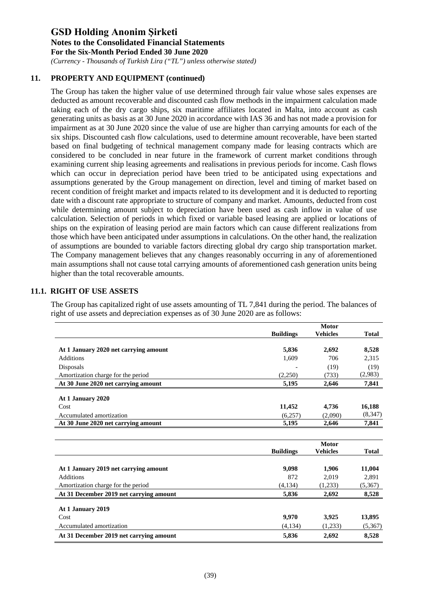*(Currency - Thousands of Turkish Lira ("TL") unless otherwise stated)*

### **11. PROPERTY AND EQUIPMENT (continued)**

The Group has taken the higher value of use determined through fair value whose sales expenses are deducted as amount recoverable and discounted cash flow methods in the impairment calculation made taking each of the dry cargo ships, six maritime affiliates located in Malta, into account as cash generating units as basis as at 30 June 2020 in accordance with IAS 36 and has not made a provision for impairment as at 30 June 2020 since the value of use are higher than carrying amounts for each of the six ships. Discounted cash flow calculations, used to determine amount recoverable, have been started based on final budgeting of technical management company made for leasing contracts which are considered to be concluded in near future in the framework of current market conditions through examining current ship leasing agreements and realisations in previous periods for income. Cash flows which can occur in depreciation period have been tried to be anticipated using expectations and assumptions generated by the Group management on direction, level and timing of market based on recent condition of freight market and impacts related to its development and it is deducted to reporting date with a discount rate appropriate to structure of company and market. Amounts, deducted from cost while determining amount subject to depreciation have been used as cash inflow in value of use calculation. Selection of periods in which fixed or variable based leasing are applied or locations of ships on the expiration of leasing period are main factors which can cause different realizations from those which have been anticipated under assumptions in calculations. On the other hand, the realization of assumptions are bounded to variable factors directing global dry cargo ship transportation market. The Company management believes that any changes reasonably occurring in any of aforementioned main assumptions shall not cause total carrying amounts of aforementioned cash generation units being higher than the total recoverable amounts.

### **11.1. RIGHT OF USE ASSETS**

The Group has capitalized right of use assets amounting of TL 7,841 during the period. The balances of right of use assets and depreciation expenses as of 30 June 2020 are as follows:

|                                       |                  | <b>Motor</b>    |              |
|---------------------------------------|------------------|-----------------|--------------|
|                                       | <b>Buildings</b> | <b>Vehicles</b> | <b>Total</b> |
| At 1 January 2020 net carrying amount | 5,836            | 2,692           | 8,528        |
| <b>Additions</b>                      | 1,609            | 706             | 2,315        |
| Disposals                             |                  | (19)            | (19)         |
| Amortization charge for the period    | (2,250)          | (733)           | (2,983)      |
| At 30 June 2020 net carrying amount   | 5.195            | 2,646           | 7,841        |
| At 1 January 2020                     |                  |                 |              |
| Cost                                  | 11,452           | 4,736           | 16,188       |
| Accumulated amortization              | (6,257)          | (2,090)         | (8,347)      |
| At 30 June 2020 net carrying amount   | 5,195            | 2,646           | 7,841        |
|                                       |                  |                 |              |

|                                         |                  | <b>Motor</b>    |              |
|-----------------------------------------|------------------|-----------------|--------------|
|                                         | <b>Buildings</b> | <b>Vehicles</b> | <b>Total</b> |
|                                         |                  |                 |              |
| At 1 January 2019 net carrying amount   | 9,098            | 1.906           | 11,004       |
| <b>Additions</b>                        | 872              | 2.019           | 2,891        |
| Amortization charge for the period      | (4,134)          | (1,233)         | (5,367)      |
| At 31 December 2019 net carrying amount | 5,836            | 2,692           | 8,528        |
|                                         |                  |                 |              |
| At 1 January 2019                       |                  |                 |              |
| Cost                                    | 9.970            | 3.925           | 13,895       |
| Accumulated amortization                | (4,134)          | (1,233)         | (5,367)      |
| At 31 December 2019 net carrying amount | 5.836            | 2.692           | 8,528        |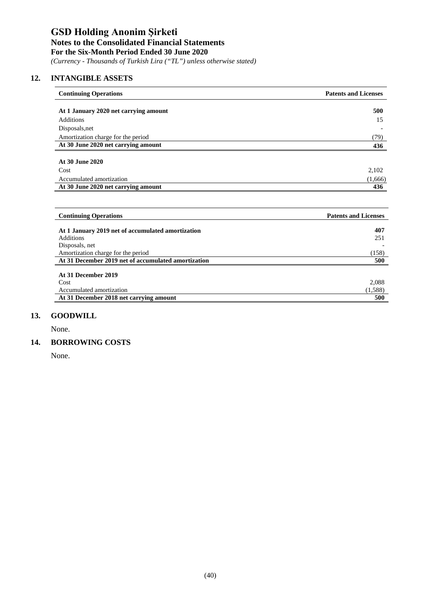*(Currency - Thousands of Turkish Lira ("TL") unless otherwise stated)*

### **12. INTANGIBLE ASSETS**

| <b>Continuing Operations</b>                        | <b>Patents and Licenses</b> |
|-----------------------------------------------------|-----------------------------|
| At 1 January 2020 net carrying amount               | 500                         |
| <b>Additions</b>                                    | 15                          |
| Disposals, net                                      |                             |
| Amortization charge for the period                  | (79)                        |
| At 30 June 2020 net carrying amount                 | 436                         |
|                                                     |                             |
| At 30 June 2020                                     |                             |
| Cost                                                | 2,102                       |
| Accumulated amortization                            | (1,666)                     |
| At 30 June 2020 net carrying amount                 | 436                         |
|                                                     |                             |
| <b>Continuing Operations</b>                        | <b>Patents and Licenses</b> |
| At 1 January 2019 net of accumulated amortization   | 407                         |
| <b>Additions</b>                                    | 251                         |
| Disposals, net                                      |                             |
| Amortization charge for the period                  | (158)                       |
| At 31 December 2019 net of accumulated amortization | 500                         |
|                                                     |                             |
| At 31 December 2019                                 |                             |
| Cost                                                | 2,088                       |

Accumulated amortization (1,588)<br>
At 31 December 2018 net carrying amount 500

## **13. [GOODWILL](http://tureng.com/en/turkish-english/borrowing%20costs)**

None.

 $\overline{a}$ 

#### **14. [BORROWING COSTS](http://tureng.com/en/turkish-english/borrowing%20costs)**

**At 31 December 2018 net carrying amount 500**

None.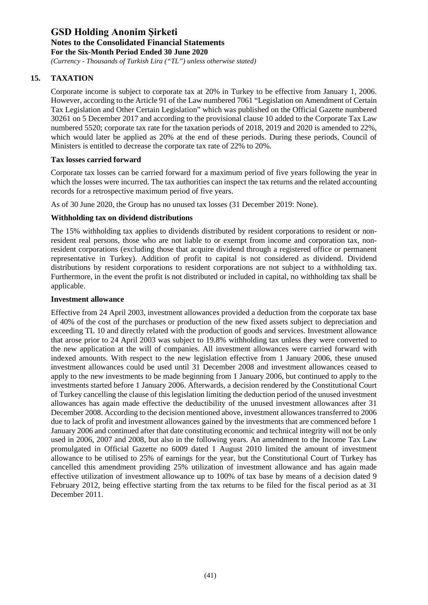*(Currency - Thousands of Turkish Lira ("TL") unless otherwise stated)*

### **15. TAXATION**

Corporate income is subject to corporate tax at 20% in Turkey to be effective from January 1, 2006. However, according to the Article 91 of the Law numbered 7061 "Legislation on Amendment of Certain Tax Legislation and Other Certain Legislation" which was published on the Official Gazette numbered 30261 on 5 December 2017 and according to the provisional clause 10 added to the Corporate Tax Law numbered 5520; corporate tax rate for the taxation periods of 2018, 2019 and 2020 is amended to 22%, which would later be applied as 20% at the end of these periods. During these periods, Council of Ministers is entitled to decrease the corporate tax rate of 22% to 20%.

### **Tax losses carried forward**

Corporate tax losses can be carried forward for a maximum period of five years following the year in which the losses were incurred. The tax authorities can inspect the tax returns and the related accounting records for a retrospective maximum period of five years.

As of 30 June 2020, the Group has no unused tax losses (31 December 2019: None).

### **Withholding tax on dividend distributions**

The 15% withholding tax applies to dividends distributed by resident corporations to resident or nonresident real persons, those who are not liable to or exempt from income and corporation tax, nonresident corporations (excluding those that acquire dividend through a registered office or permanent representative in Turkey). Addition of profit to capital is not considered as dividend. Dividend distributions by resident corporations to resident corporations are not subject to a withholding tax. Furthermore, in the event the profit is not distributed or included in capital, no withholding tax shall be applicable.

#### **Investment allowance**

Effective from 24 April 2003, investment allowances provided a deduction from the corporate tax base of 40% of the cost of the purchases or production of the new fixed assets subject to depreciation and exceeding TL 10 and directly related with the production of goods and services. Investment allowance that arose prior to 24 April 2003 was subject to 19.8% withholding tax unless they were converted to the new application at the will of companies. All investment allowances were carried forward with indexed amounts. With respect to the new legislation effective from 1 January 2006, these unused investment allowances could be used until 31 December 2008 and investment allowances ceased to apply to the new investments to be made beginning from 1 January 2006, but continued to apply to the investments started before 1 January 2006. Afterwards, a decision rendered by the Constitutional Court of Turkey cancelling the clause of this legislation limiting the deduction period of the unused investment allowances has again made effective the deductibility of the unused investment allowances after 31 December 2008. According to the decision mentioned above, investment allowances transferred to 2006 due to lack of profit and investment allowances gained by the investments that are commenced before 1 January 2006 and continued after that date constituting economic and technical integrity will not be only used in 2006, 2007 and 2008, but also in the following years. An amendment to the Income Tax Law promulgated in Official Gazette no 6009 dated 1 August 2010 limited the amount of investment allowance to be utilised to 25% of earnings for the year, but the Constitutional Court of Turkey has cancelled this amendment providing 25% utilization of investment allowance and has again made effective utilization of investment allowance up to 100% of tax base by means of a decision dated 9 February 2012, being effective starting from the tax returns to be filed for the fiscal period as at 31 December 2011.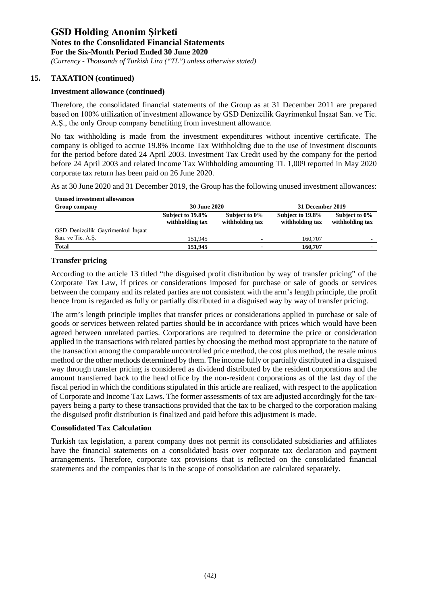*(Currency - Thousands of Turkish Lira ("TL") unless otherwise stated)*

### **15. TAXATION (continued)**

#### **Investment allowance (continued)**

Therefore, the consolidated financial statements of the Group as at 31 December 2011 are prepared based on 100% utilization of investment allowance by GSD Denizcilik Gayrimenkul İnşaat San. ve Tic. A.Ş., the only Group company benefiting from investment allowance.

No tax withholding is made from the investment expenditures without incentive certificate. The company is obliged to accrue 19.8% Income Tax Withholding due to the use of investment discounts for the period before dated 24 April 2003. Investment Tax Credit used by the company for the period before 24 April 2003 and related Income Tax Withholding amounting TL 1,009 reported in May 2020 corporate tax return has been paid on 26 June 2020.

As at 30 June 2020 and 31 December 2019, the Group has the following unused investment allowances:

| <b>Unused investment allowances</b><br>Group company | <b>30 June 2020</b>                 |                                  | 31 December 2019                    |                                  |
|------------------------------------------------------|-------------------------------------|----------------------------------|-------------------------------------|----------------------------------|
|                                                      | Subject to 19.8%<br>withholding tax | Subject to 0%<br>withholding tax | Subject to 19.8%<br>withholding tax | Subject to 0%<br>withholding tax |
| GSD Denizcilik Gayrimenkul İnşaat                    |                                     |                                  |                                     |                                  |
| San. ve Tic. A.S.                                    | 151.945                             |                                  | 160,707                             |                                  |
| Total                                                | 151.945                             |                                  | 160,707                             |                                  |

### **Transfer pricing**

According to the article 13 titled "the disguised profit distribution by way of transfer pricing" of the Corporate Tax Law, if prices or considerations imposed for purchase or sale of goods or services between the company and its related parties are not consistent with the arm's length principle, the profit hence from is regarded as fully or partially distributed in a disguised way by way of transfer pricing.

The arm's length principle implies that transfer prices or considerations applied in purchase or sale of goods or services between related parties should be in accordance with prices which would have been agreed between unrelated parties. Corporations are required to determine the price or consideration applied in the transactions with related parties by choosing the method most appropriate to the nature of the transaction among the comparable uncontrolled price method, the cost plus method, the resale minus method or the other methods determined by them. The income fully or partially distributed in a disguised way through transfer pricing is considered as dividend distributed by the resident corporations and the amount transferred back to the head office by the non-resident corporations as of the last day of the fiscal period in which the conditions stipulated in this article are realized, with respect to the application of Corporate and Income Tax Laws. The former assessments of tax are adjusted accordingly for the taxpayers being a party to these transactions provided that the tax to be charged to the corporation making the disguised profit distribution is finalized and paid before this adjustment is made.

#### **Consolidated Tax Calculation**

Turkish tax legislation, a parent company does not permit its consolidated subsidiaries and affiliates have the financial statements on a consolidated basis over corporate tax declaration and payment arrangements. Therefore, corporate tax provisions that is reflected on the consolidated financial statements and the companies that is in the scope of consolidation are calculated separately.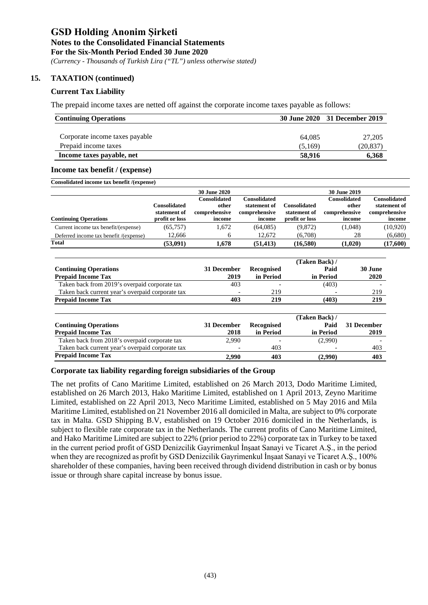*(Currency - Thousands of Turkish Lira ("TL") unless otherwise stated)*

### **15. TAXATION (continued)**

#### **Current Tax Liability**

The prepaid income taxes are netted off against the corporate income taxes payable as follows:

| <b>Continuing Operations</b>   |         | 30 June 2020 31 December 2019 |
|--------------------------------|---------|-------------------------------|
| Corporate income taxes payable | 64,085  | 27,205                        |
| Prepaid income taxes           | (5.169) | (20,837)                      |
| Income taxes payable, net      | 58,916  | 6,368                         |

#### **Income tax benefit / (expense)**

| Consolidated income tax benefit /(expense) |                |                     |               |                     |                     |               |  |
|--------------------------------------------|----------------|---------------------|---------------|---------------------|---------------------|---------------|--|
|                                            |                | <b>30 June 2020</b> |               |                     | <b>30 June 2019</b> |               |  |
|                                            |                | Consolidated        | Consolidated  |                     | Consolidated        | Consolidated  |  |
|                                            | Consolidated   | other               | statement of  | <b>Consolidated</b> | other               | statement of  |  |
|                                            | statement of   | comprehensive       | comprehensive | statement of        | comprehensive       | comprehensive |  |
| <b>Continuing Operations</b>               | profit or loss | income              | income        | profit or loss      | income              | income        |  |
| Current income tax benefit/(expense)       | (65, 757)      | 1,672               | (64,085)      | (9,872)             | (1,048)             | (10,920)      |  |
| Deferred income tax benefit /(expense)     | 12,666         |                     | 12,672        | (6,708)             | 28                  | (6,680)       |  |
| <b>Total</b>                               | (53,091)       | 1.678               | (51, 413)     | (16,580)            | (1,020)             | (17,600)      |  |
|                                            |                |                     |               |                     |                     |               |  |

|                                                  |             |            | (Taken Back)/  |             |
|--------------------------------------------------|-------------|------------|----------------|-------------|
| <b>Continuing Operations</b>                     | 31 December | Recognised | Paid           | 30 June     |
| <b>Prepaid Income Tax</b>                        | 2019        | in Period  | in Period      | 2020        |
| Taken back from 2019's overpaid corporate tax    | 403         |            | (403)          |             |
| Taken back current year's overpaid corporate tax |             | 219        |                | 219         |
| <b>Prepaid Income Tax</b>                        | 403         | 219        | (403)          | 219         |
|                                                  |             |            |                |             |
|                                                  |             |            | (Taken Back) / |             |
| <b>Continuing Operations</b>                     | 31 December | Recognised | Paid           | 31 December |
| <b>Prepaid Income Tax</b>                        | 2018        | in Period  | in Period      | 2019        |
| Taken back from 2018's overpaid corporate tax    | 2.990       |            | (2.990)        |             |
| Taken back current year's overpaid corporate tax |             | 403        |                | 403         |
| <b>Prepaid Income Tax</b>                        | 2,990       | 403        | (2,990)        | 403         |

#### **Corporate tax liability regarding foreign subsidiaries of the Group**

The net profits of Cano Maritime Limited, established on 26 March 2013, Dodo Maritime Limited, established on 26 March 2013, Hako Maritime Limited, established on 1 April 2013, Zeyno Maritime Limited, established on 22 April 2013, Neco Maritime Limited, established on 5 May 2016 and Mila Maritime Limited, established on 21 November 2016 all domiciled in Malta, are subject to 0% corporate tax in Malta. GSD Shipping B.V, established on 19 October 2016 domiciled in the Netherlands, is subject to flexible rate corporate tax in the Netherlands. The current profits of Cano Maritime Limited, and Hako Maritime Limited are subject to 22% (prior period to 22%) corporate tax in Turkey to be taxed in the current period profit of GSD Denizcilik Gayrimenkul İnşaat Sanayi ve Ticaret A.Ş., in the period when they are recognized as profit by GSD Denizcilik Gayrimenkul İnşaat Sanayi ve Ticaret A.Ş., 100% shareholder of these companies, having been received through dividend distribution in cash or by bonus issue or through share capital increase by bonus issue.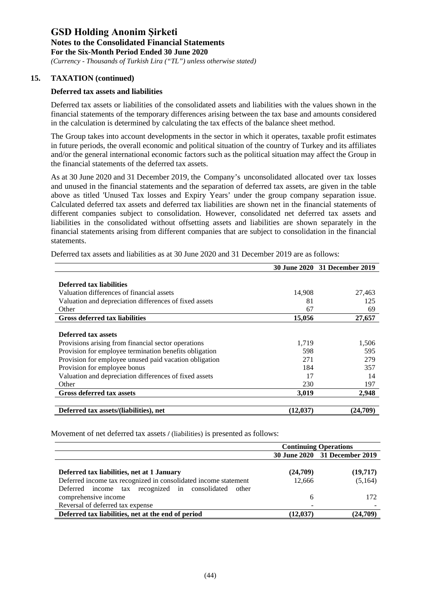*(Currency - Thousands of Turkish Lira ("TL") unless otherwise stated)*

### **15. TAXATION (continued)**

### **Deferred tax assets and liabilities**

Deferred tax assets or liabilities of the consolidated assets and liabilities with the values shown in the financial statements of the temporary differences arising between the tax base and amounts considered in the calculation is determined by calculating the tax effects of the balance sheet method.

The Group takes into account developments in the sector in which it operates, taxable profit estimates in future periods, the overall economic and political situation of the country of Turkey and its affiliates and/or the general international economic factors such as the political situation may affect the Group in the financial statements of the deferred tax assets.

As at 30 June 2020 and 31 December 2019, the Company's unconsolidated allocated over tax losses and unused in the financial statements and the separation of deferred tax assets, are given in the table above as titled 'Unused Tax losses and Expiry Years' under the group company separation issue. Calculated deferred tax assets and deferred tax liabilities are shown net in the financial statements of different companies subject to consolidation. However, consolidated net deferred tax assets and liabilities in the consolidated without offsetting assets and liabilities are shown separately in the financial statements arising from different companies that are subject to consolidation in the financial statements.

|                                                        |           | 30 June 2020 31 December 2019 |
|--------------------------------------------------------|-----------|-------------------------------|
|                                                        |           |                               |
| <b>Deferred tax liabilities</b>                        |           |                               |
| Valuation differences of financial assets              | 14,908    | 27,463                        |
| Valuation and depreciation differences of fixed assets | 81        | 125                           |
| Other                                                  | 67        | 69                            |
| <b>Gross deferred tax liabilities</b>                  | 15,056    | 27,657                        |
|                                                        |           |                               |
| Deferred tax assets                                    |           |                               |
| Provisions arising from financial sector operations    | 1,719     | 1,506                         |
| Provision for employee termination benefits obligation | 598       | 595                           |
| Provision for employee unused paid vacation obligation | 271       | 279                           |
| Provision for employee bonus                           | 184       | 357                           |
| Valuation and depreciation differences of fixed assets | 17        | 14                            |
| Other                                                  | 230       | 197                           |
| <b>Gross deferred tax assets</b>                       | 3,019     | 2,948                         |
|                                                        |           |                               |
| Deferred tax assets/(liabilities), net                 | (12, 037) | (24.709)                      |

Deferred tax assets and liabilities as at 30 June 2020 and 31 December 2019 are as follows:

Movement of net deferred tax assets **/** (liabilities) is presented as follows:

|                                                                 | <b>Continuing Operations</b> |                               |
|-----------------------------------------------------------------|------------------------------|-------------------------------|
|                                                                 |                              | 30 June 2020 31 December 2019 |
| Deferred tax liabilities, net at 1 January                      | (24,709)                     | (19,717)                      |
| Deferred income tax recognized in consolidated income statement | 12.666                       | (5,164)                       |
| Deferred income tax recognized in consolidated other            |                              |                               |
| comprehensive income                                            | 6                            | 172                           |
| Reversal of deferred tax expense                                |                              |                               |
| Deferred tax liabilities, net at the end of period              | (12.037)                     | (24,709)                      |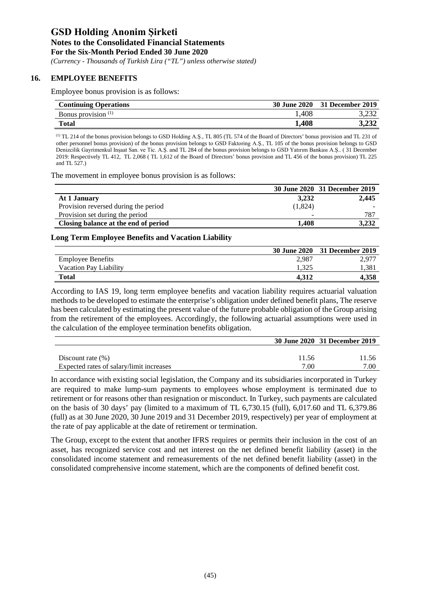*(Currency - Thousands of Turkish Lira ("TL") unless otherwise stated)*

#### **16. EMPLOYEE BENEFITS**

Employee bonus provision is as follows:

| <b>Continuing Operations</b> | <b>30 June 2020</b> | 31 December 2019 |
|------------------------------|---------------------|------------------|
| Bonus provision $(1)$        | 1,408               |                  |
| Total                        | 1,408               | 3,232            |

(1) TL 214 of the bonus provision belongs to GSD Holding A.Ş., TL 805 (TL 574 of the Board of Directors' bonus provision and TL 231 of other personnel bonus provision) of the bonus provision belongs to GSD Faktoring A.Ş., TL 105 of the bonus provision belongs to GSD Denizcilik Gayrimenkul Inşaat San. ve Tic. A.Ş. and TL 284 of the bonus provision belongs to GSD Yatırım Bankası A.Ş.. ( 31 December 2019: Respectively TL 412, TL 2,068 ( TL 1,612 of the Board of Directors' bonus provision and TL 456 of the bonus provision) TL 225 and TL 527.)

The movement in employee bonus provision is as follows:

|                                      |         | 30 June 2020 31 December 2019 |
|--------------------------------------|---------|-------------------------------|
| At 1 January                         | 3,232   | 2,445                         |
| Provision reversed during the period | (1,824) |                               |
| Provision set during the period      | -       | 787                           |
| Closing balance at the end of period | 1.408   | 3,232                         |

#### **Long Term Employee Benefits and Vacation Liability**

|                          |       | 30 June 2020 31 December 2019 |
|--------------------------|-------|-------------------------------|
| <b>Employee Benefits</b> | 2.987 | 2.977                         |
| Vacation Pay Liability   |       | l.381                         |
| Total                    | 4.312 | 4.358                         |

According to IAS 19, long term employee benefits and vacation liability requires actuarial valuation methods to be developed to estimate the enterprise's obligation under defined benefit plans, The reserve has been calculated by estimating the present value of the future probable obligation of the Group arising from the retirement of the employees. Accordingly, the following actuarial assumptions were used in the calculation of the employee termination benefits obligation.

|                                          |       | 30 June 2020 31 December 2019 |
|------------------------------------------|-------|-------------------------------|
|                                          |       |                               |
| Discount rate $(\% )$                    | 11.56 | 11.56                         |
| Expected rates of salary/limit increases | 7.00  | 7.00                          |

In accordance with existing social legislation, the Company and its subsidiaries incorporated in Turkey are required to make lump-sum payments to employees whose employment is terminated due to retirement or for reasons other than resignation or misconduct. In Turkey, such payments are calculated on the basis of 30 days' pay (limited to a maximum of TL 6,730.15 (full), 6,017.60 and TL 6,379.86 (full) as at 30 June 2020, 30 June 2019 and 31 December 2019, respectively) per year of employment at the rate of pay applicable at the date of retirement or termination.

The Group, except to the extent that another IFRS requires or permits their inclusion in the cost of an asset, has recognized service cost and net interest on the net defined benefit liability (asset) in the consolidated income statement and remeasurements of the net defined benefit liability (asset) in the consolidated comprehensive income statement, which are the components of defined benefit cost.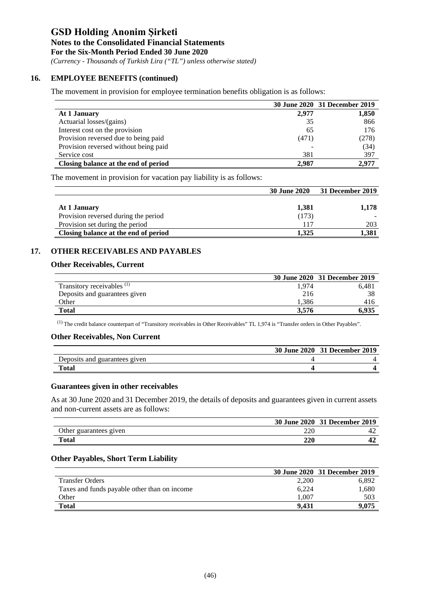#### **Notes to the Consolidated Financial Statements**

**For the Six-Month Period Ended 30 June 2020**

*(Currency - Thousands of Turkish Lira ("TL") unless otherwise stated)*

### **16. EMPLOYEE BENEFITS (continued)**

The movement in provision for employee termination benefits obligation is as follows:

|                                       |       | 30 June 2020 31 December 2019 |
|---------------------------------------|-------|-------------------------------|
| At 1 January                          | 2,977 | 1,850                         |
| Actuarial losses/(gains)              | 35    | 866                           |
| Interest cost on the provision        | 65    | 176                           |
| Provision reversed due to being paid  | (471) | (278)                         |
| Provision reversed without being paid |       | (34)                          |
| Service cost                          | 381   | 397                           |
| Closing balance at the end of period  | 2.987 | 2.977                         |

The movement in provision for vacation pay liability is as follows:

|                                      | <b>30 June 2020</b> | 31 December 2019 |
|--------------------------------------|---------------------|------------------|
|                                      |                     |                  |
| At 1 January                         | 1,381               | 1,178            |
| Provision reversed during the period | (173)               |                  |
| Provision set during the period      | 117                 | 203              |
| Closing balance at the end of period | 1.325               | 1.381            |

### **17. OTHER RECEIVABLES AND PAYABLES**

### **Other Receivables, Current**

|                                       |       | 30 June 2020 31 December 2019 |
|---------------------------------------|-------|-------------------------------|
| Transitory receivables <sup>(1)</sup> | 1.974 | 6.481                         |
| Deposits and guarantees given         | 216   | 38                            |
| Other                                 | 1.386 | 416                           |
| <b>Total</b>                          | 3.576 | 6.935                         |

(1) The credit balance counterpart of "Transitory receivables in Other Receivables" TL 1,974 is "Transfer orders in Other Payables".

#### **Other Receivables, Non Current**

|                               | 30 June 2020 31 December 2019 |
|-------------------------------|-------------------------------|
| Deposits and guarantees given |                               |
| <b>Total</b>                  |                               |

#### **Guarantees given in other receivables**

As at 30 June 2020 and 31 December 2019, the details of deposits and guarantees given in current assets and non-current assets are as follows:

|                        |     | 30 June 2020 31 December 2019 |
|------------------------|-----|-------------------------------|
| Other guarantees given | 220 | 44                            |
| <b>Total</b>           | 220 |                               |

#### **Other Payables, Short Term Liability**

|                                              |       | 30 June 2020 31 December 2019 |
|----------------------------------------------|-------|-------------------------------|
| <b>Transfer Orders</b>                       | 2,200 | 6.892                         |
| Taxes and funds payable other than on income | 6.224 | 1.680                         |
| Other                                        | .007  | 503                           |
| <b>Total</b>                                 | 9.431 | 9.075                         |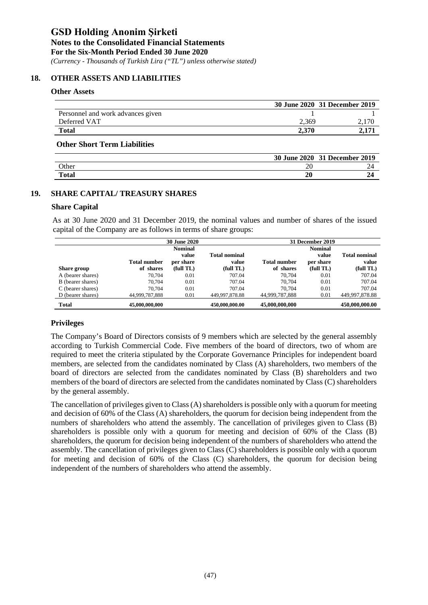*(Currency - Thousands of Turkish Lira ("TL") unless otherwise stated)*

#### **18. OTHER ASSETS AND LIABILITIES**

#### **Other Assets**

|                                   |       | 30 June 2020 31 December 2019 |
|-----------------------------------|-------|-------------------------------|
| Personnel and work advances given |       |                               |
| Deferred VAT                      | 2.369 |                               |
| <b>Total</b>                      | 2.370 |                               |

#### **Other Short Term Liabilities**

|              | <b>30 June 2020</b> | 31 December 2019 |
|--------------|---------------------|------------------|
| Other        | o<br>ZU             | ∸                |
| <b>Total</b> | 20                  |                  |

#### **19. SHARE CAPITAL/ TREASURY SHARES**

#### **Share Capital**

As at 30 June 2020 and 31 December 2019, the nominal values and number of shares of the issued capital of the Company are as follows in terms of share groups:

|                   |                     | <b>30 June 2020</b> |                      |                     | 31 December 2019 |                      |
|-------------------|---------------------|---------------------|----------------------|---------------------|------------------|----------------------|
|                   |                     | Nominal             |                      |                     | <b>Nominal</b>   |                      |
|                   |                     | value               | <b>Total nominal</b> |                     | value            | <b>Total nominal</b> |
|                   | <b>Total number</b> | per share           | value                | <b>Total number</b> | per share        | value                |
| Share group       | of shares           | (full TL)           | (full TL)            | of shares           | (full TL)        | (full TL)            |
| A (bearer shares) | 70.704              | 0.01                | 707.04               | 70.704              | 0.01             | 707.04               |
| B (bearer shares) | 70.704              | 0.01                | 707.04               | 70.704              | 0.01             | 707.04               |
| C (bearer shares) | 70.704              | 0.01                | 707.04               | 70.704              | 0.01             | 707.04               |
| D (bearer shares) | 44,999,787,888      | 0.01                | 449,997,878.88       | 44,999,787,888      | 0.01             | 449.997.878.88       |
| <b>Total</b>      | 45,000,000,000      |                     | 450,000,000.00       | 45,000,000,000      |                  | 450,000,000.00       |

#### **Privileges**

The Company's Board of Directors consists of 9 members which are selected by the general assembly according to Turkish Commercial Code. Five members of the board of directors, two of whom are required to meet the criteria stipulated by the Corporate Governance Principles for independent board members, are selected from the candidates nominated by Class (A) shareholders, two members of the board of directors are selected from the candidates nominated by Class (B) shareholders and two members of the board of directors are selected from the candidates nominated by Class (C) shareholders by the general assembly.

The cancellation of privileges given to Class (A) shareholders is possible only with a quorum for meeting and decision of 60% of the Class (A) shareholders, the quorum for decision being independent from the numbers of shareholders who attend the assembly. The cancellation of privileges given to Class (B) shareholders is possible only with a quorum for meeting and decision of 60% of the Class (B) shareholders, the quorum for decision being independent of the numbers of shareholders who attend the assembly. The cancellation of privileges given to Class (C) shareholders is possible only with a quorum for meeting and decision of 60% of the Class (C) shareholders, the quorum for decision being independent of the numbers of shareholders who attend the assembly.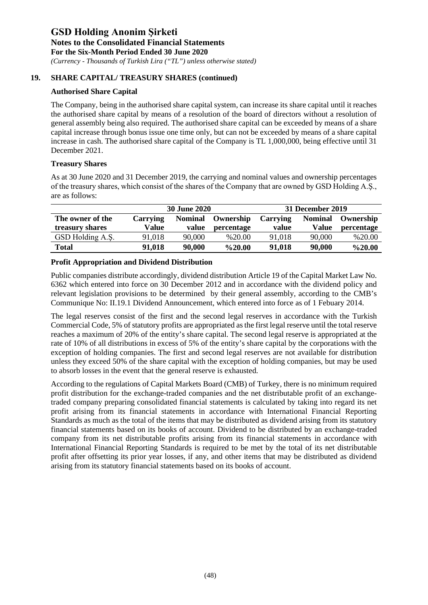*(Currency - Thousands of Turkish Lira ("TL") unless otherwise stated)*

### **19. SHARE CAPITAL/ TREASURY SHARES (continued)**

### **Authorised Share Capital**

The Company, being in the authorised share capital system, can increase its share capital until it reaches the authorised share capital by means of a resolution of the board of directors without a resolution of general assembly being also required. The authorised share capital can be exceeded by means of a share capital increase through bonus issue one time only, but can not be exceeded by means of a share capital increase in cash. The authorised share capital of the Company is TL 1,000,000, being effective until 31 December 2021.

#### **Treasury Shares**

As at 30 June 2020 and 31 December 2019, the carrying and nominal values and ownership percentages of the treasury shares, which consist of the shares of the Company that are owned by GSD Holding A.Ş., are as follows:

|                  |          | <b>30 June 2020</b> |            |          | 31 December 2019 |            |
|------------------|----------|---------------------|------------|----------|------------------|------------|
| The owner of the | Carrying | <b>Nominal</b>      | Ownership  | Carrying | <b>Nominal</b>   | Ownership  |
| treasury shares  | Value    | value               | percentage | value    | <b>Value</b>     | percentage |
| GSD Holding A.S. | 91,018   | 90,000              | %20.00     | 91,018   | 90,000           | %20.00     |
| <b>Total</b>     | 91,018   | 90,000              | $\%20.00$  | 91,018   | 90,000           | $\%20.00$  |

### **Profit Appropriation and Dividend Distribution**

Public companies distribute accordingly, dividend distribution Article 19 of the Capital Market Law No. 6362 which entered into force on 30 December 2012 and in accordance with the dividend policy and relevant legislation provisions to be determined by their general assembly, according to the CMB's Communique No: II.19.1 Dividend Announcement, which entered into force as of 1 Febuary 2014.

The legal reserves consist of the first and the second legal reserves in accordance with the Turkish Commercial Code, 5% of statutory profits are appropriated as the first legal reserve until the total reserve reaches a maximum of 20% of the entity's share capital. The second legal reserve is appropriated at the rate of 10% of all distributions in excess of 5% of the entity's share capital by the corporations with the exception of holding companies. The first and second legal reserves are not available for distribution unless they exceed 50% of the share capital with the exception of holding companies, but may be used to absorb losses in the event that the general reserve is exhausted.

According to the regulations of Capital Markets Board (CMB) of Turkey, there is no minimum required profit distribution for the exchange-traded companies and the net distributable profit of an exchangetraded company preparing consolidated financial statements is calculated by taking into regard its net profit arising from its financial statements in accordance with International Financial Reporting Standards as much as the total of the items that may be distributed as dividend arising from its statutory financial statements based on its books of account. Dividend to be distributed by an exchange-traded company from its net distributable profits arising from its financial statements in accordance with International Financial Reporting Standards is required to be met by the total of its net distributable profit after offsetting its prior year losses, if any, and other items that may be distributed as dividend arising from its statutory financial statements based on its books of account.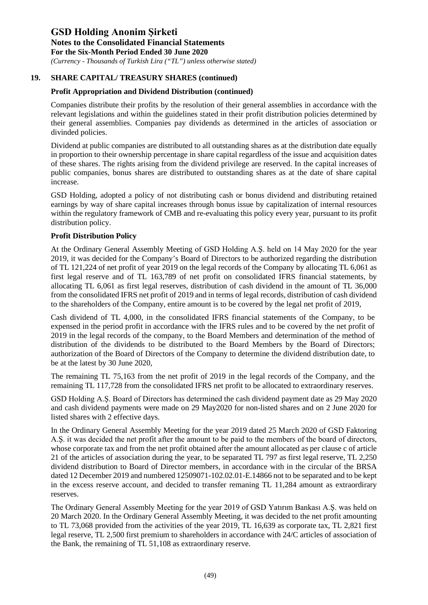*(Currency - Thousands of Turkish Lira ("TL") unless otherwise stated)*

### **19. SHARE CAPITAL/ TREASURY SHARES (continued)**

### **Profit Appropriation and Dividend Distribution (continued)**

Companies distribute their profits by the resolution of their general assemblies in accordance with the relevant legislations and within the guidelines stated in their profit distribution policies determined by their general assemblies. Companies pay dividends as determined in the articles of association or divinded policies.

Dividend at public companies are distributed to all outstanding shares as at the distribution date equally in proportion to their ownership percentage in share capital regardless of the issue and acquisition dates of these shares. The rights arising from the dividend privilege are reserved. In the capital increases of public companies, bonus shares are distributed to outstanding shares as at the date of share capital increase.

GSD Holding, adopted a policy of not distributing cash or bonus dividend and distributing retained earnings by way of share capital increases through bonus issue by capitalization of internal resources within the regulatory framework of CMB and re-evaluating this policy every year, pursuant to its profit distribution policy.

### **Profit Distribution Policy**

At the Ordinary General Assembly Meeting of GSD Holding A.Ş. held on 14 May 2020 for the year 2019, it was decided for the Company's Board of Directors to be authorized regarding the distribution of TL 121,224 of net profit of year 2019 on the legal records of the Company by allocating TL 6,061 as first legal reserve and of TL 163,789 of net profit on consolidated IFRS financial statements, by allocating TL 6,061 as first legal reserves, distribution of cash dividend in the amount of TL 36,000 from the consolidated IFRS net profit of 2019 and in terms of legal records, distribution of cash dividend to the shareholders of the Company, entire amount is to be covered by the legal net profit of 2019,

Cash dividend of TL 4,000, in the consolidated IFRS financial statements of the Company, to be expensed in the period profit in accordance with the IFRS rules and to be covered by the net profit of 2019 in the legal records of the company, to the Board Members and determination of the method of distribution of the dividends to be distributed to the Board Members by the Board of Directors; authorization of the Board of Directors of the Company to determine the dividend distribution date, to be at the latest by 30 June 2020,

The remaining TL 75,163 from the net profit of 2019 in the legal records of the Company, and the remaining TL 117,728 from the consolidated IFRS net profit to be allocated to extraordinary reserves.

GSD Holding A.Ş. Board of Directors has determined the cash dividend payment date as 29 May 2020 and cash dividend payments were made on 29 May2020 for non-listed shares and on 2 June 2020 for listed shares with 2 effective days.

In the Ordinary General Assembly Meeting for the year 2019 dated 25 March 2020 of GSD Faktoring A.Ş. it was decided the net profit after the amount to be paid to the members of the board of directors, whose corporate tax and from the net profit obtained after the amount allocated as per clause c of article 21 of the articles of association during the year, to be separated TL 797 as first legal reserve, TL 2,250 dividend distribution to Board of Director members, in accordance with in the circular of the BRSA dated 12 December 2019 and numbered 12509071-102.02.01-E.14866 not to be separated and to be kept in the excess reserve account, and decided to transfer remaning TL 11,284 amount as extraordirary reserves.

The Ordinary General Assembly Meeting for the year 2019 of GSD Yatırım Bankası A.Ş. was held on 20 March 2020. In the Ordinary General Assembly Meeting, it was decided to the net profit amounting to TL 73,068 provided from the activities of the year 2019, TL 16,639 as corporate tax, TL 2,821 first legal reserve, TL 2,500 first premium to shareholders in accordance with 24/C articles of association of the Bank, the remaining of TL 51,108 as extraordinary reserve.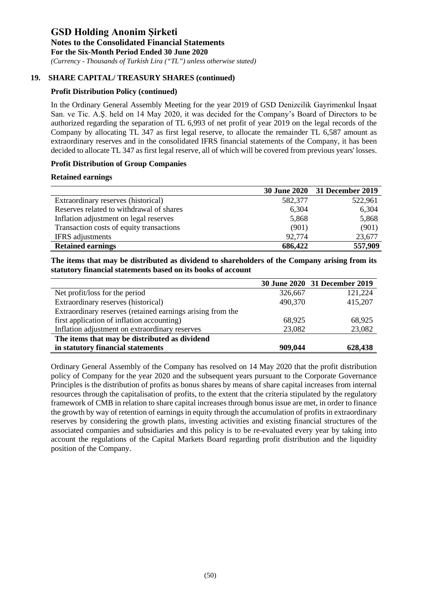*(Currency - Thousands of Turkish Lira ("TL") unless otherwise stated)*

### **19. SHARE CAPITAL/ TREASURY SHARES (continued)**

### **Profit Distribution Policy (continued)**

In the Ordinary General Assembly Meeting for the year 2019 of GSD Denizcilik Gayrimenkul İnşaat San. ve Tic. A.Ş. held on 14 May 2020, it was decided for the Company's Board of Directors to be authorized regarding the separation of TL 6,993 of net profit of year 2019 on the legal records of the Company by allocating TL 347 as first legal reserve, to allocate the remainder TL 6,587 amount as extraordinary reserves and in the consolidated IFRS financial statements of the Company, it has been decided to allocate TL 347 as first legal reserve, all of which will be covered from previous years' losses.

### **Profit Distribution of Group Companies**

#### **Retained earnings**

|                                          |         | 30 June 2020 31 December 2019 |
|------------------------------------------|---------|-------------------------------|
| Extraordinary reserves (historical)      | 582,377 | 522,961                       |
| Reserves related to withdrawal of shares | 6,304   | 6,304                         |
| Inflation adjustment on legal reserves   | 5,868   | 5,868                         |
| Transaction costs of equity transactions | (901)   | (901)                         |
| <b>IFRS</b> adjustments                  | 92,774  | 23,677                        |
| <b>Retained earnings</b>                 | 686,422 | 557,909                       |

**The items that may be distributed as dividend to shareholders of the Company arising from its statutory financial statements based on its books of account**

|                                                            |         | 30 June 2020 31 December 2019 |
|------------------------------------------------------------|---------|-------------------------------|
| Net profit/loss for the period                             | 326,667 | 121,224                       |
| Extraordinary reserves (historical)                        | 490,370 | 415,207                       |
| Extraordinary reserves (retained earnings arising from the |         |                               |
| first application of inflation accounting)                 | 68,925  | 68,925                        |
| Inflation adjustment on extraordinary reserves             | 23,082  | 23,082                        |
| The items that may be distributed as dividend              |         |                               |
| in statutory financial statements                          | 909,044 | 628,438                       |

Ordinary General Assembly of the Company has resolved on 14 May 2020 that the profit distribution policy of Company for the year 2020 and the subsequent years pursuant to the Corporate Governance Principles is the distribution of profits as bonus shares by means of share capital increases from internal resources through the capitalisation of profits, to the extent that the criteria stipulated by the regulatory framework of CMB in relation to share capital increases through bonus issue are met, in order to finance the growth by way of retention of earnings in equity through the accumulation of profits in extraordinary reserves by considering the growth plans, investing activities and existing financial structures of the associated companies and subsidiaries and this policy is to be re-evaluated every year by taking into account the regulations of the Capital Markets Board regarding profit distribution and the liquidity position of the Company.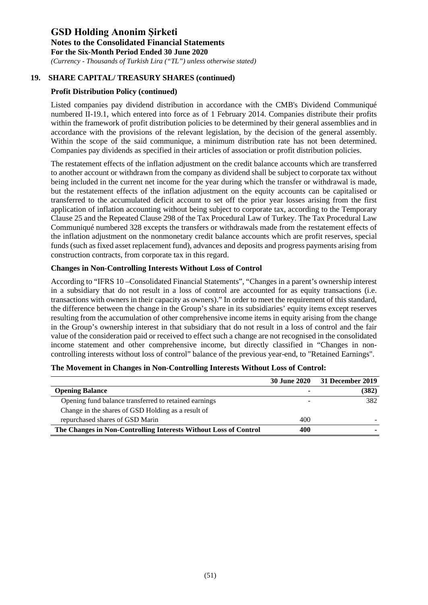*(Currency - Thousands of Turkish Lira ("TL") unless otherwise stated)*

## **19. SHARE CAPITAL/ TREASURY SHARES (continued)**

## **Profit Distribution Policy (continued)**

Listed companies pay dividend distribution in accordance with the CMB's Dividend Communiqué numbered II-19.1, which entered into force as of 1 February 2014. Companies distribute their profits within the framework of profit distribution policies to be determined by their general assemblies and in accordance with the provisions of the relevant legislation, by the decision of the general assembly. Within the scope of the said communique, a minimum distribution rate has not been determined. Companies pay dividends as specified in their articles of association or profit distribution policies.

The restatement effects of the inflation adjustment on the credit balance accounts which are transferred to another account or withdrawn from the company as dividend shall be subject to corporate tax without being included in the current net income for the year during which the transfer or withdrawal is made, but the restatement effects of the inflation adjustment on the equity accounts can be capitalised or transferred to the accumulated deficit account to set off the prior year losses arising from the first application of inflation accounting without being subject to corporate tax, according to the Temporary Clause 25 and the Repeated Clause 298 of the Tax Procedural Law of Turkey. The Tax Procedural Law Communiqué numbered 328 excepts the transfers or withdrawals made from the restatement effects of the inflation adjustment on the nonmonetary credit balance accounts which are profit reserves, special funds (such as fixed asset replacement fund), advances and deposits and progress payments arising from construction contracts, from corporate tax in this regard.

## **Changes in Non-Controlling Interests Without Loss of Control**

According to "IFRS 10 –Consolidated Financial Statements", "Changes in a parent's ownership interest in a subsidiary that do not result in a loss of control are accounted for as equity transactions (i.e. transactions with owners in their capacity as owners)." In order to meet the requirement of this standard, the difference between the change in the Group's share in its subsidiaries' equity items except reserves resulting from the accumulation of other comprehensive income items in equity arising from the change in the Group's ownership interest in that subsidiary that do not result in a loss of control and the fair value of the consideration paid or received to effect such a change are not recognised in the consolidated income statement and other comprehensive income, but directly classified in "Changes in noncontrolling interests without loss of control" balance of the previous year-end, to "Retained Earnings".

|                                                                  | <b>30 June 2020</b> | <b>31 December 2019</b> |
|------------------------------------------------------------------|---------------------|-------------------------|
| <b>Opening Balance</b>                                           | -                   | (382)                   |
| Opening fund balance transferred to retained earnings            |                     | 382                     |
| Change in the shares of GSD Holding as a result of               |                     |                         |
| repurchased shares of GSD Marin                                  | 400                 |                         |
| The Changes in Non-Controlling Interests Without Loss of Control | 400                 |                         |

### **The Movement in Changes in Non-Controlling Interests Without Loss of Control:**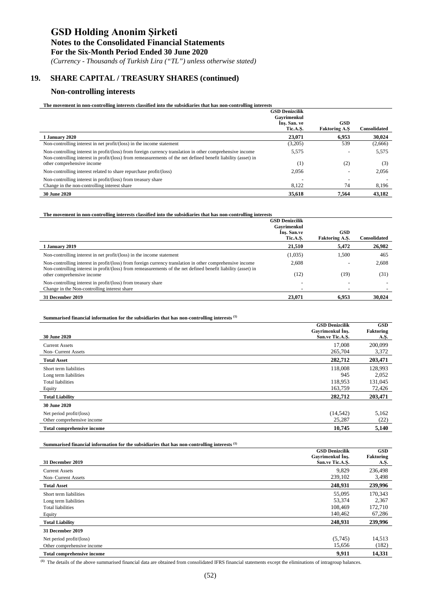#### **Notes to the Consolidated Financial Statements**

**For the Six-Month Period Ended 30 June 2020**

*(Currency - Thousands of Turkish Lira ("TL") unless otherwise stated)*

## **19. SHARE CAPITAL / TREASURY SHARES (continued)**

### **Non-controlling interests**

l.

| The movement in non-controlling interests classified into the subsidiaries that has non-controlling interests |  |
|---------------------------------------------------------------------------------------------------------------|--|
|---------------------------------------------------------------------------------------------------------------|--|

|                                                                                                                                                                                                                            | <b>GSD Denizcilik</b><br>Gavrimenkul |                                    |                     |
|----------------------------------------------------------------------------------------------------------------------------------------------------------------------------------------------------------------------------|--------------------------------------|------------------------------------|---------------------|
|                                                                                                                                                                                                                            | Ins. San. ve<br>Tic.A.S.             | <b>GSD</b><br><b>Faktoring A.S</b> | <b>Consolidated</b> |
| 1 January 2020                                                                                                                                                                                                             | 23,071                               | 6.953                              | 30,024              |
| Non-controlling interest in net profit/(loss) in the income statement                                                                                                                                                      | (3,205)                              | 539                                | (2,666)             |
| Non-controlling interest in profit/(loss) from foreign currency translation in other comprehensive income<br>Non-controlling interest in profit/(loss) from remeasurements of the net defined benefit liability (asset) in | 5,575                                |                                    | 5,575               |
| other comprehensive income                                                                                                                                                                                                 | (1)                                  | (2)                                | (3)                 |
| Non-controlling interest related to share repurchase profit/(loss)                                                                                                                                                         | 2,056                                |                                    | 2,056               |
| Non-controlling interest in profit/(loss) from treasury share                                                                                                                                                              |                                      |                                    |                     |
| Change in the non-controlling interest share                                                                                                                                                                               | 8,122                                | 74                                 | 8,196               |
| <b>30 June 2020</b>                                                                                                                                                                                                        | 35,618                               | 7.564                              | 43,182              |

| The movement in non-controlling interests classified into the subsidiaries that has non-controlling interests                                                                                                              |                                                                 |                                     |                     |
|----------------------------------------------------------------------------------------------------------------------------------------------------------------------------------------------------------------------------|-----------------------------------------------------------------|-------------------------------------|---------------------|
|                                                                                                                                                                                                                            | <b>GSD Denizcilik</b><br>Gavrimenkul<br>Ins. San.ve<br>Tic.A.S. | <b>GSD</b><br><b>Faktoring A.S.</b> | <b>Consolidated</b> |
| 1 January 2019                                                                                                                                                                                                             | 21.510                                                          | 5.472                               | 26,982              |
| Non-controlling interest in net profit/(loss) in the income statement                                                                                                                                                      | (1,035)                                                         | 1.500                               | 465                 |
| Non-controlling interest in profit/(loss) from foreign currency translation in other comprehensive income<br>Non-controlling interest in profit/(loss) from remeasurements of the net defined benefit liability (asset) in | 2,608                                                           |                                     | 2,608               |
| other comprehensive income                                                                                                                                                                                                 | (12)                                                            | (19)                                | (31)                |
| Non-controlling interest in profit/(loss) from treasury share                                                                                                                                                              |                                                                 |                                     |                     |
| Change in the Non-controlling interest share                                                                                                                                                                               |                                                                 |                                     |                     |
| 31 December 2019                                                                                                                                                                                                           | 23.071                                                          | 6.953                               | 30,024              |

#### **Summarised financial information for the subsidiaries that has non-controlling interests (1)**

|                                   | <b>GSD Denizcilik</b> | <b>GSD</b>       |
|-----------------------------------|-----------------------|------------------|
|                                   | Gayrimenkul Ins.      | <b>Faktoring</b> |
| <b>30 June 2020</b>               | San.ve Tic.A.S.       | A.Ş.             |
| <b>Current Assets</b>             | 17,008                | 200,099          |
| Non- Current Assets               | 265,704               | 3,372            |
| <b>Total Asset</b>                | 282,712               | 203,471          |
| Short term liabilities            | 118,008               | 128,993          |
| Long term liabilities             | 945                   | 2,052            |
| <b>Total liabilities</b>          | 118,953               | 131,045          |
| Equity                            | 163,759               | 72,426           |
| <b>Total Liability</b>            | 282,712               | 203,471          |
| <b>30 June 2020</b>               |                       |                  |
| Net period profit/(loss)          | (14, 542)             | 5,162            |
| Other comprehensive income        | 25,287                | (22)             |
| <b>Total comprehensive income</b> | 10,745                | 5,140            |

#### **Summarised financial information for the subsidiaries that has non-controlling interests (1)**

|                                   | <b>GSD Denizcilik</b> | <b>GSD</b> |
|-----------------------------------|-----------------------|------------|
|                                   | Gayrimenkul Ins.      | Faktoring  |
| 31 December 2019                  | San.ve Tic.A.S.       | A.Ş.       |
| <b>Current Assets</b>             | 9,829                 | 236,498    |
| Non- Current Assets               | 239,102               | 3,498      |
| <b>Total Asset</b>                | 248,931               | 239,996    |
| Short term liabilities            | 55,095                | 170,343    |
| Long term liabilities             | 53,374                | 2,367      |
| <b>Total liabilities</b>          | 108.469               | 172,710    |
| Equity                            | 140.462               | 67,286     |
| <b>Total Liability</b>            | 248,931               | 239,996    |
| 31 December 2019                  |                       |            |
| Net period profit/(loss)          | (5,745)               | 14,513     |
| Other comprehensive income        | 15,656                | (182)      |
| <b>Total comprehensive income</b> | 9,911                 | 14.331     |

**(1)** The details of the above summarised financial data are obtained from consolidated IFRS financial statements except the eliminations of intragroup balances.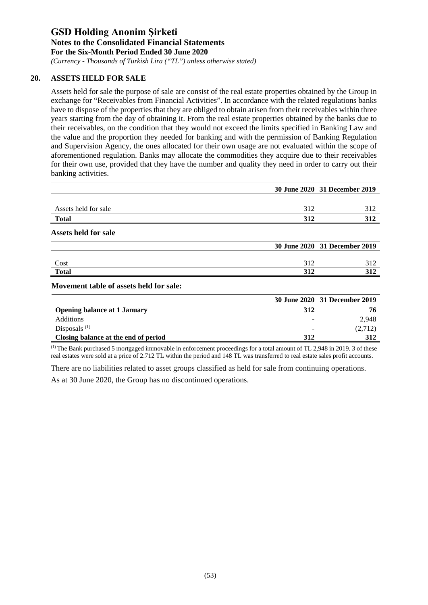*(Currency - Thousands of Turkish Lira ("TL") unless otherwise stated)*

### **20. ASSETS HELD FOR SALE**

Assets held for sale the purpose of sale are consist of the real estate properties obtained by the Group in exchange for "Receivables from Financial Activities". In accordance with the related regulations banks have to dispose of the properties that they are obliged to obtain arisen from their receivables within three years starting from the day of obtaining it. From the real estate properties obtained by the banks due to their receivables, on the condition that they would not exceed the limits specified in Banking Law and the value and the proportion they needed for banking and with the permission of Banking Regulation and Supervision Agency, the ones allocated for their own usage are not evaluated within the scope of aforementioned regulation. Banks may allocate the commodities they acquire due to their receivables for their own use, provided that they have the number and quality they need in order to carry out their banking activities.

|                                         |     | 30 June 2020 31 December 2019 |
|-----------------------------------------|-----|-------------------------------|
| Assets held for sale                    | 312 | 312                           |
| <b>Total</b>                            | 312 | 312                           |
| <b>Assets held for sale</b>             |     |                               |
|                                         |     | 30 June 2020 31 December 2019 |
| Cost                                    | 312 | 312                           |
| <b>Total</b>                            | 312 | 312                           |
| Movement table of assets held for sale: |     |                               |
|                                         |     | 30 June 2020 31 December 2019 |
| <b>Opening balance at 1 January</b>     | 312 | 76                            |
| $\mathbf{A}$ and $\mathbf{A}$           |     | $\sim$ 0.40                   |

| Opening balance at 1 January         | JIZ | , ,,  |
|--------------------------------------|-----|-------|
| <b>Additions</b>                     |     | 2.948 |
| Disposals $(1)$                      | -   |       |
| Closing balance at the end of period | 312 | 312   |
|                                      |     |       |

(1) The Bank purchased 5 mortgaged immovable in enforcement proceedings for a total amount of TL 2,948 in 2019. 3 of these real estates were sold at a price of 2.712 TL within the period and 148 TL was transferred to real estate sales profit accounts.

There are no liabilities related to asset groups classified as held for sale from continuing operations. As at 30 June 2020, the Group has no discontinued operations.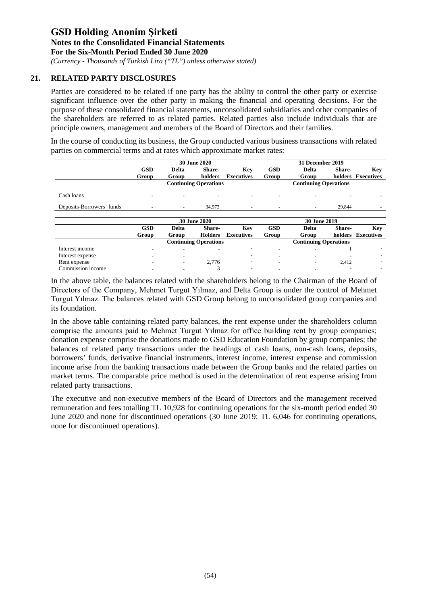*(Currency - Thousands of Turkish Lira ("TL") unless otherwise stated)*

### **21. RELATED PARTY DISCLOSURES**

Parties are considered to be related if one party has the ability to control the other party or exercise significant influence over the other party in making the financial and operating decisions. For the purpose of these consolidated financial statements, unconsolidated subsidiaries and other companies of the shareholders are referred to as related parties. Related parties also include individuals that are principle owners, management and members of the Board of Directors and their families.

In the course of conducting its business, the Group conducted various business transactions with related parties on commercial terms and at rates which approximate market rates:

|                           |                          |              | <b>30 June 2020</b>          |                   |                          | 31 December 2019             |        |                    |
|---------------------------|--------------------------|--------------|------------------------------|-------------------|--------------------------|------------------------------|--------|--------------------|
|                           | <b>GSD</b>               | <b>Delta</b> | Share-                       | Key               | <b>GSD</b>               | <b>Delta</b>                 | Share- | Key                |
|                           | Group                    | Group        | holders                      | <b>Executives</b> | Group                    | Group                        |        | holders Executives |
|                           |                          |              | <b>Continuing Operations</b> |                   |                          | <b>Continuing Operations</b> |        |                    |
| Cash loans                |                          | ٠            |                              |                   |                          |                              |        |                    |
| Deposits-Borrowers' funds | ٠                        | $\sim$       | 34,973                       | ٠                 | $\overline{\phantom{a}}$ | $\sim$                       | 29.844 |                    |
|                           |                          |              |                              |                   |                          |                              |        |                    |
|                           |                          |              | <b>30 June 2020</b>          |                   |                          | 30 June 2019                 |        |                    |
|                           | <b>GSD</b>               | <b>Delta</b> | Share-                       | Key               | <b>GSD</b>               | <b>Delta</b>                 | Share- | Key                |
|                           | Group                    | Group        | <b>Holders</b>               | <b>Executives</b> | Group                    | Group                        |        | holders Executives |
|                           |                          |              | <b>Continuing Operations</b> |                   |                          | <b>Continuing Operations</b> |        |                    |
| Interest income           |                          | ٠            | $\overline{\phantom{a}}$     | ٠                 | ٠                        |                              |        |                    |
| Interest expense          | $\overline{\phantom{a}}$ | ٠            | ٠                            | ۰                 |                          |                              |        |                    |
| Rent expense              |                          | ٠            | 2.776                        | $\sim$            |                          |                              | 2,412  |                    |
| Commission income         |                          |              | 3                            | ٠                 |                          |                              |        |                    |

In the above table, the balances related with the shareholders belong to the Chairman of the Board of Directors of the Company, Mehmet Turgut Yılmaz, and Delta Group is under the control of Mehmet Turgut Yılmaz. The balances related with GSD Group belong to unconsolidated group companies and its foundation.

In the above table containing related party balances, the rent expense under the shareholders column comprise the amounts paid to Mehmet Turgut Yılmaz for office building rent by group companies; donation expense comprise the donations made to GSD Education Foundation by group companies; the balances of related party transactions under the headings of cash loans, non-cash loans, deposits, borrowers' funds, derivative financial instruments, interest income, interest expense and commission income arise from the banking transactions made between the Group banks and the related parties on market terms. The comparable price method is used in the determination of rent expense arising from related party transactions.

The executive and non-executive members of the Board of Directors and the management received remuneration and fees totalling TL 10,928 for continuing operations for the six-month period ended 30 June 2020 and none for discontinued operations (30 June 2019: TL 6,046 for continuing operations, none for discontinued operations).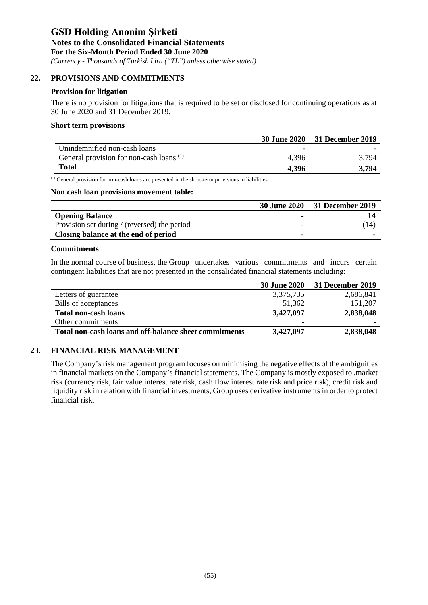*(Currency - Thousands of Turkish Lira ("TL") unless otherwise stated)*

#### **22. PROVISIONS AND COMMITMENTS**

#### **Provision for litigation**

There is no provision for litigations that is required to be set or disclosed for continuing operations as at 30 June 2020 and 31 December 2019.

#### **Short term provisions**

|                                                     |       | 30 June 2020 31 December 2019 |
|-----------------------------------------------------|-------|-------------------------------|
| Unindemnified non-cash loans                        |       |                               |
| General provision for non-cash loans <sup>(1)</sup> | 4.396 | 3 794                         |
| <b>Total</b>                                        | 4.396 | 3.794                         |

(1) General provision for non-cash loans are presented in the short-term provisions in liabilities.

#### **Non cash loan provisions movement table:**

|                                              | <b>30 June 2020</b> | <b>31 December 2019</b> |
|----------------------------------------------|---------------------|-------------------------|
| <b>Opening Balance</b>                       |                     |                         |
| Provision set during / (reversed) the period |                     | 14                      |
| Closing balance at the end of period         |                     |                         |

#### **Commitments**

In the normal course of business, the Group undertakes various commitments and incurs certain contingent liabilities that are not presented in the consalidated financial statements including:

|                                                        | <b>30 June 2020</b> | 31 December 2019 |
|--------------------------------------------------------|---------------------|------------------|
| Letters of guarantee                                   | 3,375,735           | 2,686,841        |
| Bills of acceptances                                   | 51,362              | 151,207          |
| <b>Total non-cash loans</b>                            | 3,427,097           | 2,838,048        |
| Other commitments                                      |                     |                  |
| Total non-cash loans and off-balance sheet commitments | 3,427,097           | 2,838,048        |

### **23. FINANCIAL RISK MANAGEMENT**

The Company's risk management program focuses on minimising the negative effects of the ambiguities in financial markets on the Company's financial statements. The Company is mostly exposed to ,market risk (currency risk, fair value interest rate risk, cash flow interest rate risk and price risk), credit risk and liquidity risk in relation with financial investments, Group uses derivative instruments in order to protect financial risk.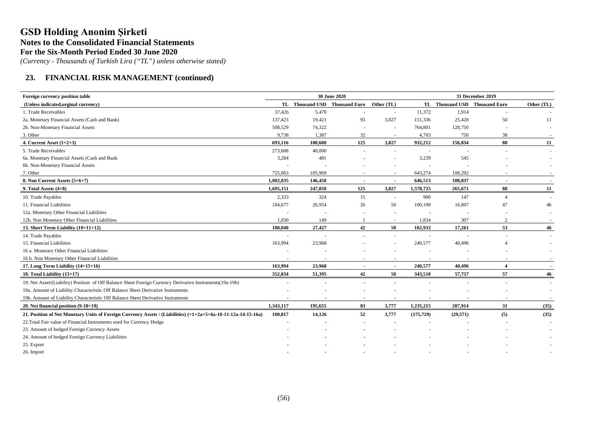*(Currency - Thousands of Turkish Lira ("TL") unless otherwise stated)*

### **23. FINANCIAL RISK MANAGEMENT (continued)**

| Foreign currency position table                                                                                  | 30 June 2020             |                          |                                          |                          |            | 31 December 2019              |                          |            |  |
|------------------------------------------------------------------------------------------------------------------|--------------------------|--------------------------|------------------------------------------|--------------------------|------------|-------------------------------|--------------------------|------------|--|
| (Unless indicated, orginal currency)                                                                             |                          |                          | TL Thousand USD Thousand Euro Other (TL) |                          |            | TL Thousand USD Thousand Euro |                          | Other (TL) |  |
| 1. Trade Receivables                                                                                             | 37,426                   | 5,470                    |                                          | $\sim$                   | 11,372     | 1,914                         |                          |            |  |
| 2a. Monetary Financial Assets (Cash and Bank)                                                                    | 137,423                  | 19,421                   | 93                                       | 3,827                    | 151,336    | 25,420                        | 50                       | 11         |  |
| 2b. Non-Monetary Financial Assets                                                                                | 508,529                  | 74,322                   |                                          | $\sim$                   | 764,801    | 128,750                       |                          |            |  |
| 3. Other                                                                                                         | 9,738                    | 1,387                    | 32                                       | $\sim$                   | 4,703      | 750                           | 38                       |            |  |
| 4. Current Asset $(1+2+3)$                                                                                       | 693,116                  | 100.600                  | 125                                      | 3,827                    | 932,212    | 156,834                       | 88                       | 11         |  |
| 5. Trade Receivables                                                                                             | 273,688                  | 40,000                   |                                          |                          |            |                               |                          |            |  |
| 6a. Monetary Financial Assets (Cash and Bank                                                                     | 3,284                    | 481                      |                                          |                          | 3,239      | 545                           |                          |            |  |
| 6b. Non-Monetary Financial Assets                                                                                |                          |                          |                                          |                          |            |                               |                          |            |  |
| 7. Other                                                                                                         | 725,063                  | 105,969                  | $\sim$                                   | $\sim$                   | 643,274    | 108,292                       |                          |            |  |
| 8. Non Current Assets (5+6+7)                                                                                    | 1,002,035                | 146,450                  | $\overline{\phantom{a}}$                 | $\blacksquare$           | 646,513    | 108,837                       | $\overline{\phantom{a}}$ | $\sim$     |  |
| 9. Total Assets $(4+8)$                                                                                          | 1,695,151                | 247,050                  | 125                                      | 3,827                    | 1,578,725  | 265,671                       | 88                       | 11         |  |
| 10. Trade Payables                                                                                               | 2,333                    | 324                      | 15                                       | $\sim$                   | 900        | 147                           | $\overline{4}$           |            |  |
| 11. Financial Liabilities                                                                                        | 184,677                  | 26,954                   | 26                                       | 50                       | 100,199    | 16,807                        | 47                       | 46         |  |
| 12a. Monetary Other Financial Liabilities                                                                        |                          |                          |                                          | $\sim$                   |            |                               |                          |            |  |
| 12b. Non Monetary Other Financial Liabilities                                                                    | 1,030                    | 149                      |                                          | $\sim$                   | 1,834      | 307                           | $\mathfrak{2}$           |            |  |
| 13. Short Term Liability $(10+11+12)$                                                                            | 188,040                  | 27,427                   | 42                                       | 50                       | 102,933    | 17,261                        | 53                       | 46         |  |
| 14. Trade Payables                                                                                               | $\sim$                   |                          |                                          | $\sim$                   |            |                               |                          |            |  |
| 15. Financial Liabilities                                                                                        | 163,994                  | 23,968                   |                                          |                          | 240,577    | 40,496                        | $\overline{\mathcal{A}}$ |            |  |
| 16 a. Monetary Other Financial Liabilities                                                                       |                          |                          |                                          |                          |            |                               |                          |            |  |
| 16 b. Non Monetary Other Financial Liabilities                                                                   |                          |                          | $\overline{\phantom{a}}$                 | $\overline{\phantom{a}}$ |            | $\overline{\phantom{a}}$      |                          |            |  |
| 17. Long Term Liability (14+15+16)                                                                               | 163,994                  | 23,968                   | $\blacksquare$                           | $\blacksquare$           | 240,577    | 40,496                        | $\boldsymbol{4}$         |            |  |
| 18. Total Liability (13+17)                                                                                      | 352,034                  | 51,395                   | 42                                       | 50                       | 343,510    | 57,757                        | 57                       | 46         |  |
| 19. Net Asset/(Liability) Position of Off Balance Sheet Foreign Currency Derivative Instruments(19a-19b)         |                          | $\overline{\phantom{a}}$ | $\blacksquare$                           | $\overline{\phantom{a}}$ |            |                               | <b>.</b>                 |            |  |
| 19a. Amount of Liability Characteristic Off Balance Sheet Derivative Instruments                                 |                          |                          |                                          |                          |            |                               |                          |            |  |
| 19b. Amount of Liability Characteristic Off Balance Sheet Derivative Instruments                                 | $\overline{\phantom{a}}$ | $\blacksquare$           | $\overline{\phantom{a}}$                 | $\blacksquare$           |            |                               |                          |            |  |
| 20. Net financial position (9-18+19)                                                                             | 1,343,117                | 195,655                  | 83                                       | 3,777                    | 1,235,215  | 207,914                       | 31                       | (35)       |  |
| 21. Position of Net Monetary Units of Foreign Currency Assets / (Liabilities) $(=1+2a+5+6a-10-11-12a-14-15-16a)$ | 100,817                  | 14,126                   | 52                                       | 3,777                    | (175, 729) | (29, 571)                     | (5)                      | (35)       |  |
| 22. Total Fair value of Financial Instruments used for Currency Hedge                                            |                          |                          |                                          |                          |            |                               |                          |            |  |
| 23. Amount of hedged Foreign Currency Assets                                                                     |                          |                          |                                          |                          |            |                               |                          |            |  |
| 24. Amount of hedged Foreign Currency Liabilities                                                                |                          |                          |                                          |                          |            |                               |                          |            |  |
| 25. Export                                                                                                       |                          |                          |                                          |                          |            |                               |                          |            |  |
| 26. Import                                                                                                       |                          |                          |                                          |                          |            |                               |                          |            |  |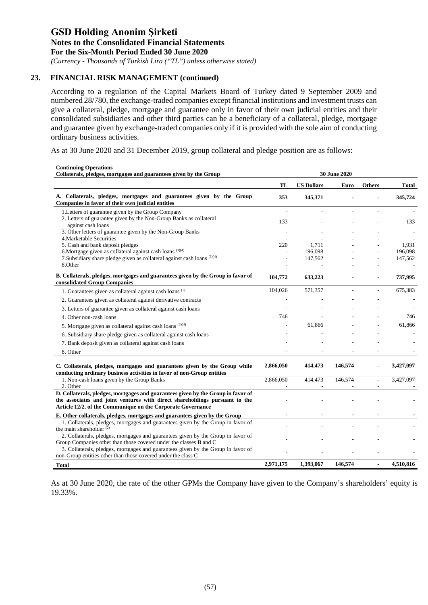*(Currency - Thousands of Turkish Lira ("TL") unless otherwise stated)*

## **23. FINANCIAL RISK MANAGEMENT (continued)**

According to a regulation of the Capital Markets Board of Turkey dated 9 September 2009 and numbered 28/780, the exchange-traded companies except financial institutions and investment trusts can give a collateral, pledge, mortgage and guarantee only in favor of their own judicial entities and their consolidated subsidiaries and other third parties can be a beneficiary of a collateral, pledge, mortgage and guarantee given by exchange-traded companies only if it is provided with the sole aim of conducting ordinary business activities.

As at 30 June 2020 and 31 December 2019, group collateral and pledge position are as follows:

| <b>Continuing Operations</b><br>Collaterals, pledges, mortgages and guarantees given by the Group                                                                                                                              | 30 June 2020             |                    |         |                |                    |
|--------------------------------------------------------------------------------------------------------------------------------------------------------------------------------------------------------------------------------|--------------------------|--------------------|---------|----------------|--------------------|
|                                                                                                                                                                                                                                | TL                       | <b>US Dollars</b>  | Euro    | <b>Others</b>  | Total              |
| A. Collaterals, pledges, mortgages and guarantees given by the Group<br>Companies in favor of their own judicial entities                                                                                                      | 353                      | 345,371            |         |                | 345,724            |
| 1. Letters of guarantee given by the Group Company                                                                                                                                                                             | $\overline{\phantom{a}}$ |                    |         |                |                    |
| 2. Letters of guarantee given by the Non-Group Banks as collateral<br>against cash loans                                                                                                                                       | 133                      |                    |         |                | 133                |
| 3. Other letters of guarantee given by the Non-Group Banks                                                                                                                                                                     |                          |                    |         |                |                    |
| 4. Marketable Securities                                                                                                                                                                                                       |                          |                    |         |                |                    |
| 5. Cash and bank deposit pledges                                                                                                                                                                                               | 220                      | 1,711              |         |                | 1,931              |
| 6. Mortgage given as collateral against cash loans $(3)(4)$<br>7. Subsidiary share pledge given as collateral against cash loans (3)(4)                                                                                        |                          | 196,098<br>147,562 |         |                | 196,098<br>147,562 |
| 8.Other                                                                                                                                                                                                                        |                          |                    |         |                |                    |
| B. Collaterals, pledges, mortgages and guarantees given by the Group in favor of<br>consolidated Group Companies                                                                                                               | 104,772                  | 633,223            |         |                | 737,995            |
| 1. Guarantees given as collateral against cash loans <sup>(1)</sup>                                                                                                                                                            | 104,026                  | 571,357            |         |                | 675,383            |
| 2. Guarantees given as collateral against derivative contracts                                                                                                                                                                 |                          |                    |         |                |                    |
| 3. Letters of guarantee given as collateral against cash loans                                                                                                                                                                 |                          |                    |         |                |                    |
| 4. Other non-cash loans                                                                                                                                                                                                        | 746                      |                    |         |                | 746                |
| 5. Mortgage given as collateral against cash loans $(3)(4)$                                                                                                                                                                    |                          | 61,866             |         |                | 61,866             |
| 6. Subsidiary share pledge given as collateral against cash loans                                                                                                                                                              |                          |                    |         |                |                    |
| 7. Bank deposit given as collateral against cash loans                                                                                                                                                                         |                          |                    |         |                |                    |
| 8. Other                                                                                                                                                                                                                       |                          |                    |         |                |                    |
| C. Collaterals, pledges, mortgages and guarantees given by the Group while<br>conducting ordinary business activities in favor of non-Group entities                                                                           | 2,866,050                | 414,473            | 146,574 |                | 3,427,097          |
| 1. Non-cash loans given by the Group Banks                                                                                                                                                                                     | 2,866,050                | 414,473            | 146,574 | $\overline{a}$ | 3,427,097          |
| 2. Other                                                                                                                                                                                                                       |                          |                    |         |                |                    |
| D. Collaterals, pledges, mortgages and guarantees given by the Group in favor of<br>the associates and joint ventures with direct shareholdings pursuant to the<br>Article 12/2. of the Communique on the Corporate Governance |                          |                    |         |                |                    |
| E. Other collaterals, pledges, mortgages and guarantees given by the Group                                                                                                                                                     |                          | ÷,                 |         |                |                    |
| 1. Collaterals, pledges, mortgages and guarantees given by the Group in favor of                                                                                                                                               |                          |                    |         |                |                    |
| the main shareholder $(2)$                                                                                                                                                                                                     |                          |                    |         |                |                    |
| 2. Collaterals, pledges, mortgages and guarantees given by the Group in favor of<br>Group Companies other than those covered under the classes B and C                                                                         |                          |                    |         |                |                    |
| 3. Collaterals, pledges, mortgages and guarantees given by the Group in favor of                                                                                                                                               |                          |                    |         |                |                    |
| non-Group entities other than those covered under the class C                                                                                                                                                                  |                          |                    |         |                |                    |
| <b>Total</b>                                                                                                                                                                                                                   | 2,971,175                | 1,393,067          | 146,574 | $\blacksquare$ | 4,510,816          |

As at 30 June 2020, the rate of the other GPMs the Company have given to the Company's shareholders' equity is 19.33%.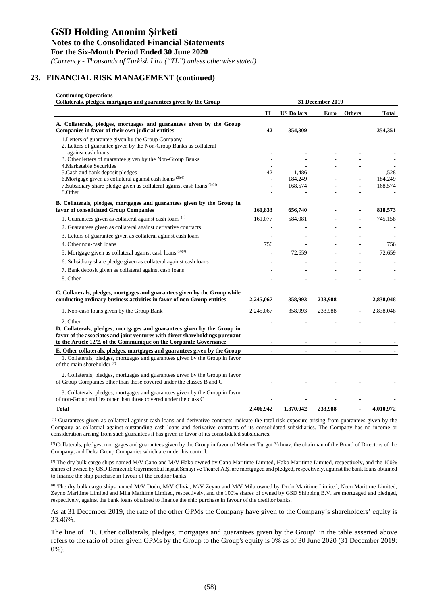*(Currency - Thousands of Turkish Lira ("TL") unless otherwise stated)*

#### **23. FINANCIAL RISK MANAGEMENT (continued)**

| <b>Continuing Operations</b><br>Collaterals, pledges, mortgages and guarantees given by the Group                                                                                                                              | 31 December 2019 |                   |         |               |                  |
|--------------------------------------------------------------------------------------------------------------------------------------------------------------------------------------------------------------------------------|------------------|-------------------|---------|---------------|------------------|
|                                                                                                                                                                                                                                | TL               | <b>US Dollars</b> | Euro    | <b>Others</b> | <b>Total</b>     |
| A. Collaterals, pledges, mortgages and guarantees given by the Group<br>Companies in favor of their own judicial entities                                                                                                      | 42               | 354,309           |         |               | 354,351          |
| 1. Letters of guarantee given by the Group Company<br>2. Letters of guarantee given by the Non-Group Banks as collateral                                                                                                       |                  |                   |         |               |                  |
| against cash loans<br>3. Other letters of guarantee given by the Non-Group Banks<br>4. Marketable Securities                                                                                                                   |                  |                   |         |               |                  |
| 5. Cash and bank deposit pledges<br>6. Mortgage given as collateral against cash loans $(3)(4)$                                                                                                                                | 42               | 1.486<br>184,249  |         |               | 1,528<br>184,249 |
| 7. Subsidiary share pledge given as collateral against cash loans (3)(4)<br>8.Other                                                                                                                                            |                  | 168,574           |         | ÷             | 168,574          |
| B. Collaterals, pledges, mortgages and guarantees given by the Group in<br>favor of consolidated Group Companies                                                                                                               | 161,833          | 656,740           |         |               | 818,573          |
| 1. Guarantees given as collateral against cash loans <sup>(1)</sup>                                                                                                                                                            | 161,077          | 584,081           |         |               | 745,158          |
| 2. Guarantees given as collateral against derivative contracts                                                                                                                                                                 |                  |                   |         |               |                  |
| 3. Letters of guarantee given as collateral against cash loans                                                                                                                                                                 |                  |                   |         |               |                  |
| 4. Other non-cash loans                                                                                                                                                                                                        | 756              |                   |         |               | 756              |
| 5. Mortgage given as collateral against cash loans $(3)(4)$                                                                                                                                                                    |                  | 72,659            |         |               | 72,659           |
| 6. Subsidiary share pledge given as collateral against cash loans                                                                                                                                                              |                  |                   |         |               |                  |
| 7. Bank deposit given as collateral against cash loans                                                                                                                                                                         |                  |                   |         |               |                  |
| 8. Other                                                                                                                                                                                                                       |                  |                   |         |               |                  |
| C. Collaterals, pledges, mortgages and guarantees given by the Group while<br>conducting ordinary business activities in favor of non-Group entities                                                                           | 2,245,067        | 358,993           | 233,988 |               | 2,838,048        |
| 1. Non-cash loans given by the Group Bank                                                                                                                                                                                      | 2,245,067        | 358,993           | 233,988 |               | 2,838,048        |
| 2. Other                                                                                                                                                                                                                       |                  |                   |         |               |                  |
| D. Collaterals, pledges, mortgages and guarantees given by the Group in<br>favor of the associates and joint ventures with direct shareholdings pursuant<br>to the Article 12/2. of the Communique on the Corporate Governance |                  |                   |         |               |                  |
| E. Other collaterals, pledges, mortgages and guarantees given by the Group                                                                                                                                                     |                  |                   |         |               |                  |
| 1. Collaterals, pledges, mortgages and guarantees given by the Group in favor<br>of the main shareholder <sup>(2)</sup>                                                                                                        |                  |                   |         |               |                  |
| 2. Collaterals, pledges, mortgages and guarantees given by the Group in favor<br>of Group Companies other than those covered under the classes B and C                                                                         |                  |                   |         |               |                  |
| 3. Collaterals, pledges, mortgages and guarantees given by the Group in favor<br>of non-Group entities other than those covered under the class C                                                                              |                  |                   |         |               |                  |
| Total                                                                                                                                                                                                                          | 2,406,942        | 1,370,042         | 233,988 |               | 4,010,972        |

(1) Guarantees given as collateral against cash loans and derivative contracts indicate the total risk exposure arising from guarantees given by the Company as collateral against outstanding cash loans and derivative contracts of its consolidated subsidiaries. The Company has no income or consideration arising from such guarantees it has given in favor of its consolidated subsidiaries.

<sup>(2)</sup> Collaterals, pledges, mortgages and guarantees given by the Group in favor of Mehmet Turgut Yılmaz, the chairman of the Board of Directors of the Company, and Delta Group Companies which are under his control.

<sup>(3)</sup> The dry bulk cargo ships named M/V Cano and M/V Hako owned by Cano Maritime Limited, Hako Maritime Limited, respectively, and the 100% shares of owned by GSD Denizcilik Gayrimenkul İnşaat Sanayi ve Ticaret A.Ş. are mortgaged and pledged, respectively, against the bank loans obtained to finance the ship purchase in favour of the creditor banks.

(4) The dry bulk cargo ships named M/V Dodo, M/V Olivia, M/V Zeyno and M/V Mila owned by Dodo Maritime Limited, Neco Maritime Limited, Zeyno Maritime Limited and Mila Maritime Limited, respectively, and the 100% shares of owned by GSD Shipping B.V. are mortgaged and pledged, respectively, against the bank loans obtained to finance the ship purchase in favour of the creditor banks.

As at 31 December 2019, the rate of the other GPMs the Company have given to the Company's shareholders' equity is 23.46%.

The line of "E. Other collaterals, pledges, mortgages and guarantees given by the Group" in the table asserted above refers to the ratio of other given GPMs by the Group to the Group's equity is 0% as of 30 June 2020 (31 December 2019: 0%).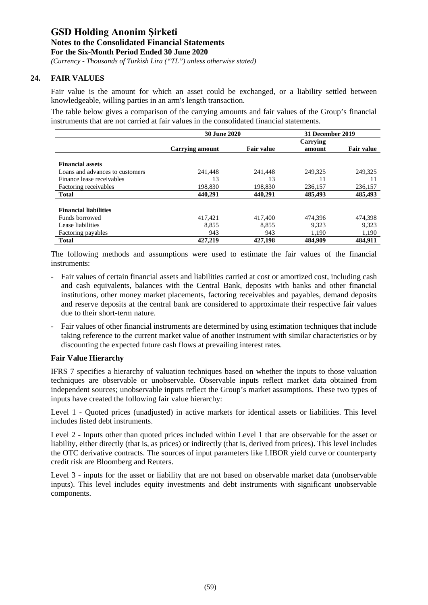*(Currency - Thousands of Turkish Lira ("TL") unless otherwise stated)*

### **24. FAIR VALUES**

Fair value is the amount for which an asset could be exchanged, or a liability settled between knowledgeable, willing parties in an arm's length transaction.

The table below gives a comparison of the carrying amounts and fair values of the Group's financial instruments that are not carried at fair values in the consolidated financial statements.

|                                 | <b>30 June 2020</b> | 31 December 2019  |                    |                   |
|---------------------------------|---------------------|-------------------|--------------------|-------------------|
|                                 | Carrying amount     | <b>Fair value</b> | Carrying<br>amount | <b>Fair value</b> |
| <b>Financial assets</b>         |                     |                   |                    |                   |
| Loans and advances to customers | 241,448             | 241,448           | 249,325            | 249,325           |
| Finance lease receivables       | 13                  | 13                | 11                 | 11                |
| Factoring receivables           | 198,830             | 198.830           | 236,157            | 236,157           |
| <b>Total</b>                    | 440.291             | 440.291           | 485,493            | 485,493           |
| <b>Financial liabilities</b>    |                     |                   |                    |                   |
| Funds borrowed                  | 417,421             | 417,400           | 474.396            | 474,398           |
| Lease liabilities               | 8.855               | 8.855             | 9.323              | 9.323             |
| Factoring payables              | 943                 | 943               | 1,190              | 1,190             |
| <b>Total</b>                    | 427,219             | 427,198           | 484,909            | 484.911           |

The following methods and assumptions were used to estimate the fair values of the financial instruments:

- Fair values of certain financial assets and liabilities carried at cost or amortized cost, including cash and cash equivalents, balances with the Central Bank, deposits with banks and other financial institutions, other money market placements, factoring receivables and payables, demand deposits and reserve deposits at the central bank are considered to approximate their respective fair values due to their short-term nature.
- Fair values of other financial instruments are determined by using estimation techniques that include taking reference to the current market value of another instrument with similar characteristics or by discounting the expected future cash flows at prevailing interest rates.

#### **Fair Value Hierarchy**

IFRS 7 specifies a hierarchy of valuation techniques based on whether the inputs to those valuation techniques are observable or unobservable. Observable inputs reflect market data obtained from independent sources; unobservable inputs reflect the Group's market assumptions. These two types of inputs have created the following fair value hierarchy:

Level 1 - Quoted prices (unadjusted) in active markets for identical assets or liabilities. This level includes listed debt instruments.

Level 2 - Inputs other than quoted prices included within Level 1 that are observable for the asset or liability, either directly (that is, as prices) or indirectly (that is, derived from prices). This level includes the OTC derivative contracts. The sources of input parameters like LIBOR yield curve or counterparty credit risk are Bloomberg and Reuters.

Level 3 - inputs for the asset or liability that are not based on observable market data (unobservable inputs). This level includes equity investments and debt instruments with significant unobservable components.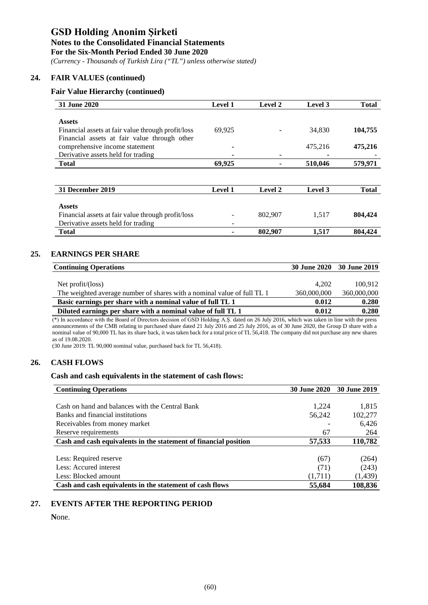#### **Notes to the Consolidated Financial Statements**

**For the Six-Month Period Ended 30 June 2020**

*(Currency - Thousands of Turkish Lira ("TL") unless otherwise stated)*

### **24. FAIR VALUES (continued)**

#### **Fair Value Hierarchy (continued)**

| 31 June 2020                                       | <b>Level 1</b> | <b>Level 2</b> | Level 3 | <b>Total</b> |
|----------------------------------------------------|----------------|----------------|---------|--------------|
|                                                    |                |                |         |              |
| <b>Assets</b>                                      |                |                |         |              |
| Financial assets at fair value through profit/loss | 69,925         |                | 34,830  | 104,755      |
| Financial assets at fair value through other       |                |                |         |              |
| comprehensive income statement                     |                |                | 475,216 | 475,216      |
| Derivative assets held for trading                 |                |                |         |              |
| <b>Total</b>                                       | 69,925         |                | 510,046 | 579,971      |
|                                                    |                |                |         |              |
|                                                    |                |                |         |              |
| 31 December 2019                                   | <b>Level 1</b> | Level 2        | Level 3 | <b>Total</b> |
|                                                    |                |                |         |              |
| <b>Assets</b>                                      |                |                |         |              |
| Financial assets at fair value through profit/loss |                | 802,907        | 1,517   | 804,424      |
| Derivative assets held for trading                 |                |                |         |              |
| <b>Total</b>                                       |                | 802,907        | 1,517   | 804,424      |

### **25. EARNINGS PER SHARE**

|             | 30 June 2020 30 June 2019 |
|-------------|---------------------------|
|             |                           |
| 4.202       | 100.912                   |
| 360,000,000 | 360,000,000               |
| 0.012       | 0.280                     |
| 0.012       | 0.280                     |
|             |                           |

(\*) In accordance with the Board of Directors decision of GSD Holding A.Ş. dated on 26 July 2016, which was taken in line with the press announcements of the CMB relating to purchased share dated 21 July 2016 and 25 July 2016, as of 30 June 2020, the Group D share with a nominal value of 90,000 TL has its share back, it was taken back for a total price of TL 56,418. The company did not purchase any new shares as of 19.08.2020.

(30 June 2019: TL 90,000 nominal value, purchased back for TL 56,418).

### **26. CASH FLOWS**

#### **Cash and cash equivalents in the statement of cash flows:**

| <b>Continuing Operations</b>                                     | <b>30 June 2020</b> | 30 June 2019 |
|------------------------------------------------------------------|---------------------|--------------|
|                                                                  |                     |              |
| Cash on hand and balances with the Central Bank                  | 1.224               | 1,815        |
| Banks and financial institutions                                 | 56,242              | 102,277      |
| Receivables from money market                                    |                     | 6,426        |
| Reserve requirements                                             | 67                  | 264          |
| Cash and cash equivalents in the statement of financial position | 57,533              | 110,782      |
|                                                                  |                     |              |
| Less: Required reserve                                           | (67)                | (264)        |
| Less: Accured interest                                           | (71)                | (243)        |
| Less: Blocked amount                                             | (1,711)             | (1, 439)     |
| Cash and cash equivalents in the statement of cash flows         | 55,684              | 108,836      |

### **27. EVENTS AFTER THE REPORTING PERIOD**

**N**one.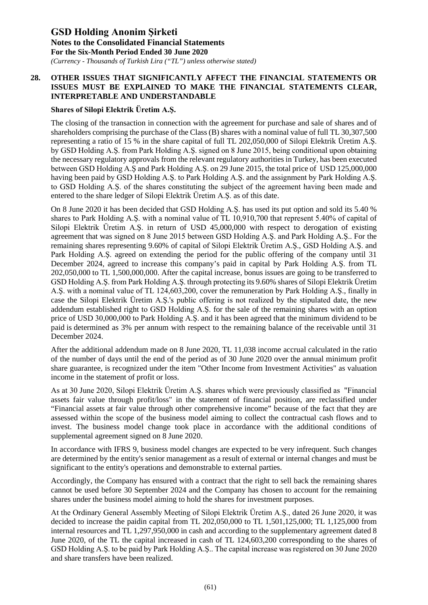*(Currency - Thousands of Turkish Lira ("TL") unless otherwise stated)*

### **28. OTHER ISSUES THAT SIGNIFICANTLY AFFECT THE FINANCIAL STATEMENTS OR ISSUES MUST BE EXPLAINED TO MAKE THE FINANCIAL STATEMENTS CLEAR, INTERPRETABLE AND UNDERSTANDABLE**

### **Shares of Silopi Elektrik Üretim A.Ş.**

The closing of the transaction in connection with the agreement for purchase and sale of shares and of shareholders comprising the purchase of the Class (B) shares with a nominal value of full TL 30,307,500 representing a ratio of 15 % in the share capital of full TL 202,050,000 of Silopi Elektrik Üretim A.Ş. by GSD Holding A.Ş. from Park Holding A.Ş. signed on 8 June 2015, being conditional upon obtaining the necessary regulatory approvals from the relevant regulatory authorities in Turkey, has been executed between GSD Holding A.Ş and Park Holding A.Ş. on 29 June 2015, the total price of USD 125,000,000 having been paid by GSD Holding A.Ş. to Park Holding A.Ş. and the assignment by Park Holding A.Ş. to GSD Holding A.Ş. of the shares constituting the subject of the agreement having been made and entered to the share ledger of Silopi Elektrik Üretim A.Ş. as of this date.

On 8 June 2020 it has been decided that GSD Holding A.Ş. has used its put option and sold its 5.40 % shares to Park Holding A.Ş. with a nominal value of TL 10,910,700 that represent 5.40% of capital of Silopi Elektrik Üretim A.Ş. in return of USD 45,000,000 with respect to derogation of existing agreement that was signed on 8 June 2015 between GSD Holding A.Ş. and Park Holding A.Ş.. For the remaining shares representing 9.60% of capital of Silopi Elektrik Üretim A.Ş., GSD Holding A.Ş. and Park Holding A.Ş. agreed on extending the period for the public offering of the company until 31 December 2024, agreed to increase this company's paid in capital by Park Holding A.Ş. from TL 202,050,000 to TL 1,500,000,000. After the capital increase, bonus issues are going to be transferred to GSD Holding A.Ş. from Park Holding A.Ş. through protecting its 9.60% shares of Silopi Elektrik Üretim A.Ş. with a nominal value of TL 124,603,200, cover the remuneration by Park Holding A.Ş., finally in case the Silopi Elektrik Üretim A.Ş.'s public offering is not realized by the stipulated date, the new addendum established right to GSD Holding A.Ş. for the sale of the remaining shares with an option price of USD 30,000,000 to Park Holding A.Ş. and it has been agreed that the minimum dividend to be paid is determined as 3% per annum with respect to the remaining balance of the receivable until 31 December 2024.

After the additional addendum made on 8 June 2020, TL 11,038 income accrual calculated in the ratio of the number of days until the end of the period as of 30 June 2020 over the annual minimum profit share guarantee, is recognized under the item "Other Income from Investment Activities" as valuation income in the statement of profit or loss.

As at 30 June 2020, Silopi Elektrik Üretim A.Ş. shares which were previously classified as "Financial assets fair value through profit/loss" in the statement of financial position, are reclassified under "Financial assets at fair value through other comprehensive income" because of the fact that they are assessed within the scope of the business model aiming to collect the contractual cash flows and to invest. The business model change took place in accordance with the additional conditions of supplemental agreement signed on 8 June 2020.

In accordance with IFRS 9, business model changes are expected to be very infrequent. Such changes are determined by the entity's senior management as a result of external or internal changes and must be significant to the entity's operations and demonstrable to external parties.

Accordingly, the Company has ensured with a contract that the right to sell back the remaining shares cannot be used before 30 September 2024 and the Company has chosen to account for the remaining shares under the business model aiming to hold the shares for investment purposes.

At the Ordinary General Assembly Meeting of Silopi Elektrik Üretim A.Ş., dated 26 June 2020, it was decided to increase the paidin capital from TL 202,050,000 to TL 1,501,125,000; TL 1,125,000 from internal resources and TL 1,297,950,000 in cash and according to the supplementary agreement dated 8 June 2020, of the TL the capital increased in cash of TL 124,603,200 corresponding to the shares of GSD Holding A.Ş. to be paid by Park Holding A.Ş.. The capital increase was registered on 30 June 2020 and share transfers have been realized.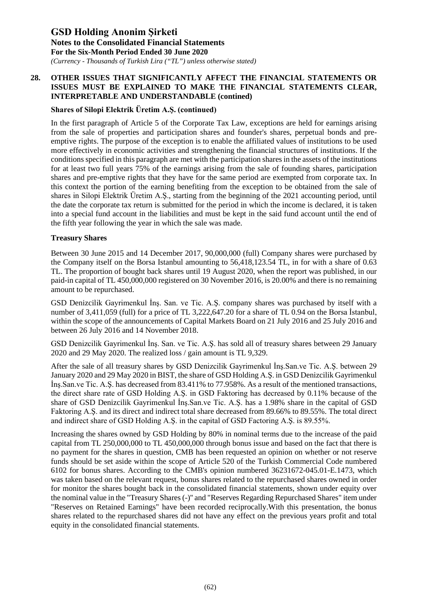*(Currency - Thousands of Turkish Lira ("TL") unless otherwise stated)*

### **28. OTHER ISSUES THAT SIGNIFICANTLY AFFECT THE FINANCIAL STATEMENTS OR ISSUES MUST BE EXPLAINED TO MAKE THE FINANCIAL STATEMENTS CLEAR, INTERPRETABLE AND UNDERSTANDABLE (contined)**

### **Shares of Silopi Elektrik Üretim A.Ş. (continued)**

In the first paragraph of Article 5 of the Corporate Tax Law, exceptions are held for earnings arising from the sale of properties and participation shares and founder's shares, perpetual bonds and preemptive rights. The purpose of the exception is to enable the affiliated values of institutions to be used more effectively in economic activities and strengthening the financial structures of institutions. If the conditions specified in this paragraph are met with the participation shares in the assets of the institutions for at least two full years 75% of the earnings arising from the sale of founding shares, participation shares and pre-emptive rights that they have for the same period are exempted from corporate tax. In this context the portion of the earning benefiting from the exception to be obtained from the sale of shares in Silopi Elektrik Üretim A.Ş., starting from the beginning of the 2021 accounting period, until the date the corporate tax return is submitted for the period in which the income is declared, it is taken into a special fund account in the liabilities and must be kept in the said fund account until the end of the fifth year following the year in which the sale was made.

#### **Treasury Shares**

Between 30 June 2015 and 14 December 2017, 90,000,000 (full) Company shares were purchased by the Company itself on the Borsa Istanbul amounting to 56,418,123.54 TL, in for with a share of 0.63 TL. The proportion of bought back shares until 19 August 2020, when the report was published, in our paid-in capital of TL 450,000,000 registered on 30 November 2016, is 20.00% and there is no remaining amount to be repurchased.

GSD Denizcilik Gayrimenkul İnş. San. ve Tic. A.Ş. company shares was purchased by itself with a number of 3,411,059 (full) for a price of TL 3,222,647.20 for a share of TL 0.94 on the Borsa Istanbul, within the scope of the announcements of Capital Markets Board on 21 July 2016 and 25 July 2016 and between 26 July 2016 and 14 November 2018.

GSD Denizcilik Gayrimenkul İnş. San. ve Tic. A.Ş. has sold all of treasury shares between 29 January 2020 and 29 May 2020. The realized loss / gain amount is TL 9,329.

After the sale of all treasury shares by GSD Denizcilik Gayrimenkul İnş.San.ve Tic. A.Ş. between 29 January 2020 and 29 May 2020 in BIST, the share of GSD Holding A.Ş. in GSD Denizcilik Gayrimenkul İnş.San.ve Tic. A.Ş. has decreased from 83.411% to 77.958%. As a result of the mentioned transactions, the direct share rate of GSD Holding A.Ş. in GSD Faktoring has decreased by 0.11% because of the share of GSD Denizcilik Gayrimenkul İnş.San.ve Tic. A.Ş. has a 1.98% share in the capital of GSD Faktoring A.Ş. and its direct and indirect total share decreased from 89.66% to 89.55%. The total direct and indirect share of GSD Holding A.Ş. in the capital of GSD Factoring A.Ş. is 89.55%.

Increasing the shares owned by GSD Holding by 80% in nominal terms due to the increase of the paid capital from TL 250,000,000 to TL 450,000,000 through bonus issue and based on the fact that there is no payment for the shares in question, CMB has been requested an opinion on whether or not reserve funds should be set aside within the scope of Article 520 of the Turkish Commercial Code numbered 6102 for bonus shares. According to the CMB's opinion numbered 36231672-045.01-E.1473, which was taken based on the relevant request, bonus shares related to the repurchased shares owned in order for monitor the shares bought back in the consolidated financial statements, shown under equity over the nominal value in the "Treasury Shares (-)'' and "Reserves Regarding Repurchased Shares" item under "Reserves on Retained Earnings" have been recorded reciprocally.With this presentation, the bonus shares related to the repurchased shares did not have any effect on the previous years profit and total equity in the consolidated financial statements.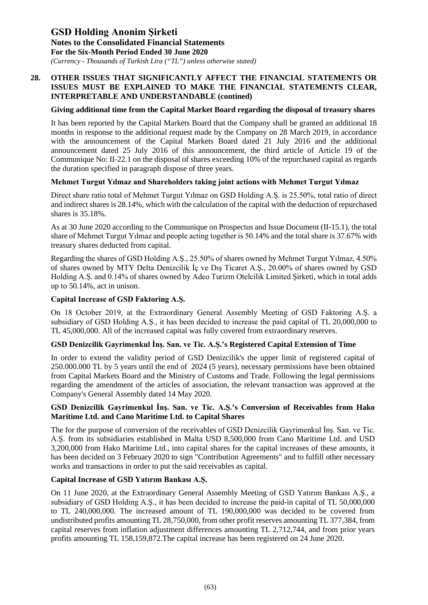*(Currency - Thousands of Turkish Lira ("TL") unless otherwise stated)*

#### **28. OTHER ISSUES THAT SIGNIFICANTLY AFFECT THE FINANCIAL STATEMENTS OR ISSUES MUST BE EXPLAINED TO MAKE THE FINANCIAL STATEMENTS CLEAR, INTERPRETABLE AND UNDERSTANDABLE (contined)**

#### **Giving additional time from the Capital Market Board regarding the disposal of treasury shares**

It has been reported by the Capital Markets Board that the Company shall be granted an additional 18 months in response to the additional request made by the Company on 28 March 2019, in accordance with the announcement of the Capital Markets Board dated 21 July 2016 and the additional announcement dated 25 July 2016 of this announcement, the third article of Article 19 of the Communique No: II-22.1 on the disposal of shares exceeding 10% of the repurchased capital as regards the duration specified in paragraph dispose of three years.

#### **Mehmet Turgut Yılmaz and Shareholders taking joint actions with Mehmet Turgut Yılmaz**

Direct share ratio total of Mehmet Turgut Yılmaz on GSD Holding A.Ş. is 25.50%, total ratio of direct and indirect shares is 28.14%, which with the calculation of the capital with the deduction of repurchased shares is 35.18%.

As at 30 June 2020 according to the Communique on Prospectus and Issue Document (II-15.1), the total share of Mehmet Turgut Yılmaz and people acting together is 50.14% and the total share is 37.67% with treasury shares deducted from capital.

Regarding the shares of GSD Holding A.Ş., 25.50% of shares owned by Mehmet Turgut Yılmaz, 4.50% of shares owned by MTY Delta Denizcilik İç ve Dış Ticaret A.Ş., 20.00% of shares owned by GSD Holding A.Ş. and 0.14% of shares owned by Adeo Turizm Otelcilik Limited Şirketi, which in total adds up to 50.14%, act in unison.

### **Capital Increase of GSD Faktoring A.Ş.**

On 18 October 2019, at the Extraordinary General Assembly Meeting of GSD Faktoring A.Ş. a subsidiary of GSD Holding A.Ş., it has been decided to increase the paid capital of TL 20,000,000 to TL 45,000,000. All of the increased capital was fully covered from extraordinary reserves.

#### **GSD Denizcilik Gayrimenkul İnş. San. ve Tic. A.Ş.'s Registered Capital Extension of Time**

In order to extend the validity period of GSD Denizcilik's the upper limit of registered capital of 250.000.000 TL by 5 years until the end of 2024 (5 years), necessary permissions have been obtained from Capital Markets Board and the Ministry of Customs and Trade. Following the legal permissions regarding the amendment of the articles of association, the relevant transaction was approved at the Company's General Assembly dated 14 May 2020.

### **GSD Denizcilik Gayrimenkul İnş. San. ve Tic. A.Ş.'s Conversion of Receivables from Hako Maritime Ltd. and Cano Maritime Ltd. to Capital Shares**

The for the purpose of conversion of the receivables of GSD Denizcilik Gayrimenkul İnş. San. ve Tic. A.Ş. from its subsidiaries established in Malta USD 8,500,000 from Cano Maritime Ltd. and USD 3,200,000 from Hako Maritime Ltd., into capital shares for the capital increases of these amounts, it has been decided on 3 February 2020 to sign "Contribution Agreements" and to fulfill other necessary works and transactions in order to put the said receivables as capital.

### **Capital Increase of GSD Yatırım Bankası A.Ş.**

On 11 June 2020, at the Extraordinary General Assembly Meeting of GSD Yatırım Bankası A.Ş., a subsidiary of GSD Holding A.Ş., it has been decided to increase the paid-in capital of TL 50,000,000 to TL 240,000,000. The increased amount of TL 190,000,000 was decided to be covered from undistributed profits amounting TL 28,750,000, from other profit reserves amounting TL 377,384, from capital reserves from inflation adjustment differences amounting TL 2,712,744, and from prior years profits amounting TL 158,159,872.The capital increase has been registered on 24 June 2020.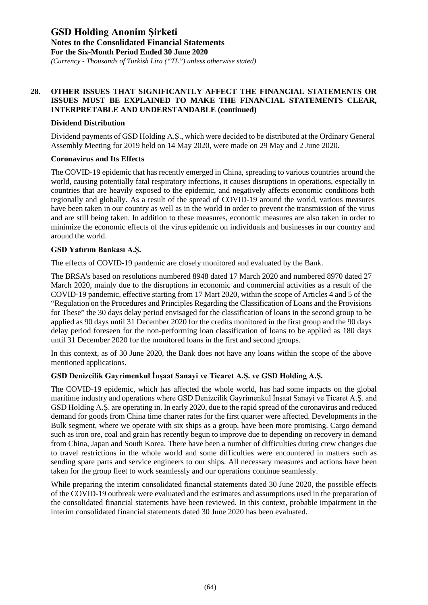*(Currency - Thousands of Turkish Lira ("TL") unless otherwise stated)*

#### **28. OTHER ISSUES THAT SIGNIFICANTLY AFFECT THE FINANCIAL STATEMENTS OR ISSUES MUST BE EXPLAINED TO MAKE THE FINANCIAL STATEMENTS CLEAR, INTERPRETABLE AND UNDERSTANDABLE (continued)**

#### **Dividend Distribution**

Dividend payments of GSD Holding A.Ş., which were decided to be distributed at the Ordinary General Assembly Meeting for 2019 held on 14 May 2020, were made on 29 May and 2 June 2020.

#### **Coronavirus and Its Effects**

The COVID-19 epidemic that has recently emerged in China, spreading to various countries around the world, causing potentially fatal respiratory infections, it causes disruptions in operations, especially in countries that are heavily exposed to the epidemic, and negatively affects economic conditions both regionally and globally. As a result of the spread of COVID-19 around the world, various measures have been taken in our country as well as in the world in order to prevent the transmission of the virus and are still being taken. In addition to these measures, economic measures are also taken in order to minimize the economic effects of the virus epidemic on individuals and businesses in our country and around the world.

#### **GSD Yatırım Bankası A.Ş.**

The effects of COVID-19 pandemic are closely monitored and evaluated by the Bank.

The BRSA's based on resolutions numbered 8948 dated 17 March 2020 and numbered 8970 dated 27 March 2020, mainly due to the disruptions in economic and commercial activities as a result of the COVID-19 pandemic, effective starting from 17 Mart 2020, within the scope of Articles 4 and 5 of the "Regulation on the Procedures and Principles Regarding the Classification of Loans and the Provisions for These" the 30 days delay period envisaged for the classification of loans in the second group to be applied as 90 days until 31 December 2020 for the credits monitored in the first group and the 90 days delay period foreseen for the non-performing loan classification of loans to be applied as 180 days until 31 December 2020 for the monitored loans in the first and second groups.

In this context, as of 30 June 2020, the Bank does not have any loans within the scope of the above mentioned applications.

### **GSD Denizcilik Gayrimenkul İnşaat Sanayi ve Ticaret A.Ş. ve GSD Holding A.Ş.**

The COVID-19 epidemic, which has affected the whole world, has had some impacts on the global maritime industry and operations where GSD Denizcilik Gayrimenkul İnşaat Sanayi ve Ticaret A.Ş. and GSD Holding A.Ş. are operating in. In early 2020, due to the rapid spread of the coronavirus and reduced demand for goods from China time charter rates for the first quarter were affected. Developments in the Bulk segment, where we operate with six ships as a group, have been more promising. Cargo demand such as iron ore, coal and grain has recently begun to improve due to depending on recovery in demand from China, Japan and South Korea. There have been a number of difficulties during crew changes due to travel restrictions in the whole world and some difficulties were encountered in matters such as sending spare parts and service engineers to our ships. All necessary measures and actions have been taken for the group fleet to work seamlessly and our operations continue seamlessly.

While preparing the interim consolidated financial statements dated 30 June 2020, the possible effects of the COVID-19 outbreak were evaluated and the estimates and assumptions used in the preparation of the consolidated financial statements have been reviewed. In this context, probable impairment in the interim consolidated financial statements dated 30 June 2020 has been evaluated.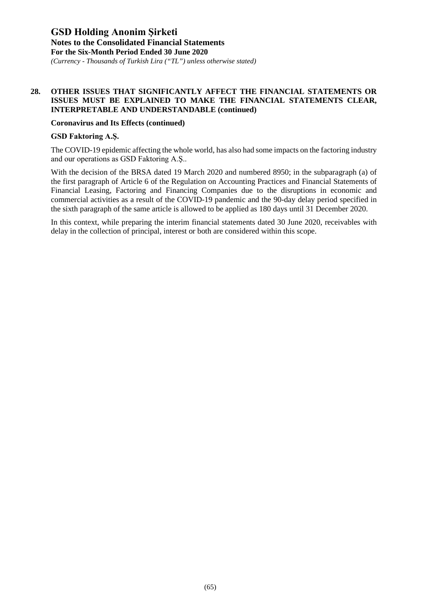*(Currency - Thousands of Turkish Lira ("TL") unless otherwise stated)*

#### **28. OTHER ISSUES THAT SIGNIFICANTLY AFFECT THE FINANCIAL STATEMENTS OR ISSUES MUST BE EXPLAINED TO MAKE THE FINANCIAL STATEMENTS CLEAR, INTERPRETABLE AND UNDERSTANDABLE (continued)**

#### **Coronavirus and Its Effects (continued)**

#### **GSD Faktoring A.Ş.**

The COVID-19 epidemic affecting the whole world, has also had some impacts on the factoring industry and our operations as GSD Faktoring A.Ş..

With the decision of the BRSA dated 19 March 2020 and numbered 8950; in the subparagraph (a) of the first paragraph of Article 6 of the Regulation on Accounting Practices and Financial Statements of Financial Leasing, Factoring and Financing Companies due to the disruptions in economic and commercial activities as a result of the COVID-19 pandemic and the 90-day delay period specified in the sixth paragraph of the same article is allowed to be applied as 180 days until 31 December 2020.

In this context, while preparing the interim financial statements dated 30 June 2020, receivables with delay in the collection of principal, interest or both are considered within this scope.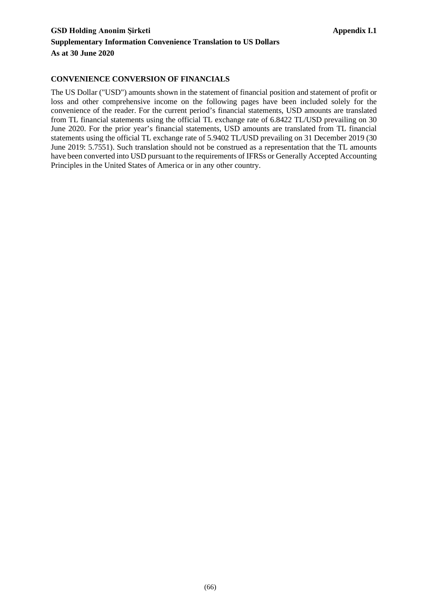### **CONVENIENCE CONVERSION OF FINANCIALS**

The US Dollar ("USD") amounts shown in the statement of financial position and statement of profit or loss and other comprehensive income on the following pages have been included solely for the convenience of the reader. For the current period's financial statements, USD amounts are translated from TL financial statements using the official TL exchange rate of 6.8422 TL/USD prevailing on 30 June 2020. For the prior year's financial statements, USD amounts are translated from TL financial statements using the official TL exchange rate of 5.9402 TL/USD prevailing on 31 December 2019 (30 June 2019: 5.7551). Such translation should not be construed as a representation that the TL amounts have been converted into USD pursuant to the requirements of IFRSs or Generally Accepted Accounting Principles in the United States of America or in any other country.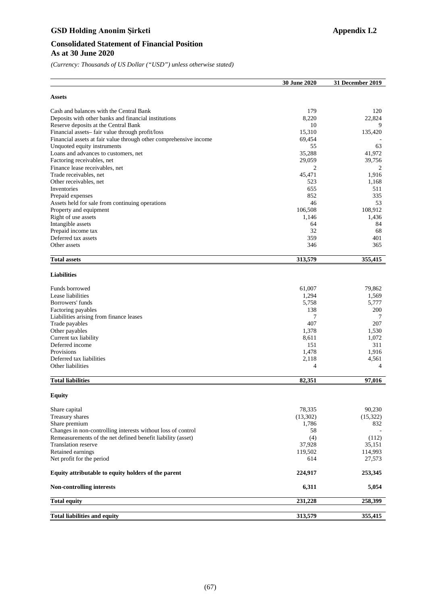## GSD Holding Anonim Şirketi **Appendix I.2**

### **Consolidated Statement of Financial Position As at 30 June 2020**

*(Currency: Thousands of US Dollar ("USD") unless otherwise stated)*

|                                                                   | 30 June 2020 | 31 December 2019 |
|-------------------------------------------------------------------|--------------|------------------|
| Assets                                                            |              |                  |
| Cash and balances with the Central Bank                           | 179          | 120              |
| Deposits with other banks and financial institutions              | 8,220        | 22,824           |
| Reserve deposits at the Central Bank                              | 10           | 9                |
| Financial assets-fair value through profit/loss                   | 15,310       | 135,420          |
| Financial assets at fair value through other comprehensive income | 69,454       |                  |
| Unquoted equity instruments                                       | 55           | 63               |
| Loans and advances to customers, net                              | 35,288       | 41,972           |
| Factoring receivables, net                                        | 29,059       | 39,756           |
| Finance lease receivables, net                                    | 2            | 2                |
| Trade receivables, net                                            | 45,471       | 1.916            |
| Other receivables, net                                            | 523          | 1,168            |
| Inventories                                                       | 655          | 511              |
| Prepaid expenses                                                  | 852          | 335              |
| Assets held for sale from continuing operations                   | 46           | 53               |
| Property and equipment                                            | 106,508      | 108,912          |
| Right of use assets                                               | 1,146        | 1,436            |
| Intangible assets                                                 | 64           | 84               |
| Prepaid income tax                                                | 32           | 68               |
| Deferred tax assets                                               | 359          | 401              |
| Other assets                                                      | 346          | 365              |
| <b>Total assets</b>                                               | 313,579      | 355,415          |
| <b>Liabilities</b>                                                |              |                  |
| Funds borrowed                                                    | 61,007       | 79,862           |
| Lease liabilities                                                 | 1,294        | 1,569            |
| Borrowers' funds                                                  | 5,758        | 5,777            |
| Factoring payables                                                | 138          | 200              |
| Liabilities arising from finance leases                           | 7            | 7                |
| Trade payables                                                    | 407          | 207              |
| Other payables                                                    | 1,378        | 1,530            |
| Current tax liability                                             | 8,611        | 1,072            |
| Deferred income                                                   | 151          | 311              |
| Provisions                                                        | 1,478        | 1,916            |
| Deferred tax liabilities                                          | 2,118        | 4,561            |
| Other liabilities                                                 | 4            | 4                |
| <b>Total liabilities</b>                                          | 82,351       | 97,016           |
| Equity                                                            |              |                  |
| Share capital                                                     | 78,335       | 90,230           |
| Treasury shares                                                   | (13,302)     | (15,322)         |
| Share premium                                                     | 1,786        | 832              |
| Changes in non-controlling interests without loss of control      | 58           |                  |
| Remeasurements of the net defined benefit liability (asset)       | (4)          | (112)            |
| Translation reserve                                               | 37,928       | 35,151           |
| Retained earnings                                                 | 119,502      | 114,993          |
| Net profit for the period                                         | 614          | 27,573           |
| Equity attributable to equity holders of the parent               | 224,917      | 253,345          |
| <b>Non-controlling interests</b>                                  | 6,311        | 5,054            |
| <b>Total equity</b>                                               | 231,228      | 258,399          |
| <b>Total liabilities and equity</b>                               | 313,579      | 355,415          |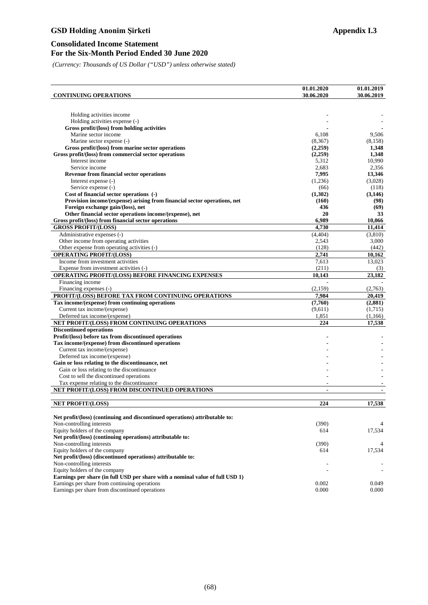## GSD Holding Anonim Şirketi **Appendix I.3**

### **Consolidated Income Statement For the Six-Month Period Ended 30 June 2020**

*(Currency: Thousands of US Dollar ("USD") unless otherwise stated)*

| <b>CONTINUING OPERATIONS</b>                                                              | 01.01.2020<br>30.06.2020 | 01.01.2019<br>30.06.2019 |
|-------------------------------------------------------------------------------------------|--------------------------|--------------------------|
|                                                                                           |                          |                          |
|                                                                                           |                          |                          |
| Holding activities income                                                                 |                          |                          |
| Holding activities expense (-)                                                            |                          |                          |
| Gross profit/(loss) from holding activities                                               |                          |                          |
| Marine sector income                                                                      | 6,108                    | 9,506                    |
| Marine sector expense (-)                                                                 | (8,367)                  | (8, 158)                 |
| Gross profit/(loss) from marine sector operations                                         | (2,259)                  | 1,348                    |
| Gross profit/(loss) from commercial sector operations                                     | (2,259)                  | 1,348                    |
| Interest income                                                                           | 5,312                    | 10,990                   |
| Service income                                                                            | 2,683                    | 2,356                    |
| <b>Revenue from financial sector operations</b>                                           | 7,995                    | 13,346                   |
| Interest expense (-)                                                                      | (1,236)                  | (3,028)                  |
| Service expense (-)                                                                       | (66)                     | (118)                    |
| Cost of financial sector operations (-)                                                   | (1,302)                  | (3,146)                  |
| Provision income/(expense) arising from financial sector operations, net                  | (160)                    | (98)                     |
| Foreign exchange gain/(loss), net                                                         | 436                      | (69)                     |
| Other financial sector operations income/(expense), net                                   | 20                       | 33                       |
| Gross profit/(loss) from financial sector operations                                      | 6,989                    | 10,066                   |
| <b>GROSS PROFIT/(LOSS)</b>                                                                | 4,730                    | 11,414                   |
| Administrative expenses (-)                                                               | (4, 404)                 | (3,810)                  |
| Other income from operating activities                                                    | 2,543                    | 3,000                    |
| Other expense from operating activities (-)                                               | (128)                    | (442)                    |
| <b>OPERATING PROFIT/(LOSS)</b>                                                            | 2,741                    | 10,162                   |
| Income from investment activities                                                         | 7,613                    | 13,023                   |
| Expense from investment activities (-)                                                    | (211)                    | (3)                      |
| <b>OPERATING PROFIT/(LOSS) BEFORE FINANCING EXPENSES</b>                                  | 10,143                   | 23.182                   |
| Financing income                                                                          |                          |                          |
| Financing expenses (-)                                                                    | (2,159)                  | (2,763)                  |
| PROFIT/(LOSS) BEFORE TAX FROM CONTINUING OPERATIONS                                       | 7,984                    | 20,419                   |
| Tax income/(expense) from continuing operations                                           | (7,760)                  | (2,881)                  |
| Current tax income/(expense)                                                              | (9,611)                  | (1,715)                  |
| Deferred tax income/(expense)                                                             | 1,851                    | (1,166)                  |
| NET PROFIT/(LOSS) FROM CONTINUING OPERATIONS                                              | 224                      | 17,538                   |
| <b>Discontinued operations</b>                                                            |                          |                          |
| Profit/(loss) before tax from discontinued operations                                     |                          |                          |
| Tax income/(expense) from discontinued operations                                         |                          |                          |
| Current tax income/(expense)                                                              |                          |                          |
| Deferred tax income/(expense)                                                             |                          |                          |
| Gain or loss relating to the discontinuance, net                                          |                          |                          |
| Gain or loss relating to the discontinuance                                               |                          |                          |
| Cost to sell the discontinued operations                                                  |                          |                          |
| Tax expense relating to the discontinuance                                                |                          |                          |
| NET PROFIT/(LOSS) FROM DISCONTINUED OPERATIONS                                            | $\overline{\phantom{0}}$ |                          |
|                                                                                           |                          |                          |
| <b>NET PROFIT/(LOSS)</b>                                                                  | 224                      | 17,538                   |
|                                                                                           |                          |                          |
| Net profit/(loss) (continuing and discontinued operations) attributable to:               |                          |                          |
| Non-controlling interests                                                                 | (390)                    |                          |
| Equity holders of the company                                                             | 614                      | 17,534                   |
| Net profit/(loss) (continuing operations) attributable to:                                |                          |                          |
| Non-controlling interests<br>Equity holders of the company                                | (390)<br>614             | 4<br>17,534              |
|                                                                                           |                          |                          |
| Net profit/(loss) (discontinued operations) attributable to:<br>Non-controlling interests |                          |                          |
| Equity holders of the company                                                             | $\overline{a}$           |                          |
|                                                                                           |                          |                          |
| Earnings per share (in full USD per share with a nominal value of full USD 1)             | 0.002                    | 0.049                    |
| Earnings per share from continuing operations                                             |                          |                          |
| Earnings per share from discontinued operations                                           | 0.000                    | 0.000                    |